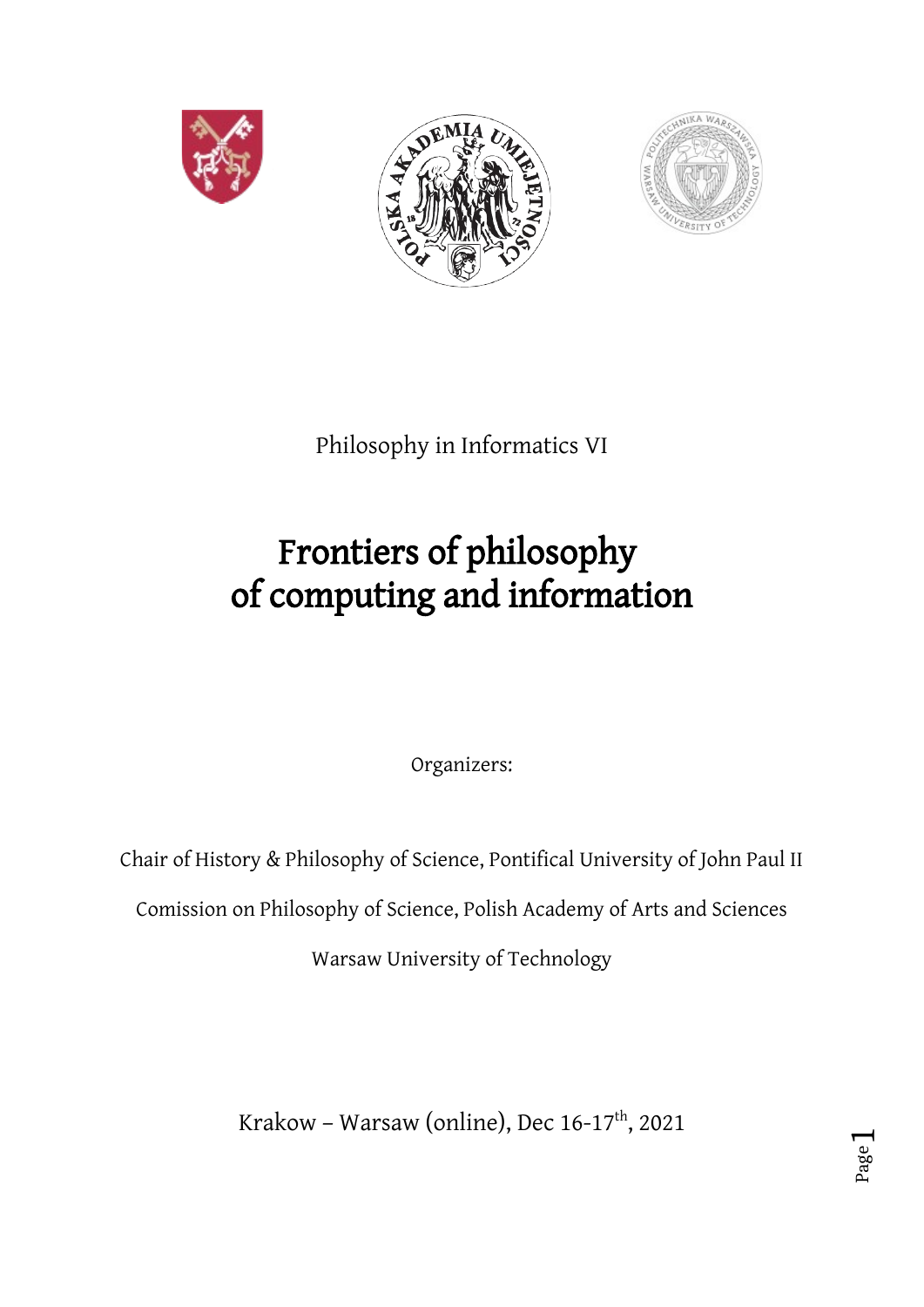





Philosophy in Informatics VI

# Frontiers of philosophy of computing and information

Organizers:

Chair of History & Philosophy of Science, Pontifical University of John Paul II

Comission on Philosophy of Science, Polish Academy of Arts and Sciences

Warsaw University of Technology

Krakow – Warsaw (online), Dec  $16-17^{\text{th}}$ , 2021

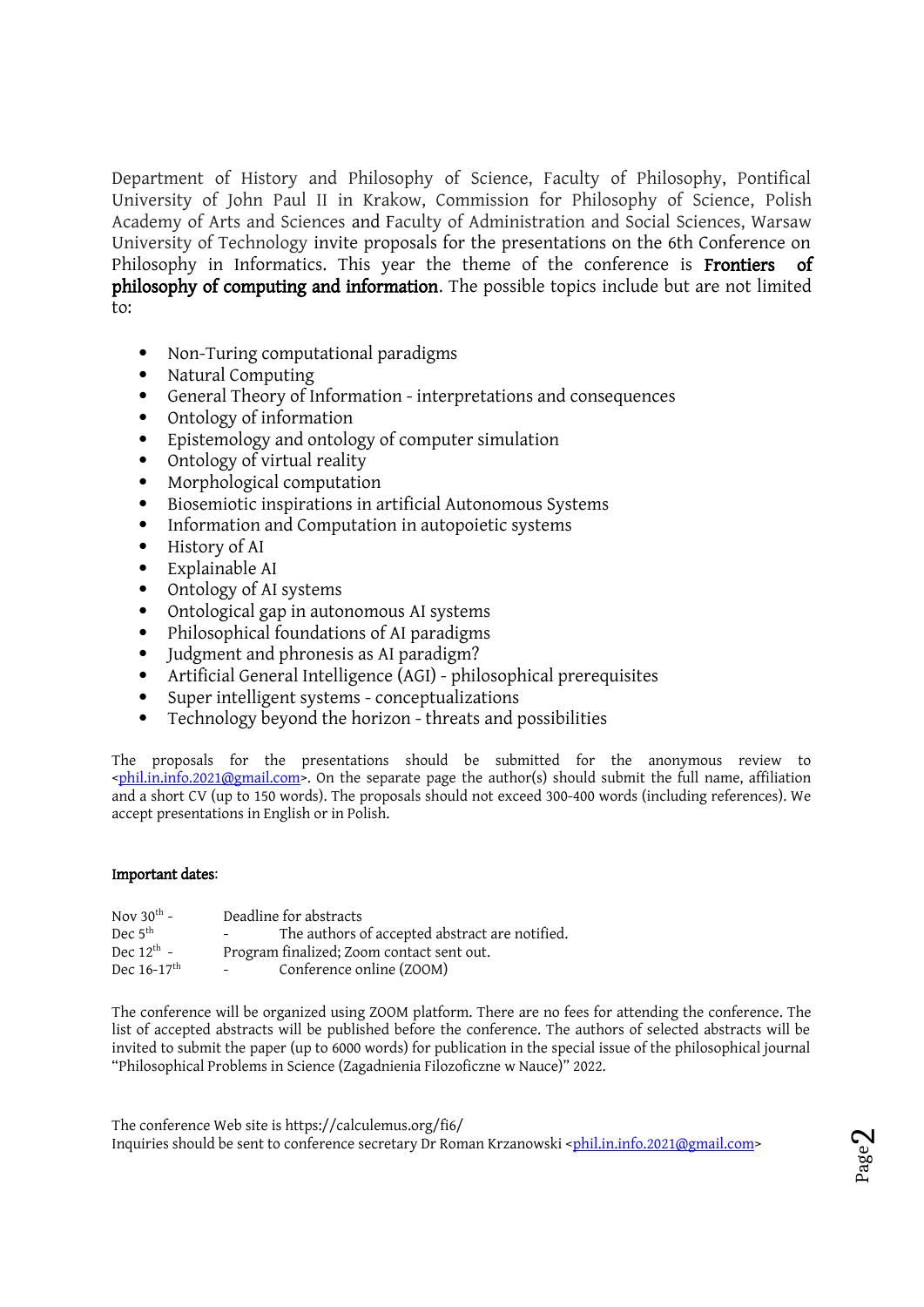Department of History and Philosophy of Science, Faculty of Philosophy, Pontifical University of John Paul II in Krakow, Commission for Philosophy of Science, Polish Academy of Arts and Sciences and Faculty of Administration and Social Sciences, Warsaw University of Technology invite proposals for the presentations on the 6th Conference on Philosophy in Informatics. This year the theme of the conference is **Frontiers** of philosophy of computing and information. The possible topics include but are not limited to:

- Non-Turing computational paradigms
- Natural Computing
- General Theory of Information interpretations and consequences
- [Ont](mailto:phil.in.info.2021@gmail.com)ology of information
- Epistemology and ontology of computer simulation
- Ontology of virtual reality
- Morphological computation
- Biosemiotic inspirations in artificial Autonomous Systems
- Information and Computation in autopoietic systems
- History of AI
- Explainable AI
- Ontology of AI systems
- Ontological gap in autonomous AI systems
- Philosophical foundations of AI paradigms
- Judgment and phronesis as AI paradigm?
- Artificial General Intelligence (AGI) philosophical prerequisites
- Super intelligent systems co[nceptualizations](mailto:phil.in.info.2021@gmail.com)
- Technology beyond the horizon threats and possibilities

The proposals for the presentations should be submitted for the anonymous review to  $\epsilon_{\text{phil}}$ . On the separate page the author(s) should submit the full name, affiliation and a short CV (up to 150 words). The proposals should not exceed 300-400 words (including references). We accept presentations in English or in Polish.

#### Important dates:

| Nov $30^{\text{th}}$ -    | Deadline for abstracts                                          |
|---------------------------|-----------------------------------------------------------------|
| Dec $5th$                 | The authors of accepted abstract are notified.<br>$\sim$ $\sim$ |
| Dec $12^{\text{th}}$ -    | Program finalized; Zoom contact sent out.                       |
| Dec $16-17$ <sup>th</sup> | Conference online (ZOOM)                                        |

The conference will be organized using ZOOM platform. There are no fees for attending the conference. The list of accepted abstracts will be published before the conference. The authors of selected abstracts will be invited to submit the paper (up to 6000 words) for publication in the special issue of the philosophical journal "Philosophical Problems in Science (Zagadnienia Filozoficzne w Nauce)" 2022.

The conference Web site is https://calculemus.org/fi6/ Inquiries should be sent to conference secretary Dr Roman Krzanowski <phil.in.info.2021@gmail.com>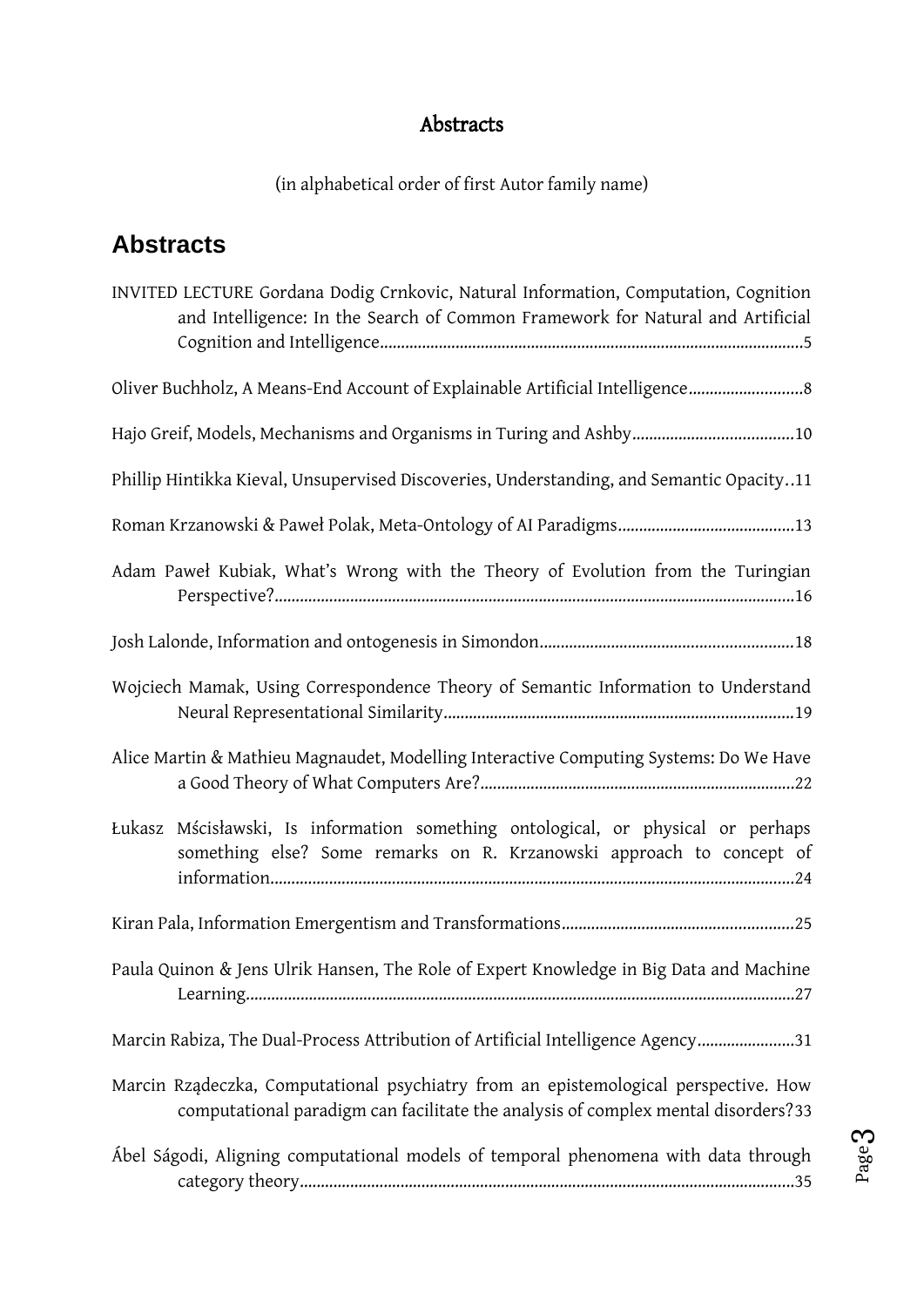# [Abstracts](#page-22-0)

[\(in alphabetical order of first Autor fam](#page-23-0)ily name)

# **[Abstracts](#page-25-0)**

| INVITED LECTURE Gordana Dodig Crnkovic, Natural Information, Computation, Cognition<br>and Intelligence: In the Search of Common Framework for Natural and Artificial    |  |  |
|--------------------------------------------------------------------------------------------------------------------------------------------------------------------------|--|--|
| Oliver Buchholz, A Means-End Account of Explainable Artificial Intelligence 8                                                                                            |  |  |
| Hajo Greif, Models, Mechanisms and Organisms in Turing and Ashby10                                                                                                       |  |  |
| Phillip Hintikka Kieval, Unsupervised Discoveries, Understanding, and Semantic Opacity11                                                                                 |  |  |
|                                                                                                                                                                          |  |  |
| Adam Paweł Kubiak, What's Wrong with the Theory of Evolution from the Turingian                                                                                          |  |  |
|                                                                                                                                                                          |  |  |
| Wojciech Mamak, Using Correspondence Theory of Semantic Information to Understand                                                                                        |  |  |
| Alice Martin & Mathieu Magnaudet, Modelling Interactive Computing Systems: Do We Have                                                                                    |  |  |
| Łukasz Mścisławski, Is information something ontological, or physical or perhaps<br>something else? Some remarks on R. Krzanowski approach to concept of                 |  |  |
|                                                                                                                                                                          |  |  |
| Paula Quinon & Jens Ulrik Hansen, The Role of Expert Knowledge in Big Data and Machine                                                                                   |  |  |
| Marcin Rabiza, The Dual-Process Attribution of Artificial Intelligence Agency31                                                                                          |  |  |
| Marcin Rządeczka, Computational psychiatry from an epistemological perspective. How<br>computational paradigm can facilitate the analysis of complex mental disorders?33 |  |  |
| Ábel Ságodi, Aligning computational models of temporal phenomena with data through                                                                                       |  |  |

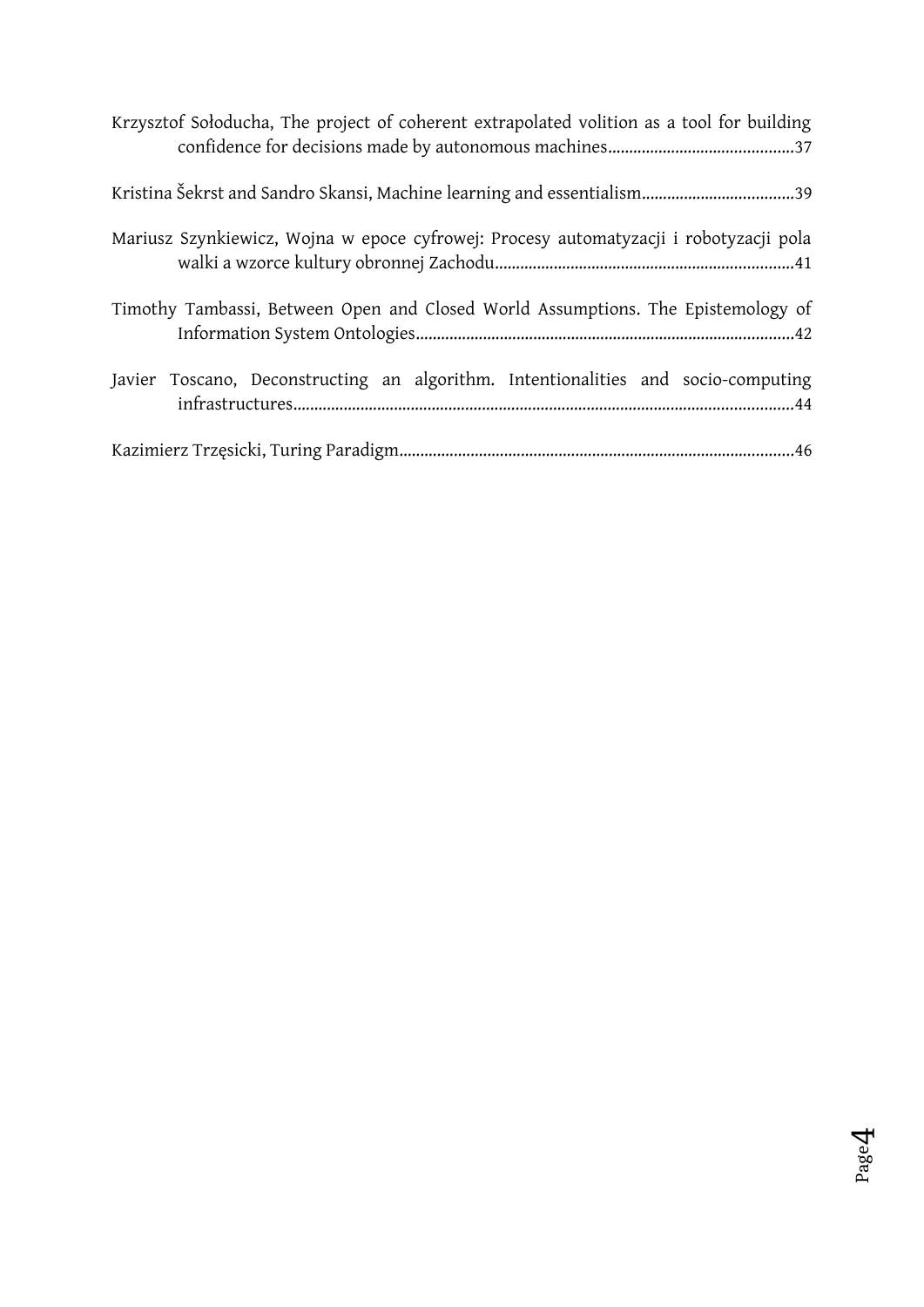| Krzysztof Sołoducha, The project of coherent extrapolated volition as a tool for building |
|-------------------------------------------------------------------------------------------|
|                                                                                           |
| Mariusz Szynkiewicz, Wojna w epoce cyfrowej: Procesy automatyzacji i robotyzacji pola     |
| Timothy Tambassi, Between Open and Closed World Assumptions. The Epistemology of          |
| Javier Toscano, Deconstructing an algorithm. Intentionalities and socio-computing         |
|                                                                                           |

 $\mathsf{P}$ a g e 4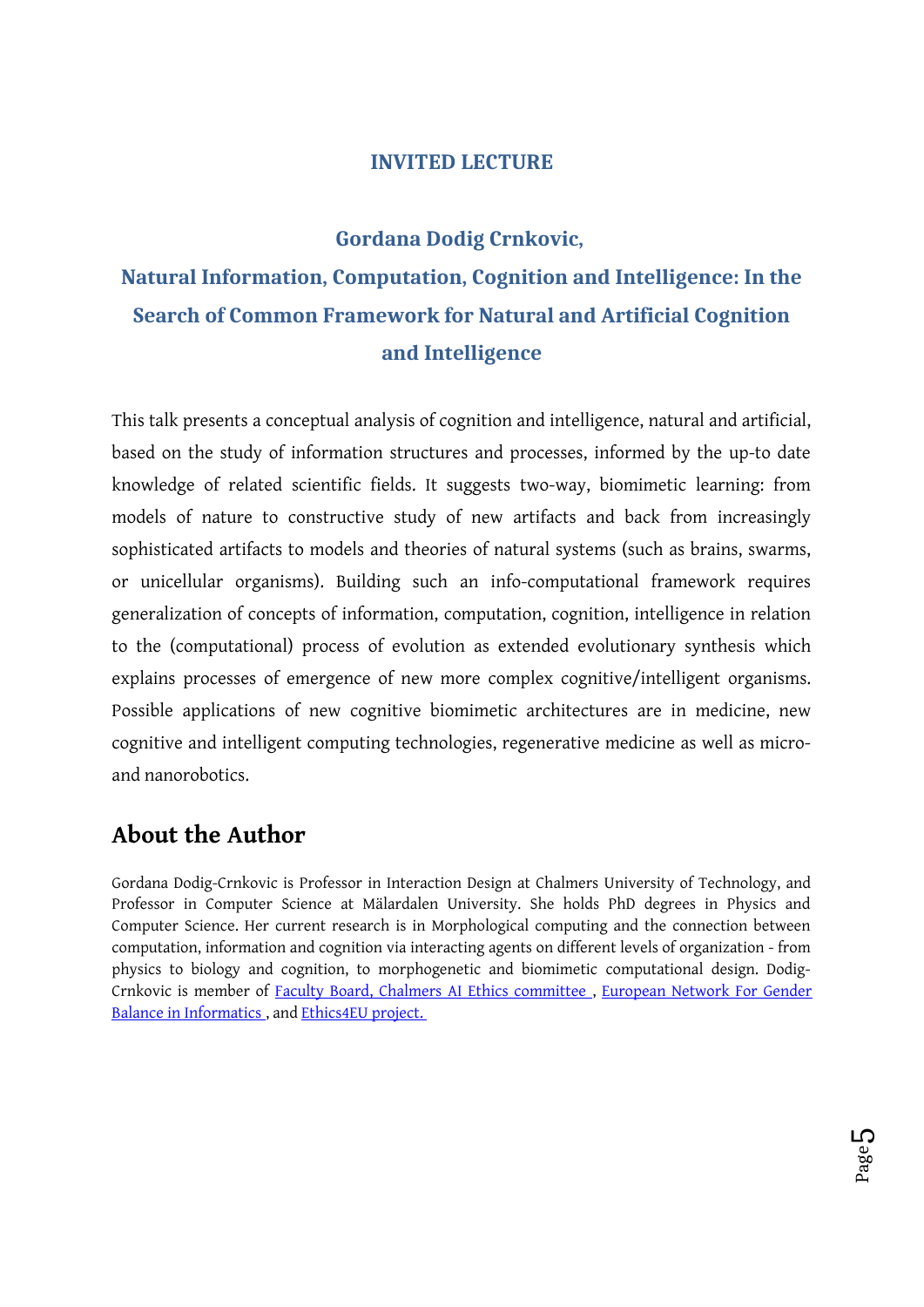### **INVITED LECTURE**

#### **Gordana Dodig Crnkovic,**

# **Natural Information, Computation, Cognition and Intelligence: In the Search of Common Framework for Natural and Artificial Cognition and Intelligence**

This talk presents a conceptual analysis of cognition and intelligence, natural and artificial, based on the study of information structures and processes, informed by the up-to date knowledge of related scientific fields. It suggests two-way, biomimetic learning: from models of nature to constructive study of new artifacts and back from increasingly sophisticated artifacts to models and theories of natural systems (such as brains, swarms, or unicellular organisms). Building such an info-computational framework requires generalization of concepts of information, computation, cognition, intelligence in relation to the (computational) process of evolution as extended evolutionary synthesis which explains processes of emergence of new more complex cognitive/intelligent organisms. Possible applications of new cognitive biomimetic architectures are in medicine, new cognitive and intelligent computing technologies, regenerative medicine as well as microand nanorobotics.

### **About the Author**

Gordana Dodig-Crnkovic is Professor in Interaction Design at Chalmers University of Technology, and Professor in Computer Science at Mälardalen University. She holds PhD degrees in Physics and Computer Science. Her current research is in Morphological computing and the connection between computation, information and cognition via interacting agents on different levels of organization - from physics to biology and cognition, to morphogenetic and biomimetic computational design. Dodig-Crnkovic is member of Faculty Board, Chalmers AI Ethics committee , European Network For Gender Balance in Informatics , and Ethics4EU project.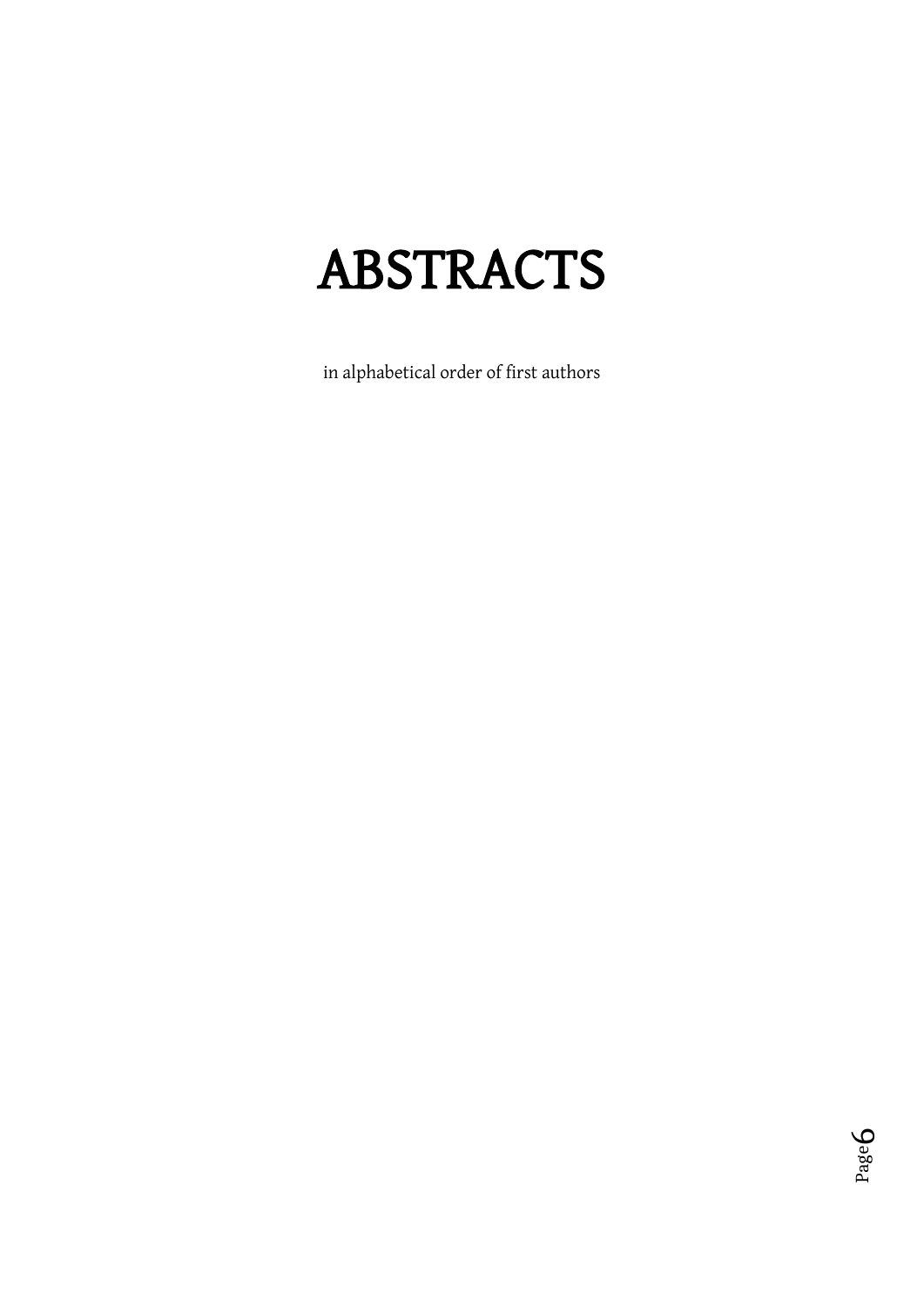# ABSTRACTS

in alphabetical order of first authors

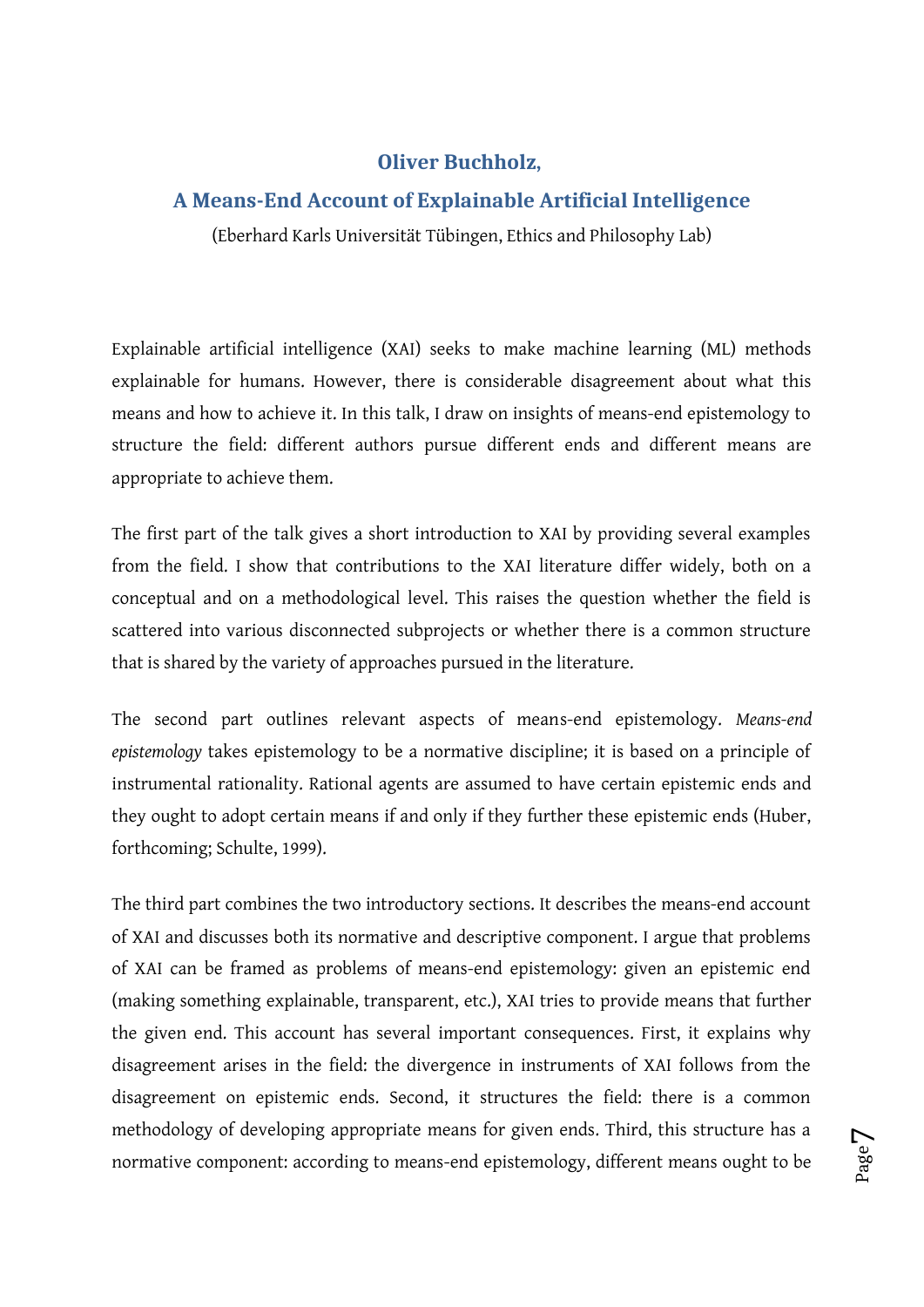### **Oliver Buchholz,**

### **A Means-End Account of Explainable Artificial Intelligence**

(Eberhard Karls Universität Tübingen, Ethics and Philosophy Lab)

Explainable artificial intelligence (XAI) seeks to make machine learning (ML) methods explainable for humans. However, there is considerable disagreement about what this means and how to achieve it. In this talk, I draw on insights of means-end epistemology to structure the field: different authors pursue different ends and different means are appropriate to achieve them.

The first part of the talk gives a short introduction to XAI by providing several examples from the field. I show that contributions to the XAI literature differ widely, both on a conceptual and on a methodological level. This raises the question whether the field is scattered into various disconnected subprojects or whether there is a common structure that is shared by the variety of approaches pursued in the literature.

The second part outlines relevant aspects of means-end epistemology. *Means-end epistemology* takes epistemology to be a normative discipline; it is based on a principle of instrumental rationality. Rational agents are assumed to have certain epistemic ends and they ought to adopt certain means if and only if they further these epistemic ends (Huber, forthcoming; Schulte, 1999).

The third part combines the two introductory sections. It describes the means-end account of XAI and discusses both its normative and descriptive component. I argue that problems of XAI can be framed as problems of means-end epistemology: given an epistemic end (making something explainable, transparent, etc.), XAI tries to provide means that further the given end. This account has several important consequences. First, it explains why disagreement arises in the field: the divergence in instruments of XAI follows from the disagreement on epistemic ends. Second, it structures the field: there is a common methodology of developing appropriate means for given ends. Third, this structure has a normative component: according to means-end epistemology, different means ought to be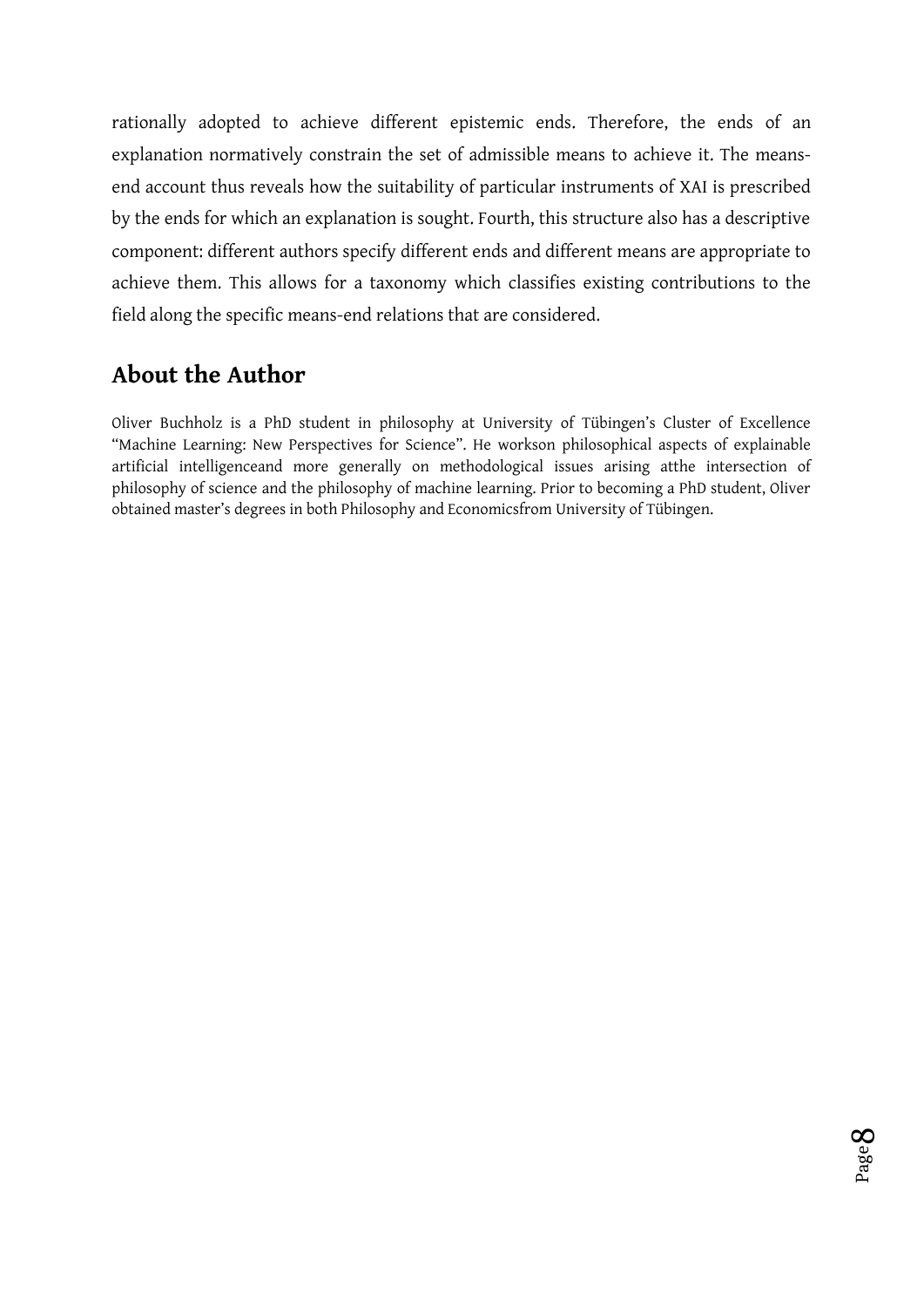rationally adopted to achieve different epistemic ends. Therefore, the ends of an explanation normatively constrain the set of admissible means to achieve it. The meansend account thus reveals how the suitability of particular instruments of XAI is prescribed by the ends for which an explanation is sought. Fourth, this structure also has a descriptive component: different authors specify different ends and different means are appropriate to achieve them. This allows for a taxonomy which classifies existing contributions to the field along the specific means-end relations that are considered.

# **About the Author**

Oliver Buchholz is a PhD student in philosophy at University of Tübingen's Cluster of Excellence "Machine Learning: New Perspectives for Science". He workson philosophical aspects of explainable artificial intelligenceand more generally on methodological issues arising atthe intersection of philosophy of science and the philosophy of machine learning. Prior to becoming a PhD student, Oliver obtained master's degrees in both Philosophy and Economicsfrom University of Tübingen.

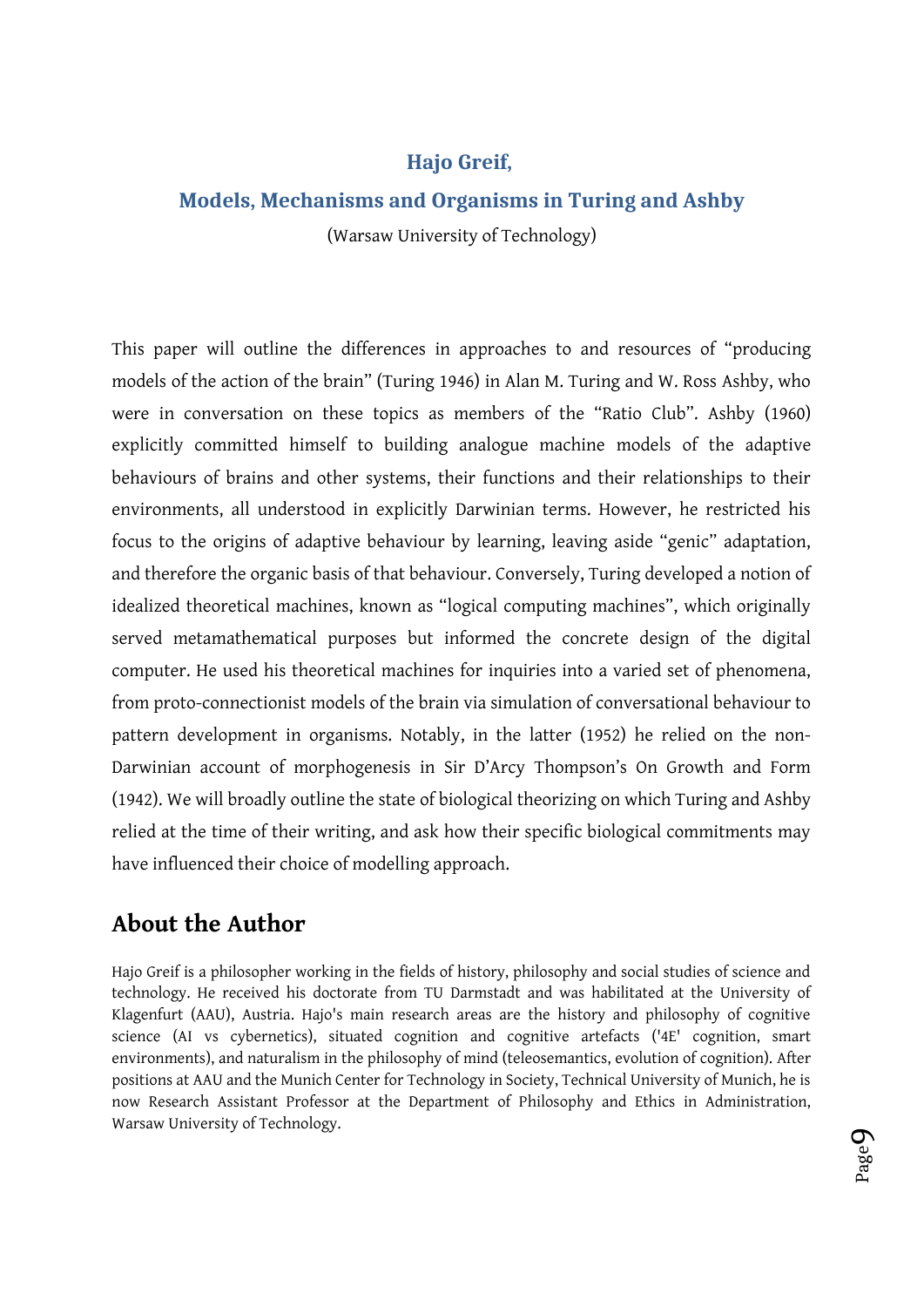### **Hajo Greif,**

### **Models, Mechanisms and Organisms in Turing and Ashby**

(Warsaw University of Technology)

This paper will outline the differences in approaches to and resources of "producing models of the action of the brain" (Turing 1946) in Alan M. Turing and W. Ross Ashby, who were in conversation on these topics as members of the "Ratio Club". Ashby (1960) explicitly committed himself to building analogue machine models of the adaptive behaviours of brains and other systems, their functions and their relationships to their environments, all understood in explicitly Darwinian terms. However, he restricted his focus to the origins of adaptive behaviour by learning, leaving aside "genic" adaptation, and therefore the organic basis of that behaviour. Conversely, Turing developed a notion of idealized theoretical machines, known as "logical computing machines", which originally served metamathematical purposes but informed the concrete design of the digital computer. He used his theoretical machines for inquiries into a varied set of phenomena, from proto-connectionist models of the brain via simulation of conversational behaviour to pattern development in organisms. Notably, in the latter (1952) he relied on the non-Darwinian account of morphogenesis in Sir D'Arcy Thompson's On Growth and Form (1942). We will broadly outline the state of biological theorizing on which Turing and Ashby relied at the time of their writing, and ask how their specific biological commitments may have influenced their choice of modelling approach.

# **About the Author**

Hajo Greif is a philosopher working in the fields of history, philosophy and social studies of science and technology. He received his doctorate from TU Darmstadt and was habilitated at the University of Klagenfurt (AAU), Austria. Hajo's main research areas are the history and philosophy of cognitive science (AI vs cybernetics), situated cognition and cognitive artefacts ('4E' cognition, smart environments), and naturalism in the philosophy of mind (teleosemantics, evolution of cognition). After positions at AAU and the Munich Center for Technology in Society, Technical University of Munich, he is now Research Assistant Professor at the Department of Philosophy and Ethics in Administration, Warsaw University of Technology.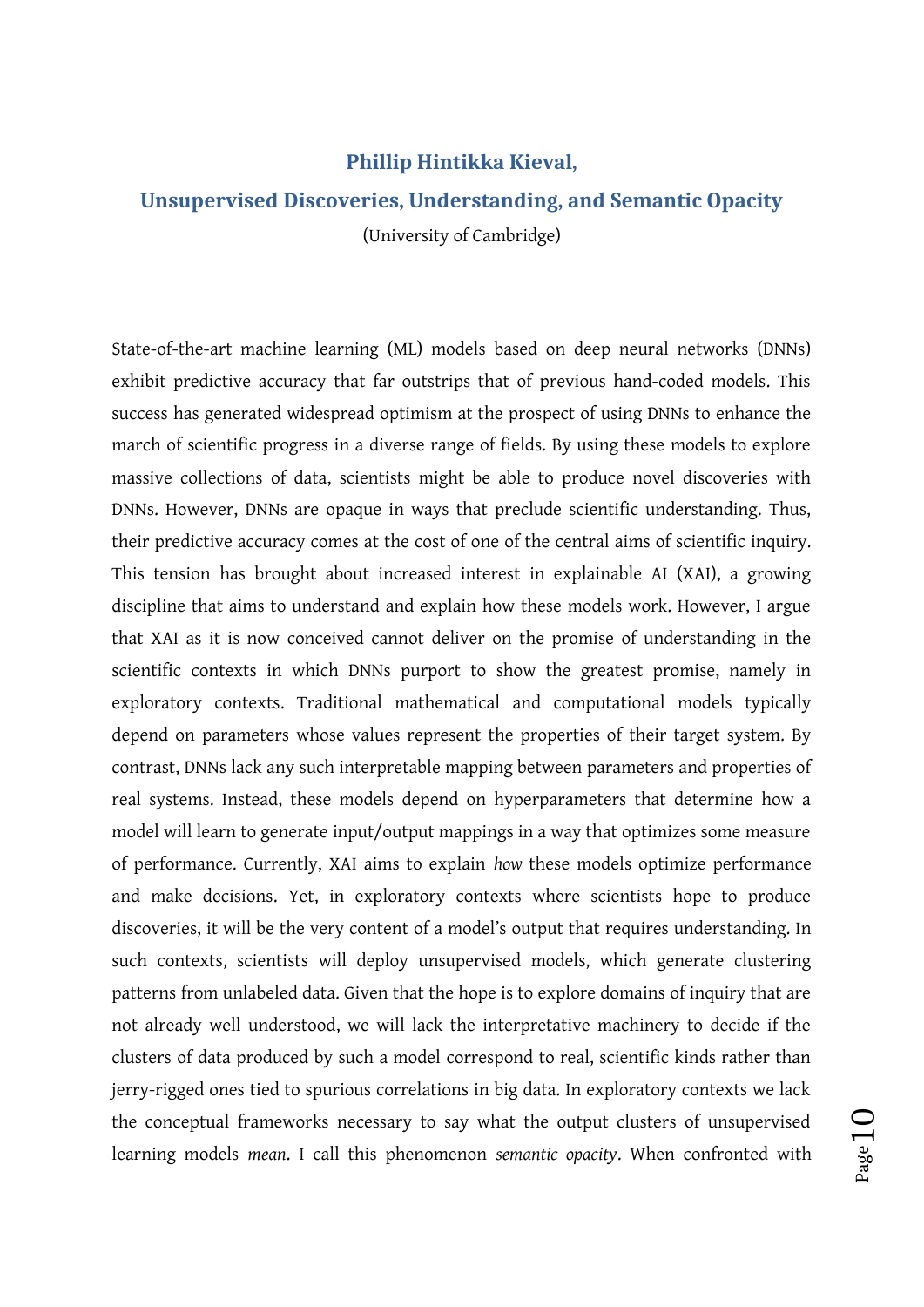#### **Phillip Hintikka Kieval,**

### **Unsupervised Discoveries, Understanding, and Semantic Opacity**

(University of Cambridge)

State-of-the-art machine learning (ML) models based on deep neural networks (DNNs) exhibit predictive accuracy that far outstrips that of previous hand-coded models. This success has generated widespread optimism at the prospect of using DNNs to enhance the march of scientific progress in a diverse range of fields. By using these models to explore massive collections of data, scientists might be able to produce novel discoveries with DNNs. However, DNNs are opaque in ways that preclude scientific understanding. Thus, their predictive accuracy comes at the cost of one of the central aims of scientific inquiry. This tension has brought about increased interest in explainable AI (XAI), a growing discipline that aims to understand and explain how these models work. However, I argue that XAI as it is now conceived cannot deliver on the promise of understanding in the scientific contexts in which DNNs purport to show the greatest promise, namely in exploratory contexts. Traditional mathematical and computational models typically depend on parameters whose values represent the properties of their target system. By contrast, DNNs lack any such interpretable mapping between parameters and properties of real systems. Instead, these models depend on hyperparameters that determine how a model will learn to generate input/output mappings in a way that optimizes some measure of performance. Currently, XAI aims to explain *how* these models optimize performance and make decisions. Yet, in exploratory contexts where scientists hope to produce discoveries, it will be the very content of a model's output that requires understanding. In such contexts, scientists will deploy unsupervised models, which generate clustering patterns from unlabeled data. Given that the hope is to explore domains of inquiry that are not already well understood, we will lack the interpretative machinery to decide if the clusters of data produced by such a model correspond to real, scientific kinds rather than jerry-rigged ones tied to spurious correlations in big data. In exploratory contexts we lack the conceptual frameworks necessary to say what the output clusters of unsupervised learning models *mean*. I call this phenomenon *semantic opacity*. When confronted with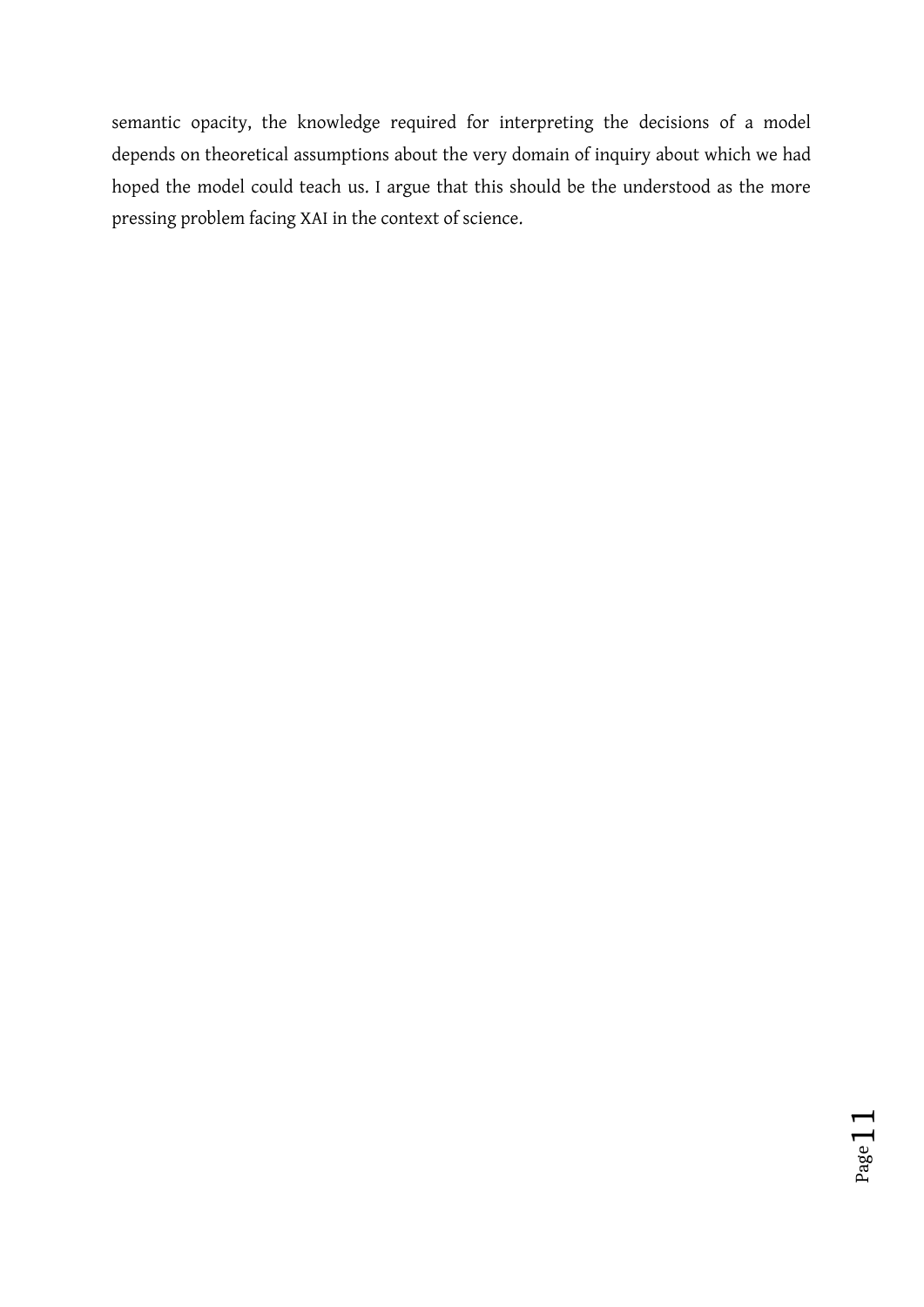semantic opacity, the knowledge required for interpreting the decisions of a model depends on theoretical assumptions about the very domain of inquiry about which we had hoped the model could teach us. I argue that this should be the understood as the more pressing problem facing XAI in the context of science.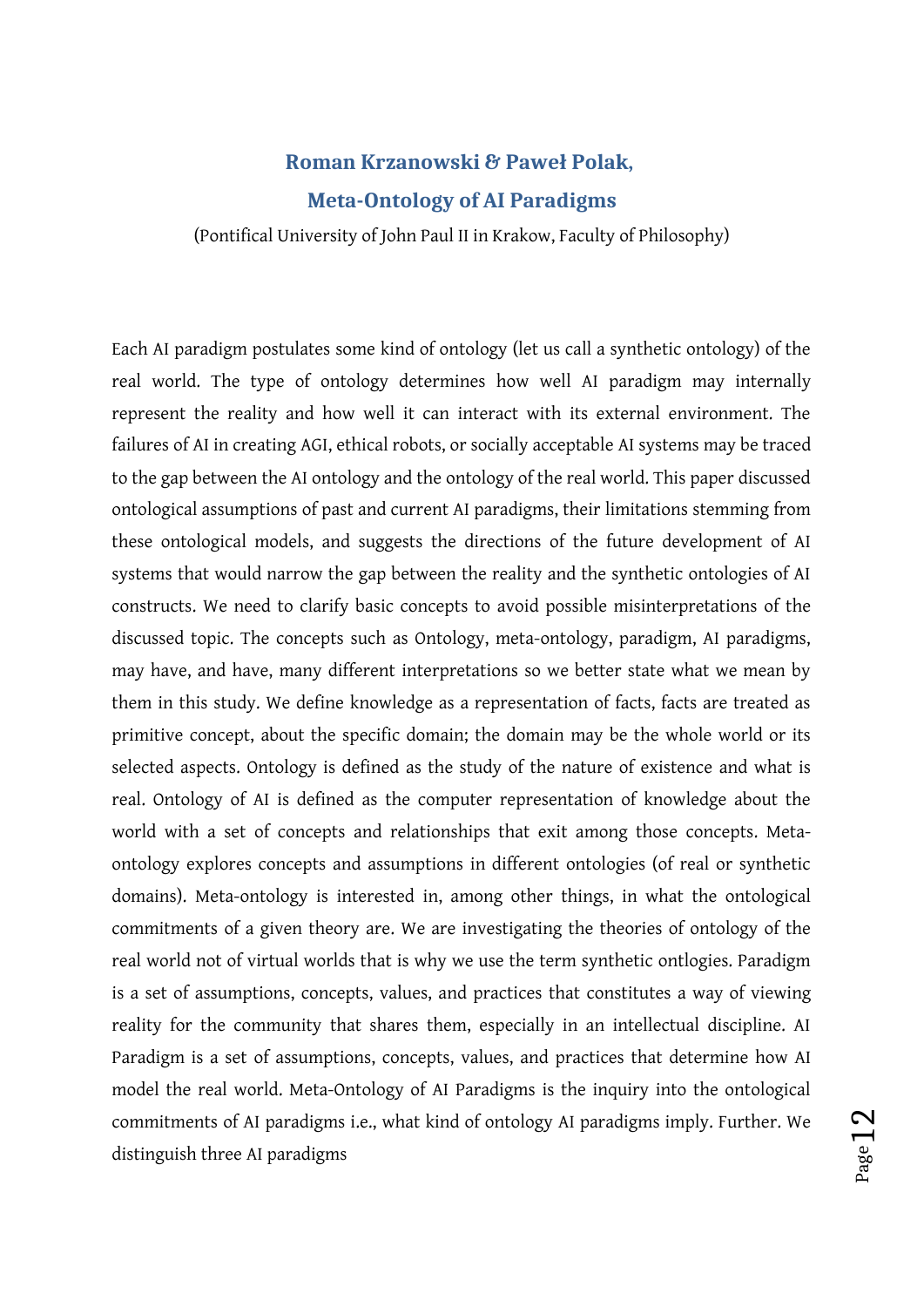# **Roman Krzanowski & Paweł Polak, Meta-Ontology of AI Paradigms**

(Pontifical University of John Paul II in Krakow, Faculty of Philosophy)

Each AI paradigm postulates some kind of ontology (let us call a synthetic ontology) of the real world. The type of ontology determines how well AI paradigm may internally represent the reality and how well it can interact with its external environment. The failures of AI in creating AGI, ethical robots, or socially acceptable AI systems may be traced to the gap between the AI ontology and the ontology of the real world. This paper discussed ontological assumptions of past and current AI paradigms, their limitations stemming from these ontological models, and suggests the directions of the future development of AI systems that would narrow the gap between the reality and the synthetic ontologies of AI constructs. We need to clarify basic concepts to avoid possible misinterpretations of the discussed topic. The concepts such as Ontology, meta-ontology, paradigm, AI paradigms, may have, and have, many different interpretations so we better state what we mean by them in this study. We define knowledge as a representation of facts, facts are treated as primitive concept, about the specific domain; the domain may be the whole world or its selected aspects. Ontology is defined as the study of the nature of existence and what is real. Ontology of AI is defined as the computer representation of knowledge about the world with a set of concepts and relationships that exit among those concepts. Metaontology explores concepts and assumptions in different ontologies (of real or synthetic domains). Meta-ontology is interested in, among other things, in what the ontological commitments of a given theory are. We are investigating the theories of ontology of the real world not of virtual worlds that is why we use the term synthetic ontlogies. Paradigm is a set of assumptions, concepts, values, and practices that constitutes a way of viewing reality for the community that shares them, especially in an intellectual discipline. AI Paradigm is a set of assumptions, concepts, values, and practices that determine how AI model the real world. Meta-Ontology of AI Paradigms is the inquiry into the ontological commitments of AI paradigms i.e., what kind of ontology AI paradigms imply. Further. We distinguish three AI paradigms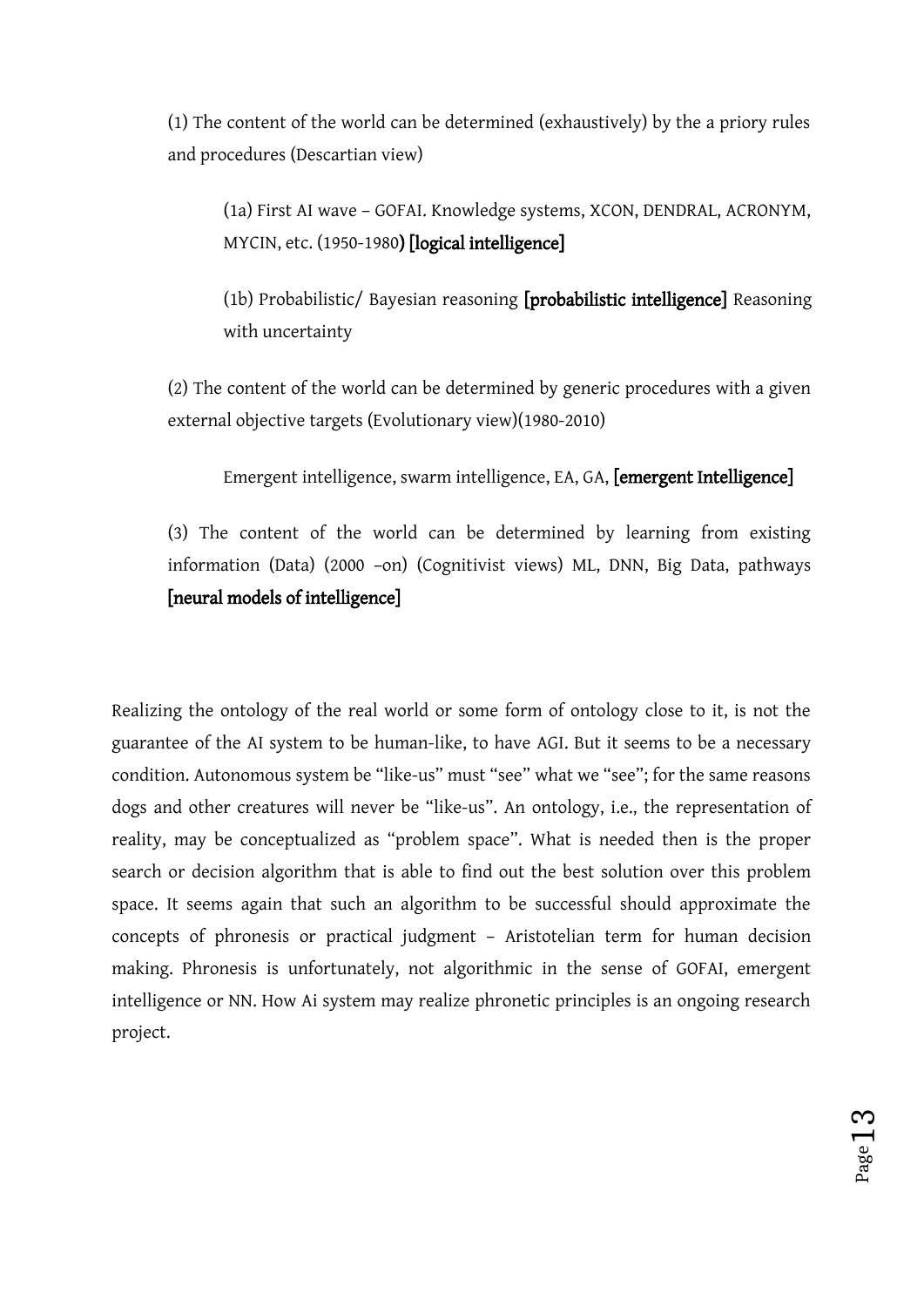(1) The content of the world can be determined (exhaustively) by the a priory rules and procedures (Descartian view)

(1a) First AI wave – GOFAI. Knowledge systems, XCON, DENDRAL, ACRONYM, MYCIN, etc. (1950-1980) [logical intelligence]

(1b) Probabilistic/ Bayesian reasoning [probabilistic intelligence] Reasoning with uncertainty

(2) The content of the world can be determined by generic procedures with a given external objective targets (Evolutionary view)(1980-2010)

Emergent intelligence, swarm intelligence, EA, GA, [emergent Intelligence]

(3) The content of the world can be determined by learning from existing information (Data) (2000 –on) (Cognitivist views) ML, DNN, Big Data, pathways [neural models of intelligence]

Realizing the ontology of the real world or some form of ontology close to it, is not the guarantee of the AI system to be human-like, to have AGI. But it seems to be a necessary condition. Autonomous system be "like-us" must "see" what we "see"; for the same reasons dogs and other creatures will never be "like-us". An ontology, i.e., the representation of reality, may be conceptualized as "problem space". What is needed then is the proper search or decision algorithm that is able to find out the best solution over this problem space. It seems again that such an algorithm to be successful should approximate the concepts of phronesis or practical judgment – Aristotelian term for human decision making. Phronesis is unfortunately, not algorithmic in the sense of GOFAI, emergent intelligence or NN. How Ai system may realize phronetic principles is an ongoing research project.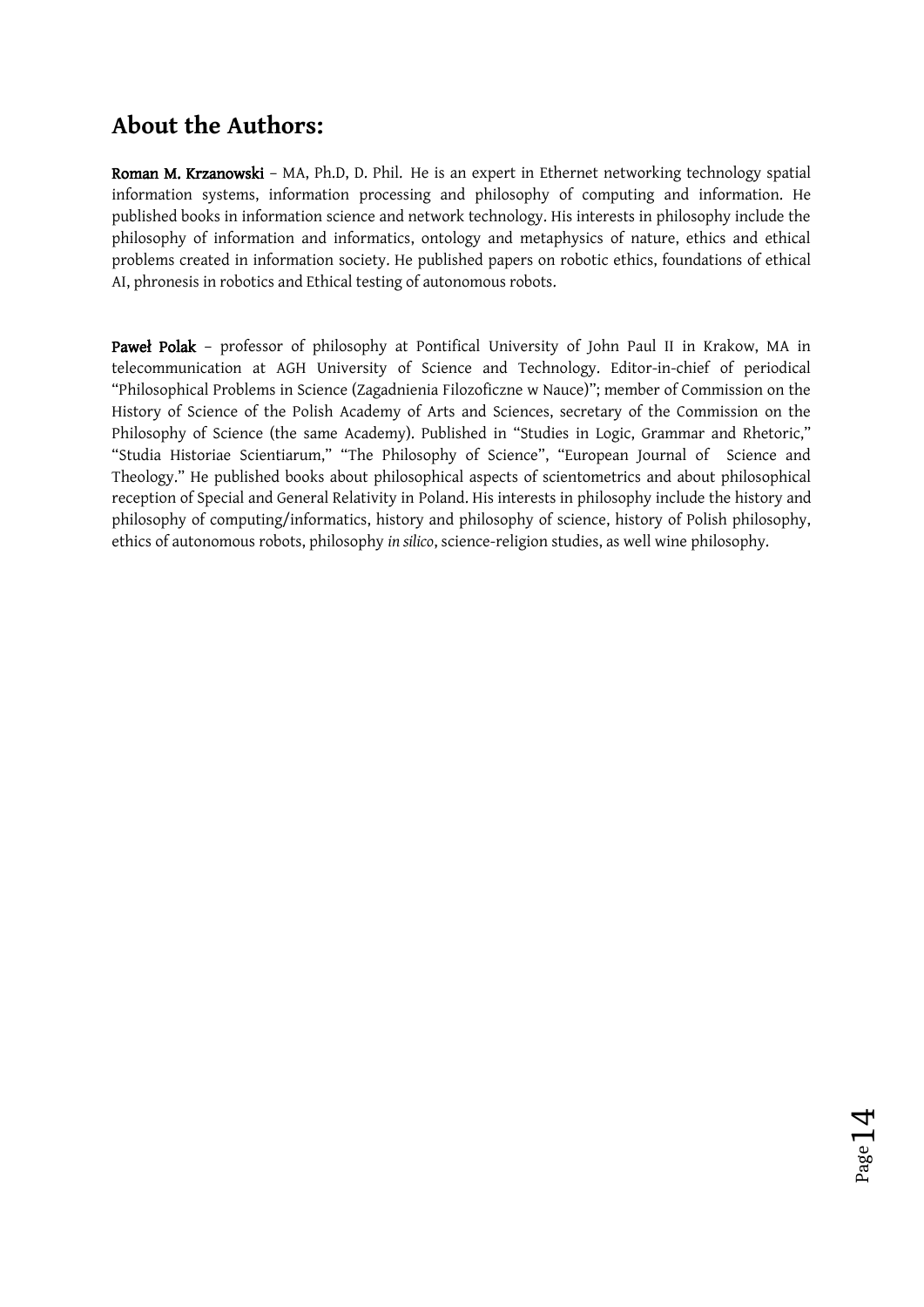# **About the Authors:**

Roman M. Krzanowski – MA, Ph.D, D. Phil. He is an expert in Ethernet networking technology spatial information systems, information processing and philosophy of computing and information. He published books in information science and network technology. His interests in philosophy include the philosophy of information and informatics, ontology and metaphysics of nature, ethics and ethical problems created in information society. He published papers on robotic ethics, foundations of ethical AI, phronesis in robotics and Ethical testing of autonomous robots.

Paweł Polak - professor of philosophy at Pontifical University of John Paul II in Krakow, MA in telecommunication at AGH University of Science and Technology. Editor-in-chief of periodical "Philosophical Problems in Science (Zagadnienia Filozoficzne w Nauce)"; member of Commission on the History of Science of the Polish Academy of Arts and Sciences, secretary of the Commission on the Philosophy of Science (the same Academy). Published in "Studies in Logic, Grammar and Rhetoric," "Studia Historiae Scientiarum," "The Philosophy of Science", "European Journal of Science and Theology." He published books about philosophical aspects of scientometrics and about philosophical reception of Special and General Relativity in Poland. His interests in philosophy include the history and philosophy of computing/informatics, history and philosophy of science, history of Polish philosophy, ethics of autonomous robots, philosophy *in silico*, science-religion studies, as well wine philosophy.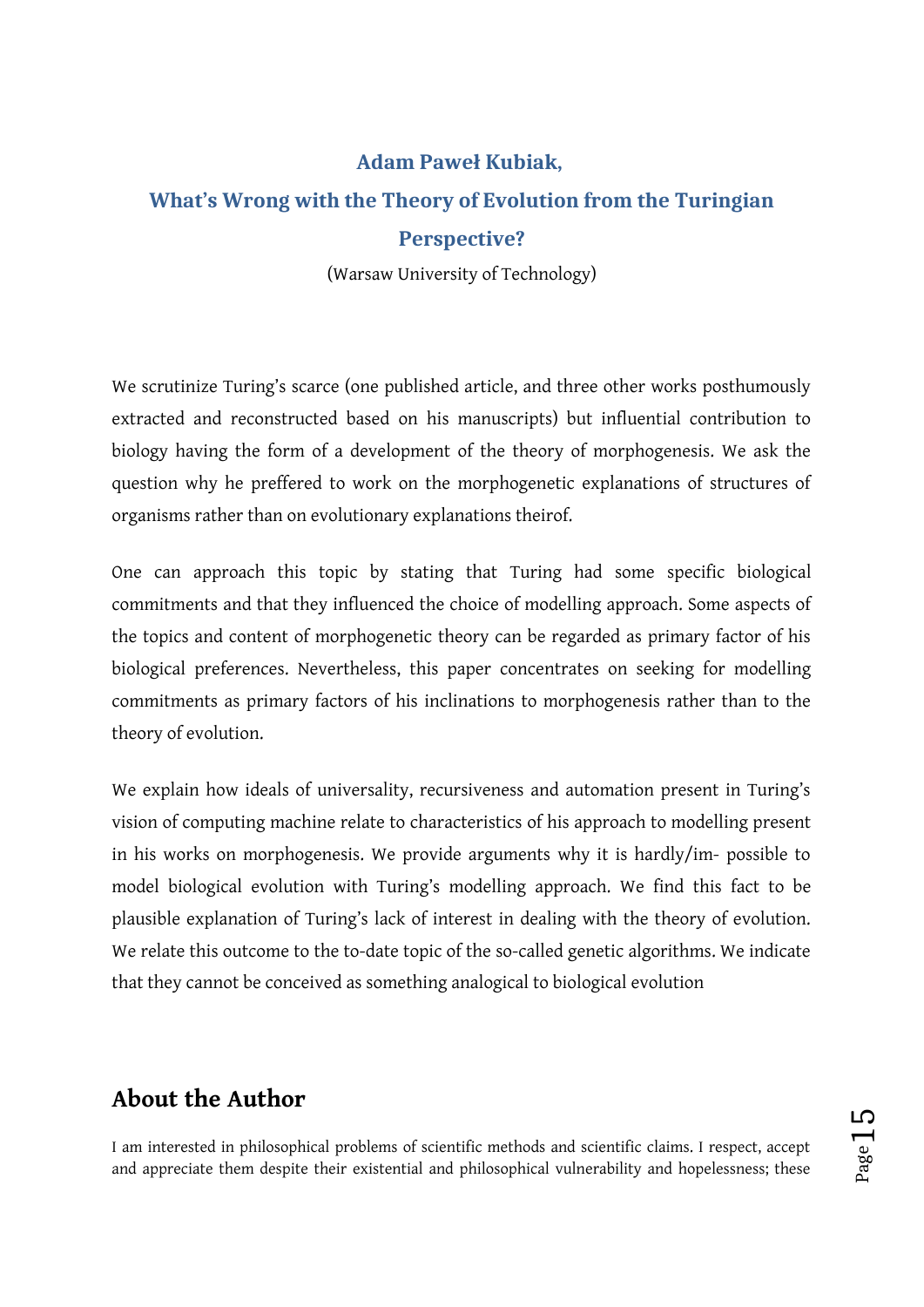### **Adam Paweł Kubiak,**

# **What's Wrong with the Theory of Evolution from the Turingian Perspective?**

(Warsaw University of Technology)

We scrutinize Turing's scarce (one published article, and three other works posthumously extracted and reconstructed based on his manuscripts) but influential contribution to biology having the form of a development of the theory of morphogenesis. We ask the question why he preffered to work on the morphogenetic explanations of structures of organisms rather than on evolutionary explanations theirof.

One can approach this topic by stating that Turing had some specific biological commitments and that they influenced the choice of modelling approach. Some aspects of the topics and content of morphogenetic theory can be regarded as primary factor of his biological preferences. Nevertheless, this paper concentrates on seeking for modelling commitments as primary factors of his inclinations to morphogenesis rather than to the theory of evolution.

We explain how ideals of universality, recursiveness and automation present in Turing's vision of computing machine relate to characteristics of his approach to modelling present in his works on morphogenesis. We provide arguments why it is hardly/im- possible to model biological evolution with Turing's modelling approach. We find this fact to be plausible explanation of Turing's lack of interest in dealing with the theory of evolution. We relate this outcome to the to-date topic of the so-called genetic algorithms. We indicate that they cannot be conceived as something analogical to biological evolution

### **About the Author**

I am interested in philosophical problems of scientific methods and scientific claims. I respect, accept and appreciate them despite their existential and philosophical vulnerability and hopelessness; these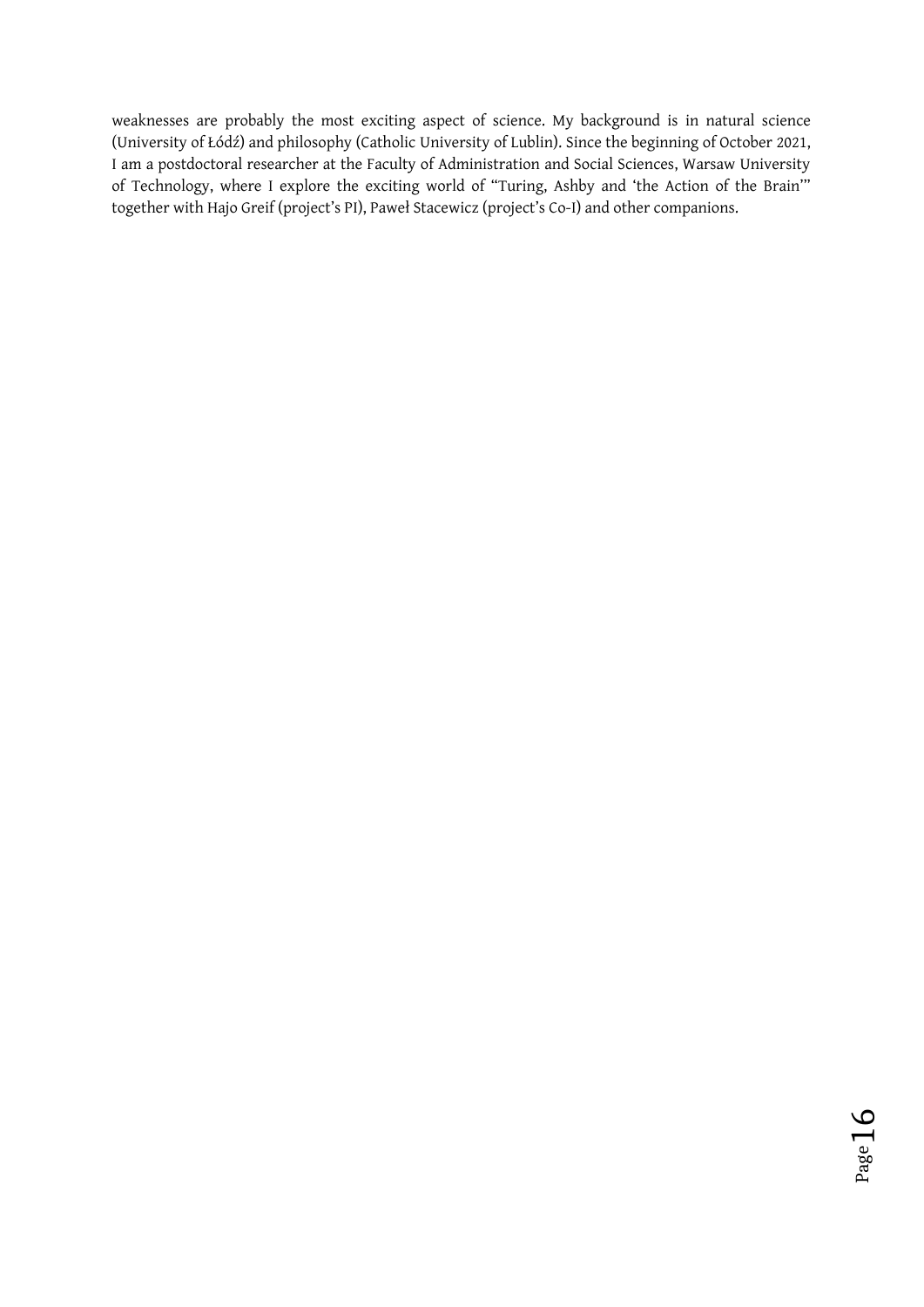weaknesses are probably the most exciting aspect of science. My background is in natural science (University of Łódź) and philosophy (Catholic University of Lublin). Since the beginning of October 2021, I am a postdoctoral researcher at the Faculty of Administration and Social Sciences, Warsaw University of Technology, where I explore the exciting world of "Turing, Ashby and 'the Action of the Brain'" together with Hajo Greif (project's PI), Paweł Stacewicz (project's Co-I) and other companions.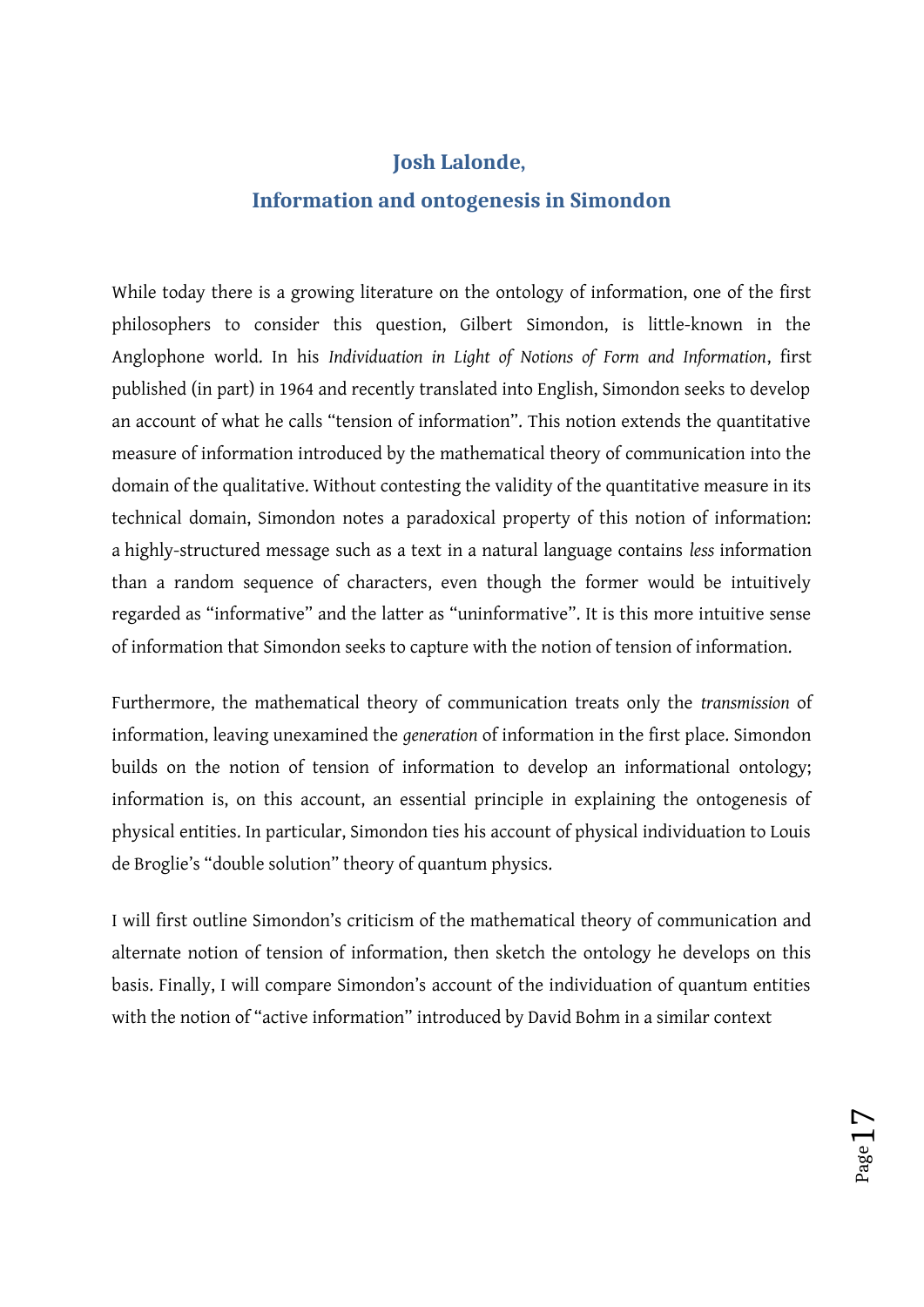### **Josh Lalonde,**

### **Information and ontogenesis in Simondon**

While today there is a growing literature on the ontology of information, one of the first philosophers to consider this question, Gilbert Simondon, is little-known in the Anglophone world. In his *Individuation in Light of Notions of Form and Information*, first published (in part) in 1964 and recently translated into English, Simondon seeks to develop an account of what he calls "tension of information". This notion extends the quantitative measure of information introduced by the mathematical theory of communication into the domain of the qualitative. Without contesting the validity of the quantitative measure in its technical domain, Simondon notes a paradoxical property of this notion of information: a highly-structured message such as a text in a natural language contains *less* information than a random sequence of characters, even though the former would be intuitively regarded as "informative" and the latter as "uninformative". It is this more intuitive sense of information that Simondon seeks to capture with the notion of tension of information.

Furthermore, the mathematical theory of communication treats only the *transmission* of information, leaving unexamined the *generation* of information in the first place. Simondon builds on the notion of tension of information to develop an informational ontology; information is, on this account, an essential principle in explaining the ontogenesis of physical entities. In particular, Simondon ties his account of physical individuation to Louis de Broglie's "double solution" theory of quantum physics.

I will first outline Simondon's criticism of the mathematical theory of communication and alternate notion of tension of information, then sketch the ontology he develops on this basis. Finally, I will compare Simondon's account of the individuation of quantum entities with the notion of "active information" introduced by David Bohm in a similar context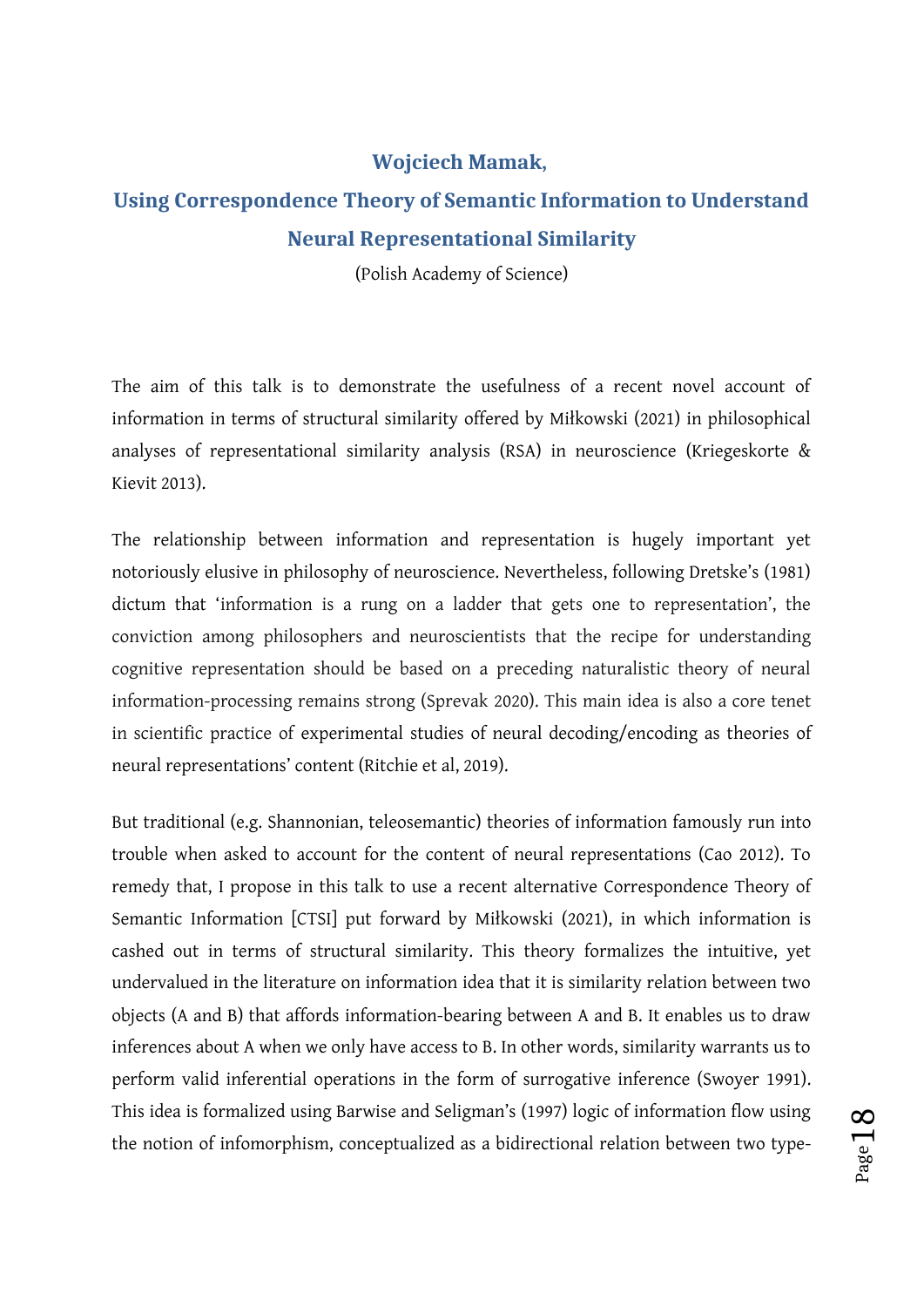#### **Wojciech Mamak,**

# **Using Correspondence Theory of Semantic Information to Understand Neural Representational Similarity**

(Polish Academy of Science)

The aim of this talk is to demonstrate the usefulness of a recent novel account of information in terms of structural similarity offered by Miłkowski (2021) in philosophical analyses of representational similarity analysis (RSA) in neuroscience (Kriegeskorte & Kievit 2013).

The relationship between information and representation is hugely important yet notoriously elusive in philosophy of neuroscience. Nevertheless, following Dretske's (1981) dictum that 'information is a rung on a ladder that gets one to representation', the conviction among philosophers and neuroscientists that the recipe for understanding cognitive representation should be based on a preceding naturalistic theory of neural information-processing remains strong (Sprevak 2020). This main idea is also a core tenet in scientific practice of experimental studies of neural decoding/encoding as theories of neural representations' content (Ritchie et al, 2019).

But traditional (e.g. Shannonian, teleosemantic) theories of information famously run into trouble when asked to account for the content of neural representations (Cao 2012). To remedy that, I propose in this talk to use a recent alternative Correspondence Theory of Semantic Information [CTSI] put forward by Miłkowski (2021), in which information is cashed out in terms of structural similarity. This theory formalizes the intuitive, yet undervalued in the literature on information idea that it is similarity relation between two objects (A and B) that affords information-bearing between A and B. It enables us to draw inferences about A when we only have access to B. In other words, similarity warrants us to perform valid inferential operations in the form of surrogative inference (Swoyer 1991). This idea is formalized using Barwise and Seligman's (1997) logic of information flow using the notion of infomorphism, conceptualized as a bidirectional relation between two type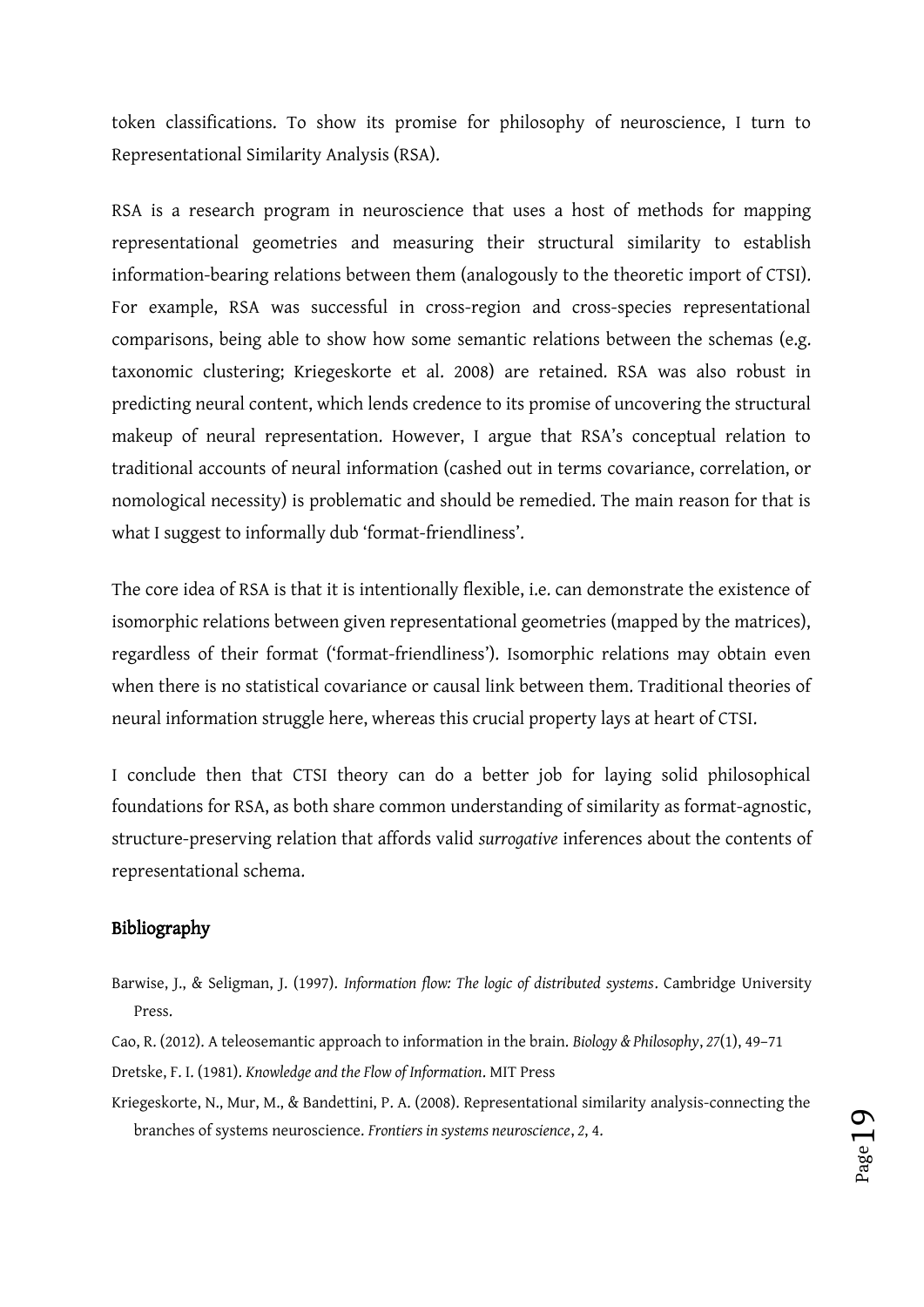token classifications. To show its promise for philosophy of neuroscience, I turn to Representational Similarity Analysis (RSA).

RSA is a research program in neuroscience that uses a host of methods for mapping representational geometries and measuring their structural similarity to establish information-bearing relations between them (analogously to the theoretic import of CTSI). For example, RSA was successful in cross-region and cross-species representational comparisons, being able to show how some semantic relations between the schemas (e.g. taxonomic clustering; Kriegeskorte et al. 2008) are retained. RSA was also robust in predicting neural content, which lends credence to its promise of uncovering the structural makeup of neural representation. However, I argue that RSA's conceptual relation to traditional accounts of neural information (cashed out in terms covariance, correlation, or nomological necessity) is problematic and should be remedied. The main reason for that is what I suggest to informally dub 'format-friendliness'.

The core idea of RSA is that it is intentionally flexible, i.e. can demonstrate the existence of isomorphic relations between given representational geometries (mapped by the matrices), regardless of their format ('format-friendliness'). Isomorphic relations may obtain even when there is no statistical covariance or causal link between them. Traditional theories of neural information struggle here, whereas this crucial property lays at heart of CTSI.

I conclude then that CTSI theory can do a better job for laying solid philosophical foundations for RSA, as both share common understanding of similarity as format-agnostic, structure-preserving relation that affords valid *surrogative* inferences about the contents of representational schema.

#### Bibliography

- Barwise, J., & Seligman, J. (1997). *Information flow: The logic of distributed systems*. Cambridge University Press.
- Cao, R. (2012). A teleosemantic approach to information in the brain. *Biology & Philosophy*, *27*(1), 49–71
- Dretske, F. I. (1981). *Knowledge and the Flow of Information*. MIT Press
- Kriegeskorte, N., Mur, M., & Bandettini, P. A. (2008). Representational similarity analysis-connecting the branches of systems neuroscience. *Frontiers in systems neuroscience*, *2*, 4.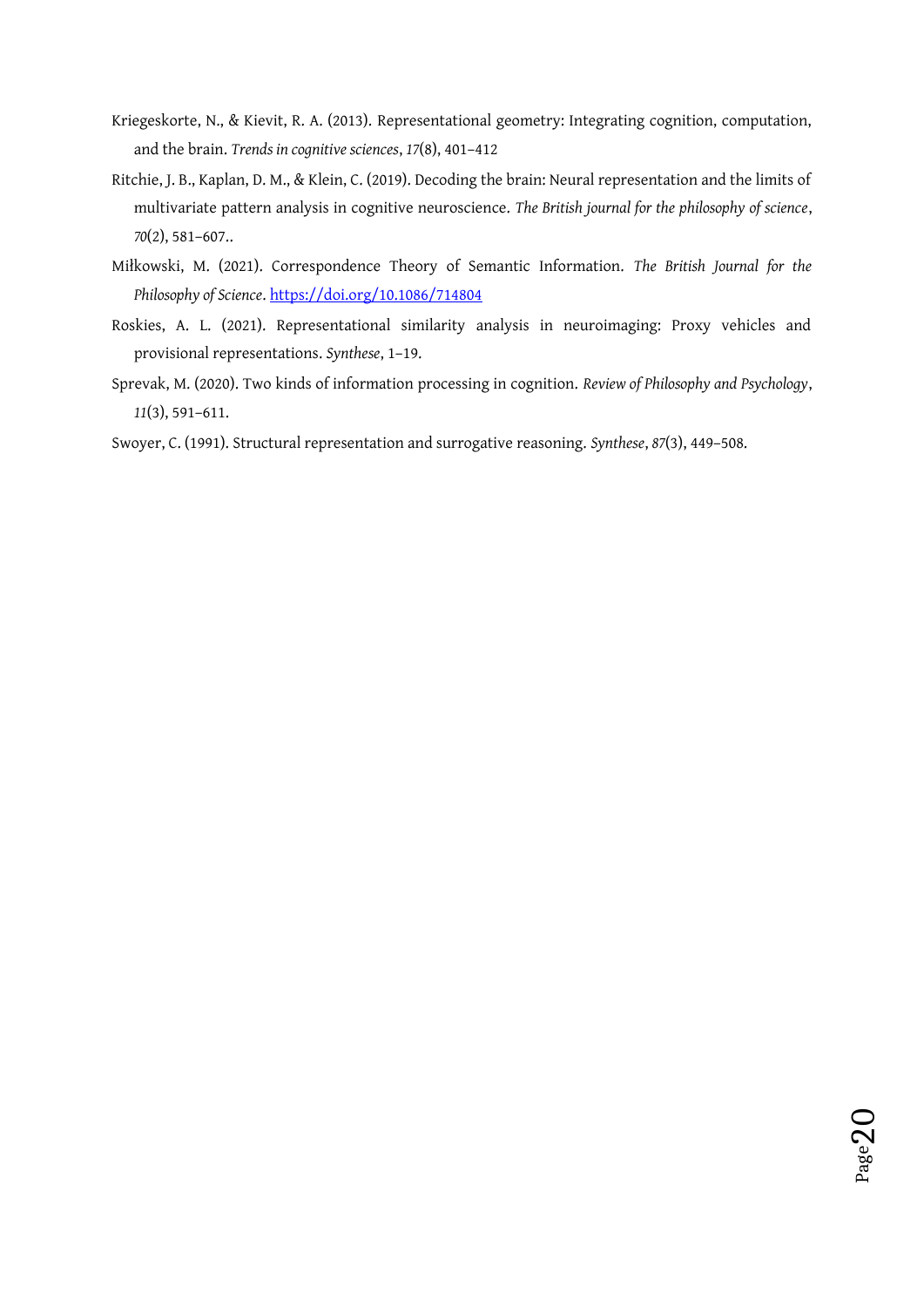- Kriegeskorte, N., & Kievit, R. A. (2013). Representational geometry: Integrating cognition, computation, and the brain. *Trends in cognitive sciences*, *17*(8), 401–412
- Ritchie, J. B., Kaplan, D. M., & Klein, C. (2019). Decoding the brain: Neural representation and the limits of multivariate pattern analysis in cognitive neuroscience. *The British journal for the philosophy of science*, *70*(2), 581–607..
- Miłkowski, M. (2021). Correspondence Theory of Semantic Information. *The British Journal for the Philosophy of Science*. https://doi.org/10.1086/714804
- Roskies, A. L. (2021). Representational similarity analysis in neuroimaging: Proxy vehicles and provisional representations. *Synthese*, 1–19.
- Sprevak, M. (2020). Two kinds of information processing in cognition. *Review of Philosophy and Psychology*, *11*(3), 591–611.

Swoyer, C. (1991). Structural representation and surrogative reasoning. *Synthese*, *87*(3), 449–508.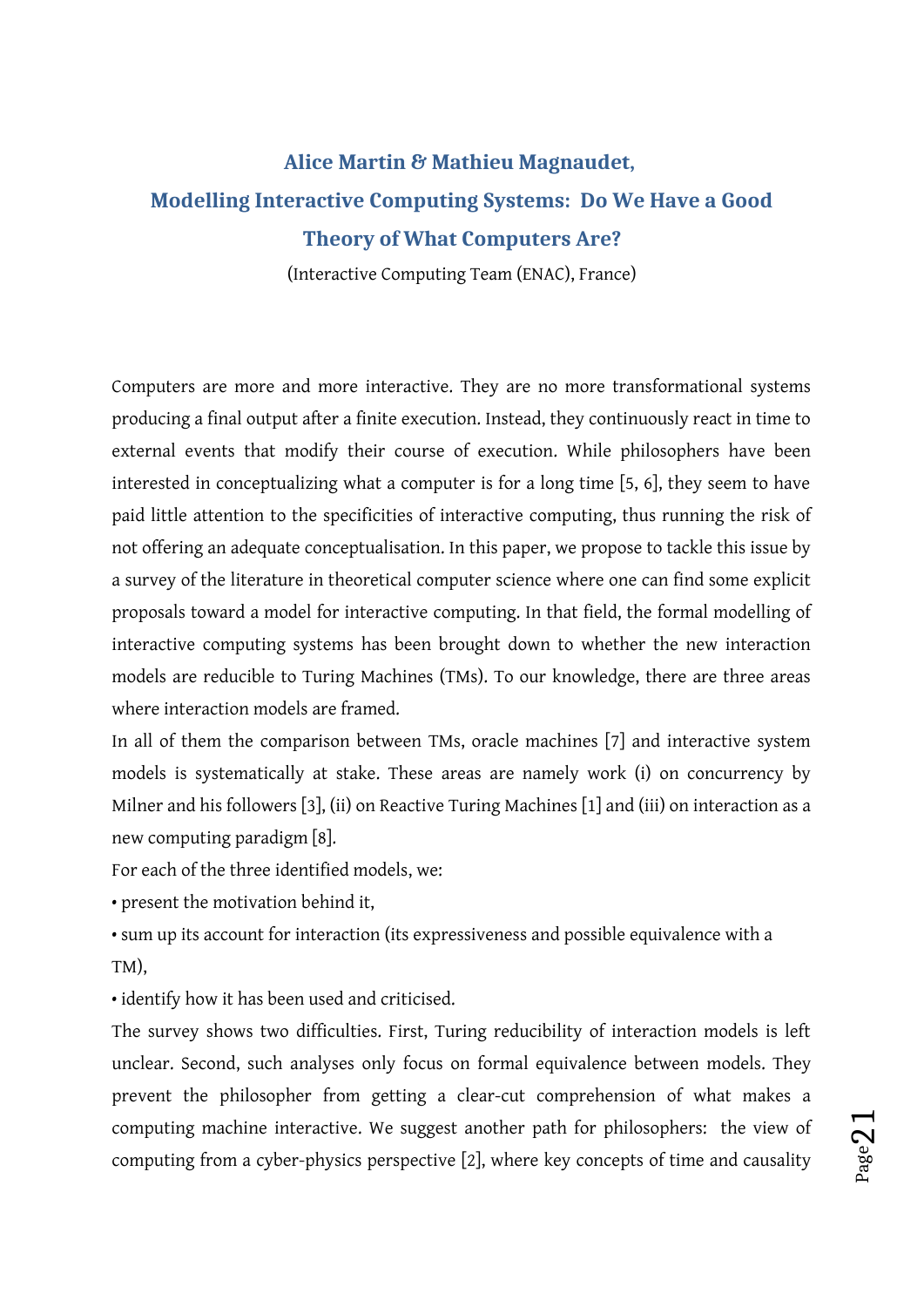# **Alice Martin & Mathieu Magnaudet, Modelling Interactive Computing Systems: Do We Have a Good Theory of What Computers Are?**

(Interactive Computing Team (ENAC), France)

Computers are more and more interactive. They are no more transformational systems producing a final output after a finite execution. Instead, they continuously react in time to external events that modify their course of execution. While philosophers have been interested in conceptualizing what a computer is for a long time [5, 6], they seem to have paid little attention to the specificities of interactive computing, thus running the risk of not offering an adequate conceptualisation. In this paper, we propose to tackle this issue by a survey of the literature in theoretical computer science where one can find some explicit proposals toward a model for interactive computing. In that field, the formal modelling of interactive computing systems has been brought down to whether the new interaction models are reducible to Turing Machines (TMs). To our knowledge, there are three areas where interaction models are framed.

In all of them the comparison between TMs, oracle machines [7] and interactive system models is systematically at stake. These areas are namely work (i) on concurrency by Milner and his followers [3], (ii) on Reactive Turing Machines [1] and (iii) on interaction as a new computing paradigm [8].

For each of the three identified models, we:

• present the motivation behind it,

• sum up its account for interaction (its expressiveness and possible equivalence with a TM),

• identify how it has been used and criticised.

The survey shows two difficulties. First, Turing reducibility of interaction models is left unclear. Second, such analyses only focus on formal equivalence between models. They prevent the philosopher from getting a clear-cut comprehension of what makes a computing machine interactive. We suggest another path for philosophers: the view of computing from a cyber-physics perspective [2], where key concepts of time and causality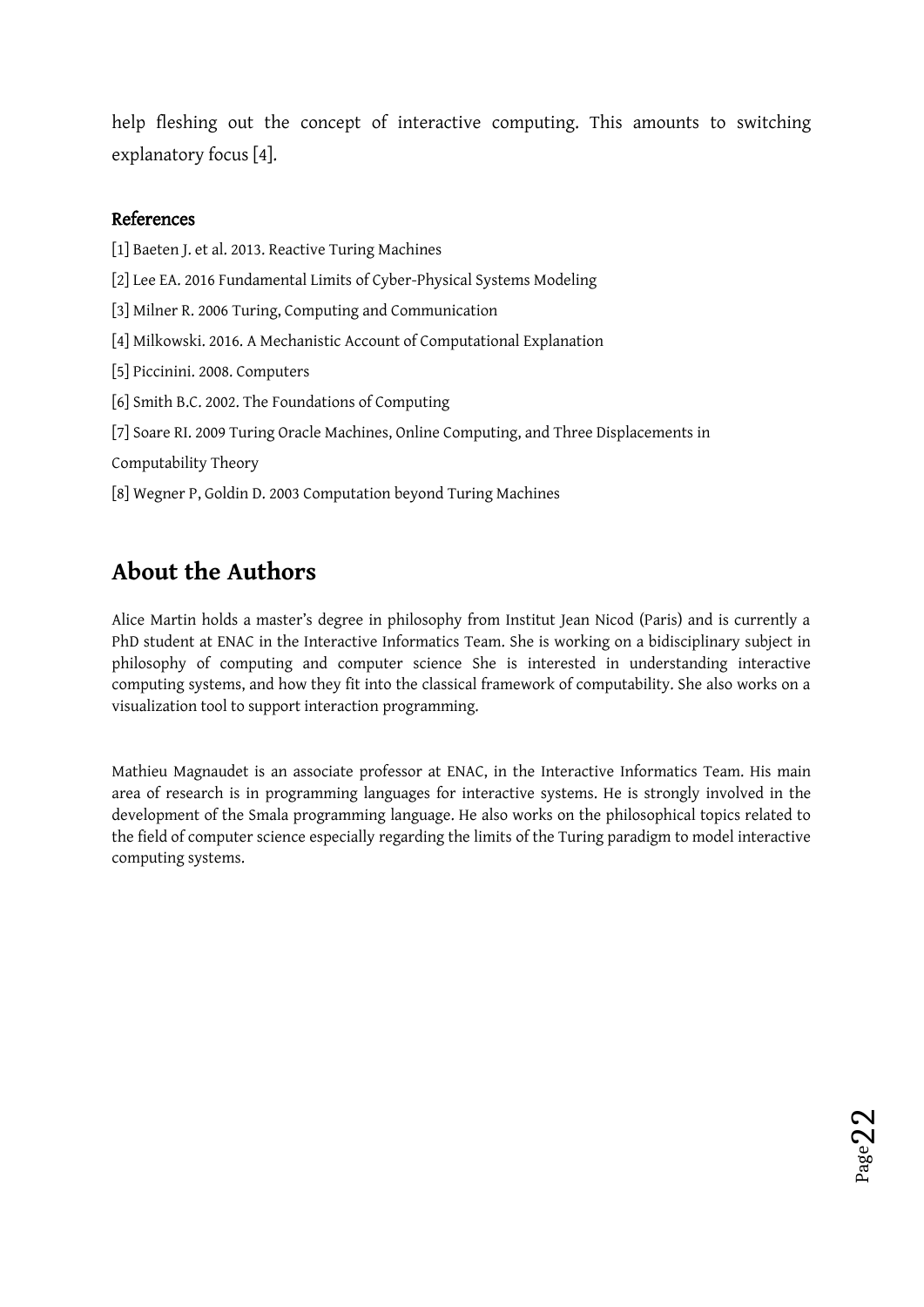help fleshing out the concept of interactive computing. This amounts to switching explanatory focus [4].

#### References

[1] Baeten J. et al. 2013. Reactive Turing Machines [2] Lee EA. 2016 Fundamental Limits of Cyber-Physical Systems Modeling [3] Milner R. 2006 Turing, Computing and Communication [4] Milkowski. 2016. A Mechanistic Account of Computational Explanation [5] Piccinini. 2008. Computers [6] Smith B.C. 2002. The Foundations of Computing [7] Soare RI. 2009 Turing Oracle Machines, Online Computing, and Three Displacements in Computability Theory [8] Wegner P, Goldin D. 2003 Computation beyond Turing Machines

# **About the Authors**

Alice Martin holds a master's degree in philosophy from Institut Jean Nicod (Paris) and is currently a PhD student at ENAC in the Interactive Informatics Team. She is working on a bidisciplinary subject in philosophy of computing and computer science She is interested in understanding interactive computing systems, and how they fit into the classical framework of computability. She also works on a visualization tool to support interaction programming.

Mathieu Magnaudet is an associate professor at ENAC, in the Interactive Informatics Team. His main area of research is in programming languages for interactive systems. He is strongly involved in the development of the Smala programming language. He also works on the philosophical topics related to the field of computer science especially regarding the limits of the Turing paradigm to model interactive computing systems.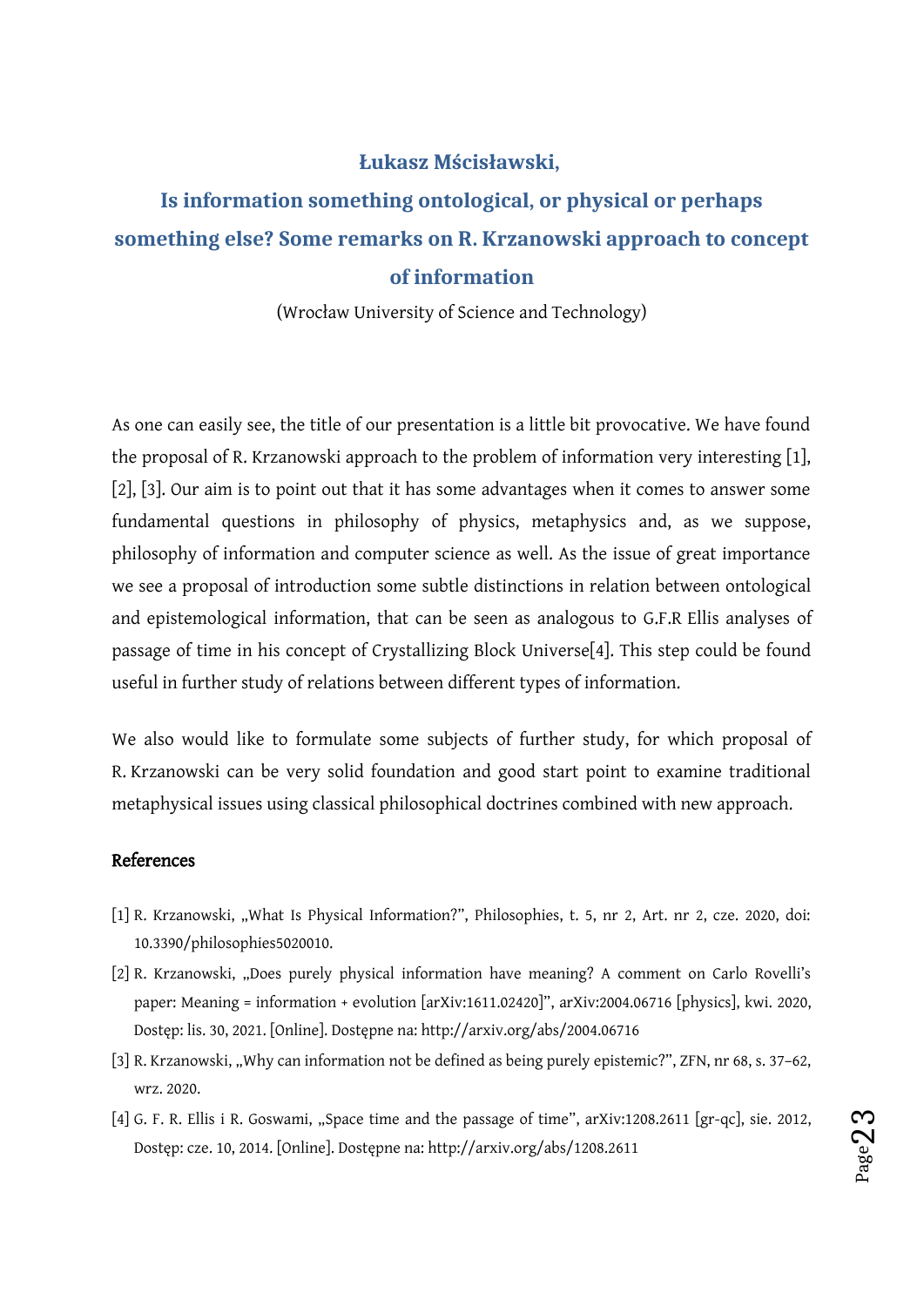#### <span id="page-22-0"></span>**Łukasz Mścisławski,**

# **Is information something ontological, or physical or perhaps something else? Some remarks on R. Krzanowski approach to concept of information**

(Wrocław University of Science and Technology)

As one can easily see, the title of our presentation is a little bit provocative. We have found the proposal of R. Krzanowski approach to the problem of information very interesting [1], [2], [3]. Our aim is to point out that it has some advantages when it comes to answer some fundamental questions in philosophy of physics, metaphysics and, as we suppose, philosophy of information and computer science as well. As the issue of great importance we see a proposal of introduction some subtle distinctions in relation between ontological and epistemological information, that can be seen as analogous to G.F.R Ellis analyses of passage of time in his concept of Crystallizing Block Universe[4]. This step could be found useful in further study of relations between different types of information.

We also would like to formulate some subjects of further study, for which proposal of R. Krzanowski can be very solid foundation and good start point to examine traditional metaphysical issues using classical philosophical doctrines combined with new approach.

#### References

- [1] R. Krzanowski, "What Is Physical Information?", Philosophies, t. 5, nr 2, Art. nr 2, cze. 2020, doi: 10.3390/philosophies5020010.
- [2] R. Krzanowski, "Does purely physical information have meaning? A comment on Carlo Rovelli's paper: Meaning = information + evolution [arXiv:1611.02420]", arXiv:2004.06716 [physics], kwi. 2020, Dostęp: lis. 30, 2021. [Online]. Dostępne na: http://arxiv.org/abs/2004.06716
- [3] R. Krzanowski, "Why can information not be defined as being purely epistemic?", ZFN, nr 68, s. 37-62, wrz. 2020.
- [4] G. F. R. Ellis i R. Goswami, "Space time and the passage of time", arXiv:1208.2611 [gr-qc], sie. 2012, Dostęp: cze. 10, 2014. [Online]. Dostępne na: http://arxiv.org/abs/1208.2611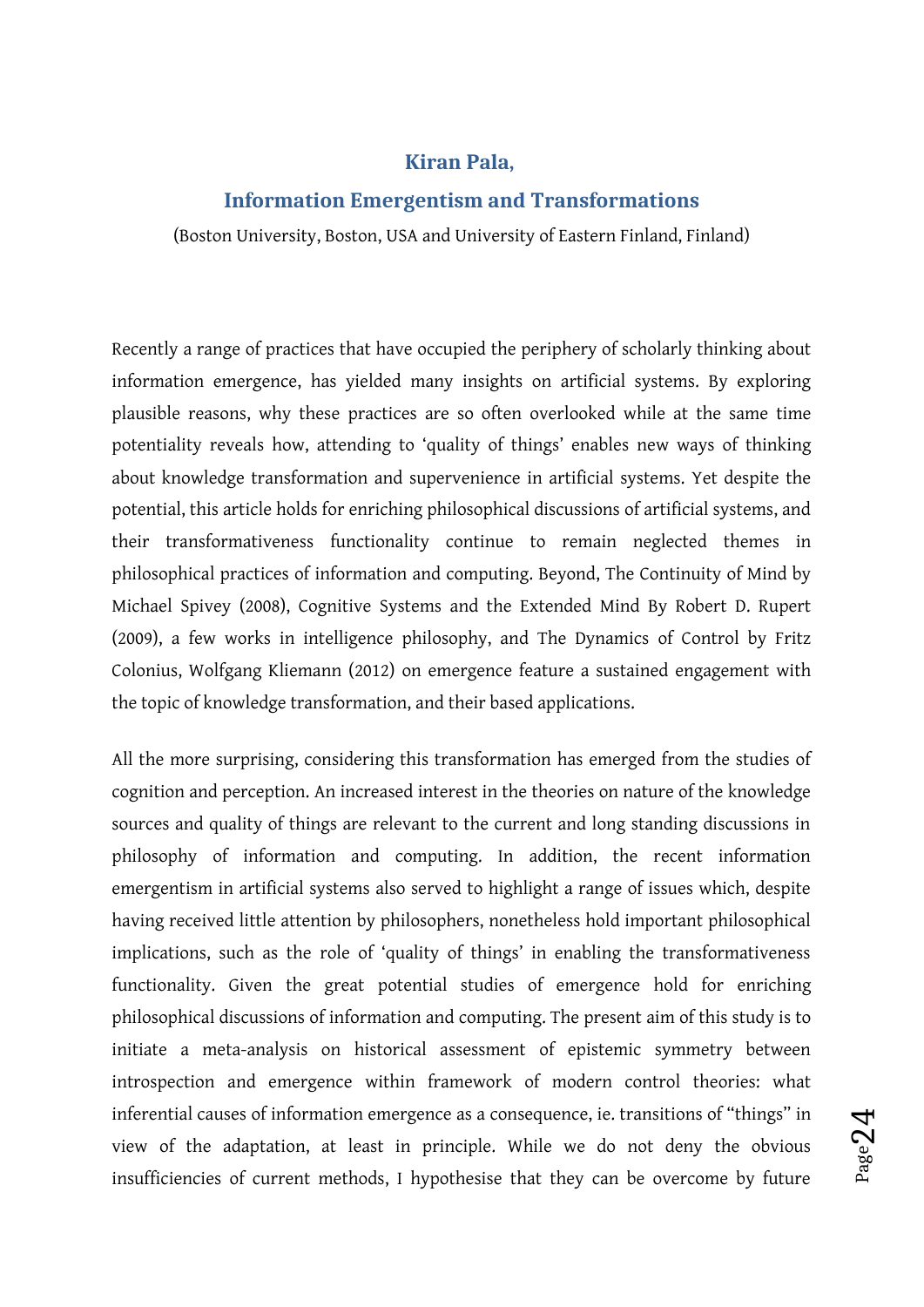#### <span id="page-23-0"></span>**Kiran Pala,**

#### **Information Emergentism and Transformations**

(Boston University, Boston, USA and University of Eastern Finland, Finland)

Recently a range of practices that have occupied the periphery of scholarly thinking about information emergence, has yielded many insights on artificial systems. By exploring plausible reasons, why these practices are so often overlooked while at the same time potentiality reveals how, attending to 'quality of things' enables new ways of thinking about knowledge transformation and supervenience in artificial systems. Yet despite the potential, this article holds for enriching philosophical discussions of artificial systems, and their transformativeness functionality continue to remain neglected themes in philosophical practices of information and computing. Beyond, The Continuity of Mind by Michael Spivey (2008), Cognitive Systems and the Extended Mind By Robert D. Rupert (2009), a few works in intelligence philosophy, and The Dynamics of Control by Fritz Colonius, Wolfgang Kliemann (2012) on emergence feature a sustained engagement with the topic of knowledge transformation, and their based applications.

All the more surprising, considering this transformation has emerged from the studies of cognition and perception. An increased interest in the theories on nature of the knowledge sources and quality of things are relevant to the current and long standing discussions in philosophy of information and computing. In addition, the recent information emergentism in artificial systems also served to highlight a range of issues which, despite having received little attention by philosophers, nonetheless hold important philosophical implications, such as the role of 'quality of things' in enabling the transformativeness functionality. Given the great potential studies of emergence hold for enriching philosophical discussions of information and computing. The present aim of this study is to initiate a meta-analysis on historical assessment of epistemic symmetry between introspection and emergence within framework of modern control theories: what inferential causes of information emergence as a consequence, ie. transitions of "things" in view of the adaptation, at least in principle. While we do not deny the obvious insufficiencies of current methods, I hypothesise that they can be overcome by future

Page $2$ 

4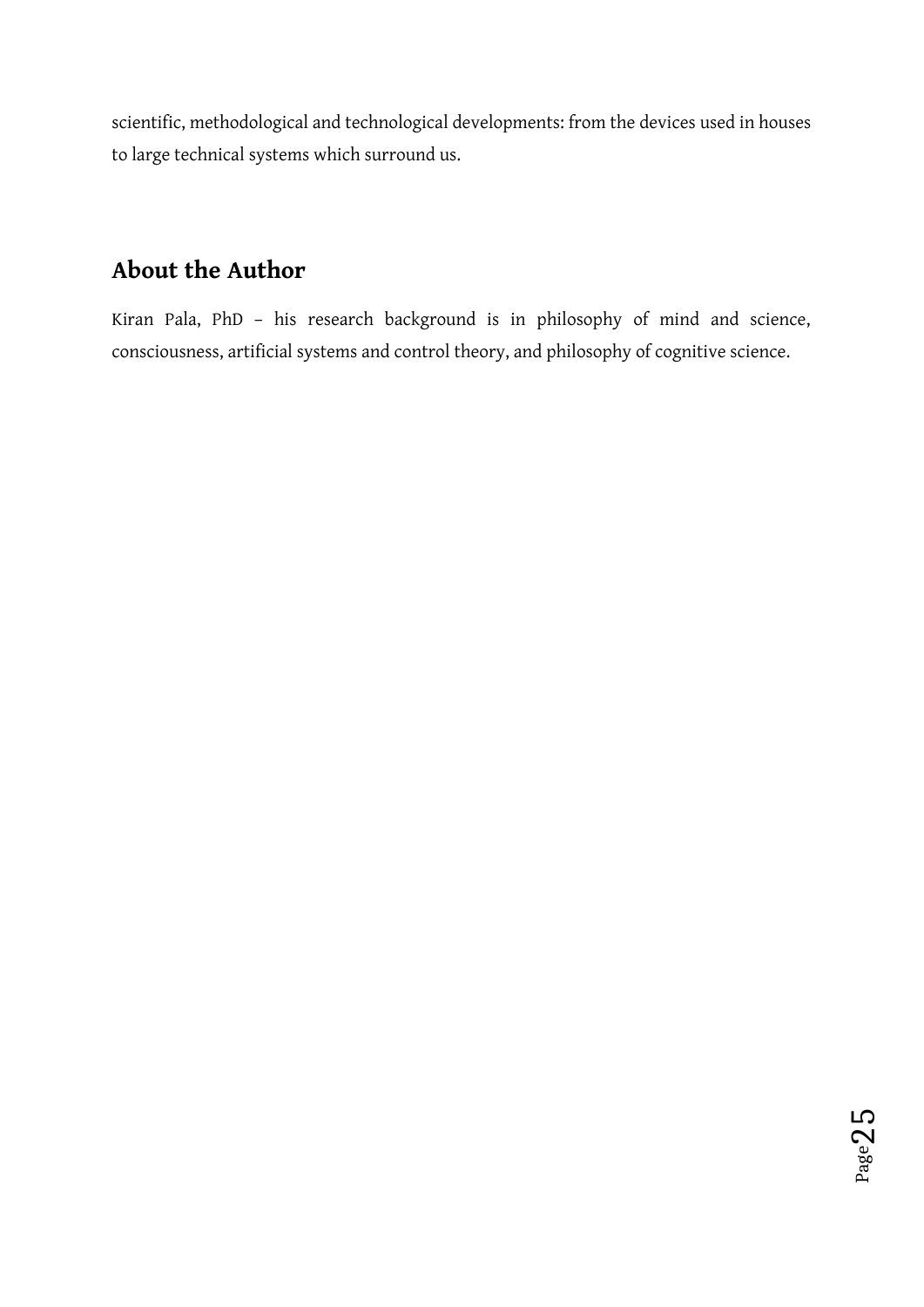scientific, methodological and technological developments: from the devices used in houses to large technical systems which surround us.

# **About the Author**

Kiran Pala, PhD – his research background is in philosophy of mind and science, consciousness, artificial systems and control theory, and philosophy of cognitive science.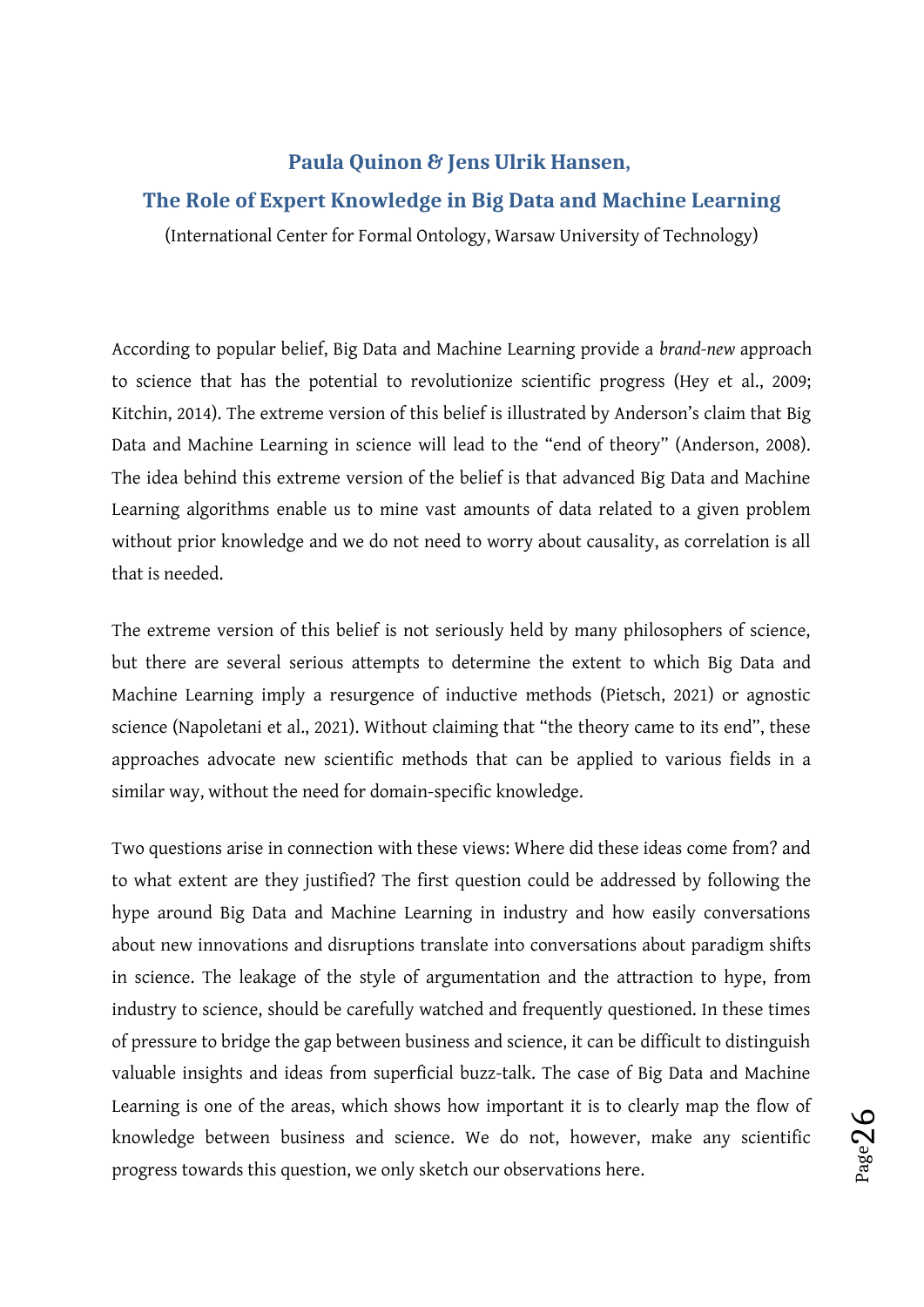#### <span id="page-25-0"></span>**Paula Quinon & Jens Ulrik Hansen,**

#### **The Role of Expert Knowledge in Big Data and Machine Learning**

(International Center for Formal Ontology, Warsaw University of Technology)

According to popular belief, Big Data and Machine Learning provide a *brand-new* approach to science that has the potential to revolutionize scientific progress (Hey et al., 2009; Kitchin, 2014). The extreme version of this belief is illustrated by Anderson's claim that Big Data and Machine Learning in science will lead to the "end of theory" (Anderson, 2008). The idea behind this extreme version of the belief is that advanced Big Data and Machine Learning algorithms enable us to mine vast amounts of data related to a given problem without prior knowledge and we do not need to worry about causality, as correlation is all that is needed.

The extreme version of this belief is not seriously held by many philosophers of science, but there are several serious attempts to determine the extent to which Big Data and Machine Learning imply a resurgence of inductive methods (Pietsch, 2021) or agnostic science (Napoletani et al., 2021). Without claiming that "the theory came to its end", these approaches advocate new scientific methods that can be applied to various fields in a similar way, without the need for domain-specific knowledge.

Two questions arise in connection with these views: Where did these ideas come from? and to what extent are they justified? The first question could be addressed by following the hype around Big Data and Machine Learning in industry and how easily conversations about new innovations and disruptions translate into conversations about paradigm shifts in science. The leakage of the style of argumentation and the attraction to hype, from industry to science, should be carefully watched and frequently questioned. In these times of pressure to bridge the gap between business and science, it can be difficult to distinguish valuable insights and ideas from superficial buzz-talk. The case of Big Data and Machine Learning is one of the areas, which shows how important it is to clearly map the flow of knowledge between business and science. We do not, however, make any scientific progress towards this question, we only sketch our observations here.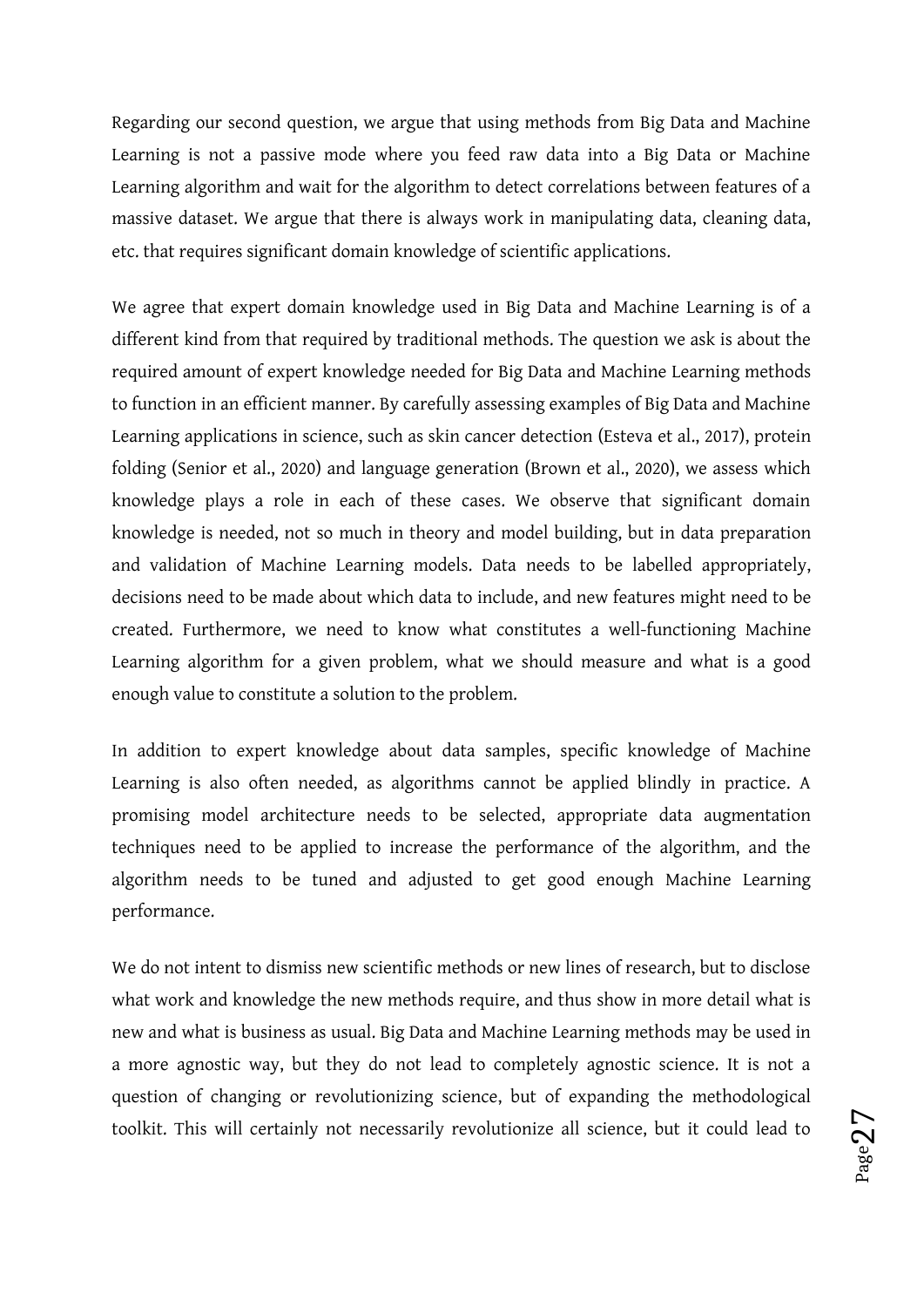Regarding our second question, we argue that using methods from Big Data and Machine Learning is not a passive mode where you feed raw data into a Big Data or Machine Learning algorithm and wait for the algorithm to detect correlations between features of a massive dataset. We argue that there is always work in manipulating data, cleaning data, etc. that requires significant domain knowledge of scientific applications.

We agree that expert domain knowledge used in Big Data and Machine Learning is of a different kind from that required by traditional methods. The question we ask is about the required amount of expert knowledge needed for Big Data and Machine Learning methods to function in an efficient manner. By carefully assessing examples of Big Data and Machine Learning applications in science, such as skin cancer detection (Esteva et al., 2017), protein folding (Senior et al., 2020) and language generation (Brown et al., 2020), we assess which knowledge plays a role in each of these cases. We observe that significant domain knowledge is needed, not so much in theory and model building, but in data preparation and validation of Machine Learning models. Data needs to be labelled appropriately, decisions need to be made about which data to include, and new features might need to be created. Furthermore, we need to know what constitutes a well-functioning Machine Learning algorithm for a given problem, what we should measure and what is a good enough value to constitute a solution to the problem.

In addition to expert knowledge about data samples, specific knowledge of Machine Learning is also often needed, as algorithms cannot be applied blindly in practice. A promising model architecture needs to be selected, appropriate data augmentation techniques need to be applied to increase the performance of the algorithm, and the algorithm needs to be tuned and adjusted to get good enough Machine Learning performance.

We do not intent to dismiss new scientific methods or new lines of research, but to disclose what work and knowledge the new methods require, and thus show in more detail what is new and what is business as usual. Big Data and Machine Learning methods may be used in a more agnostic way, but they do not lead to completely agnostic science. It is not a question of changing or revolutionizing science, but of expanding the methodological toolkit. This will certainly not necessarily revolutionize all science, but it could lead to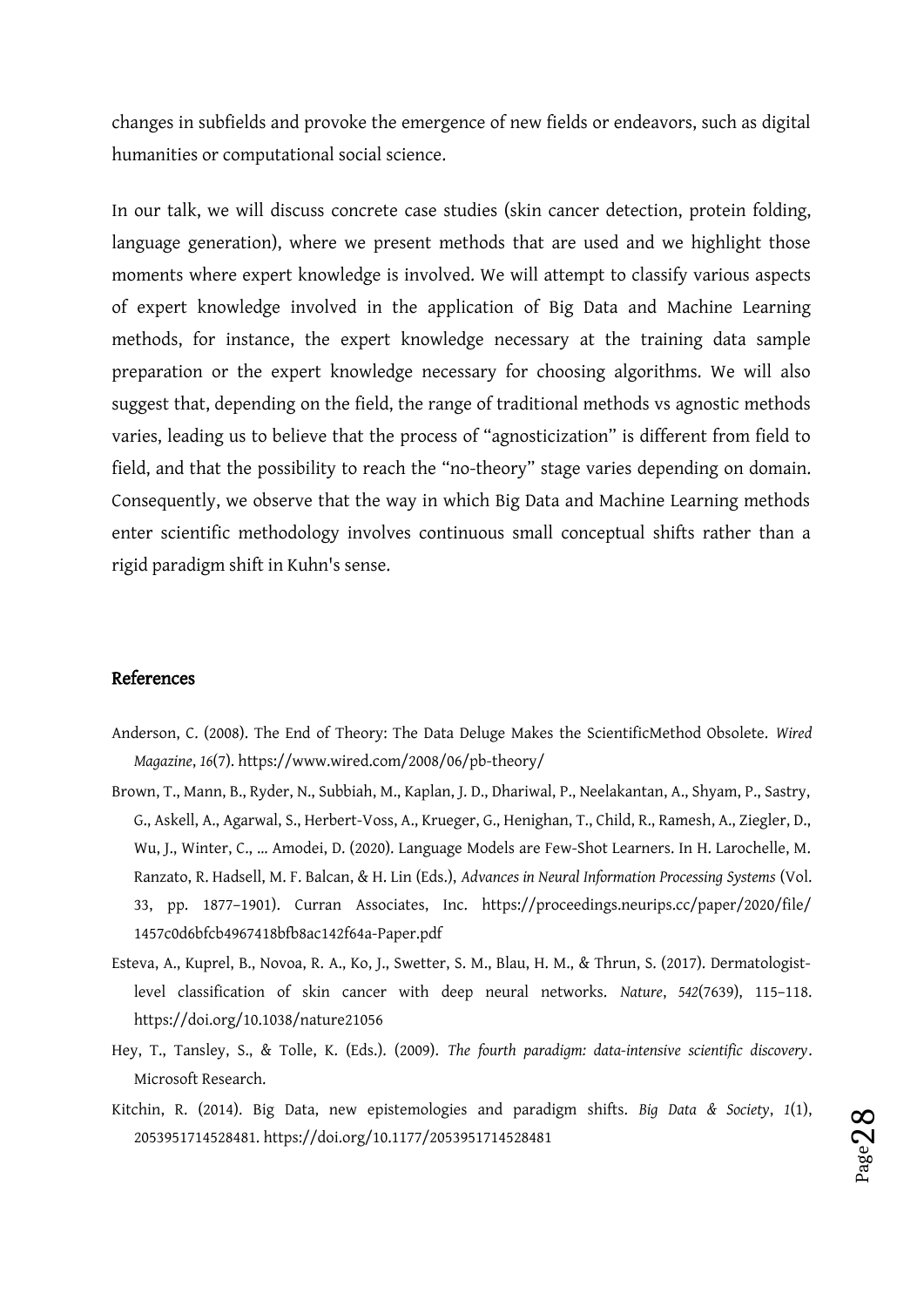changes in subfields and provoke the emergence of new fields or endeavors, such as digital humanities or computational social science.

In our talk, we will discuss concrete case studies (skin cancer detection, protein folding, language generation), where we present methods that are used and we highlight those moments where expert knowledge is involved. We will attempt to classify various aspects of expert knowledge involved in the application of Big Data and Machine Learning methods, for instance, the expert knowledge necessary at the training data sample preparation or the expert knowledge necessary for choosing algorithms. We will also suggest that, depending on the field, the range of traditional methods vs agnostic methods varies, leading us to believe that the process of "agnosticization" is different from field to field, and that the possibility to reach the "no-theory" stage varies depending on domain. Consequently, we observe that the way in which Big Data and Machine Learning methods enter scientific methodology involves continuous small conceptual shifts rather than a rigid paradigm shift in Kuhn's sense.

#### References

- Anderson, C. (2008). The End of Theory: The Data Deluge Makes the ScientificMethod Obsolete. *Wired Magazine*, *16*(7). https://www.wired.com/2008/06/pb-theory/
- Brown, T., Mann, B., Ryder, N., Subbiah, M., Kaplan, J. D., Dhariwal, P., Neelakantan, A., Shyam, P., Sastry, G., Askell, A., Agarwal, S., Herbert-Voss, A., Krueger, G., Henighan, T., Child, R., Ramesh, A., Ziegler, D., Wu, J., Winter, C., … Amodei, D. (2020). Language Models are Few-Shot Learners. In H. Larochelle, M. Ranzato, R. Hadsell, M. F. Balcan, & H. Lin (Eds.), *Advances in Neural Information Processing Systems* (Vol. 33, pp. 1877–1901). Curran Associates, Inc. https://proceedings.neurips.cc/paper/2020/file/ 1457c0d6bfcb4967418bfb8ac142f64a-Paper.pdf
- Esteva, A., Kuprel, B., Novoa, R. A., Ko, J., Swetter, S. M., Blau, H. M., & Thrun, S. (2017). Dermatologistlevel classification of skin cancer with deep neural networks. *Nature*, *542*(7639), 115–118. https://doi.org/10.1038/nature21056
- Hey, T., Tansley, S., & Tolle, K. (Eds.). (2009). *The fourth paradigm: data-intensive scientific discovery*. Microsoft Research.
- Kitchin, R. (2014). Big Data, new epistemologies and paradigm shifts. *Big Data & Society*, *1*(1), 2053951714528481. https://doi.org/10.1177/2053951714528481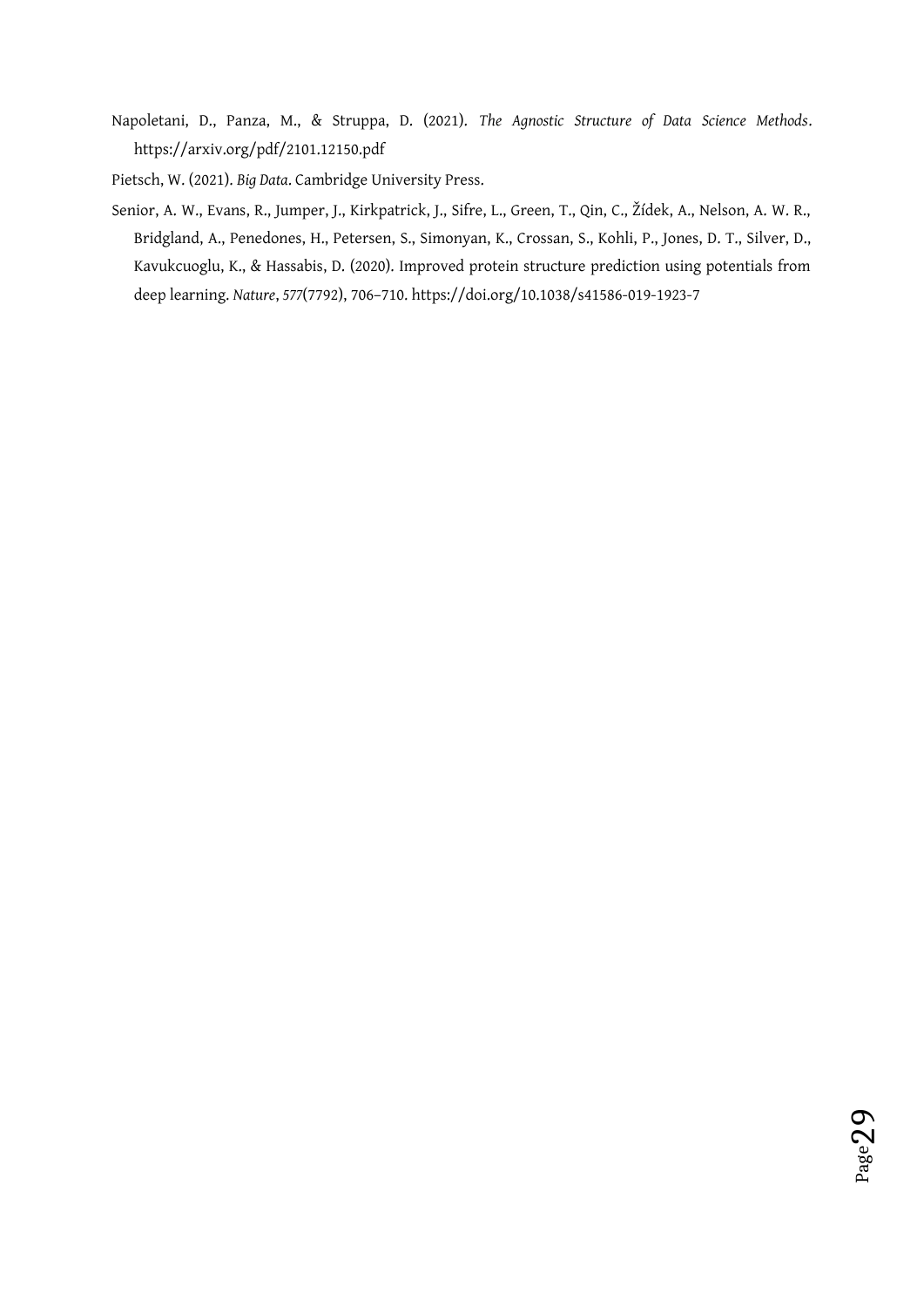- Napoletani, D., Panza, M., & Struppa, D. (2021). *The Agnostic Structure of Data Science Methods*. https://arxiv.org/pdf/2101.12150.pdf
- Pietsch, W. (2021). *Big Data*. Cambridge University Press.
- Senior, A. W., Evans, R., Jumper, J., Kirkpatrick, J., Sifre, L., Green, T., Qin, C., Žídek, A., Nelson, A. W. R., Bridgland, A., Penedones, H., Petersen, S., Simonyan, K., Crossan, S., Kohli, P., Jones, D. T., Silver, D., Kavukcuoglu, K., & Hassabis, D. (2020). Improved protein structure prediction using potentials from deep learning. *Nature*, *577*(7792), 706–710. https://doi.org/10.1038/s41586-019-1923-7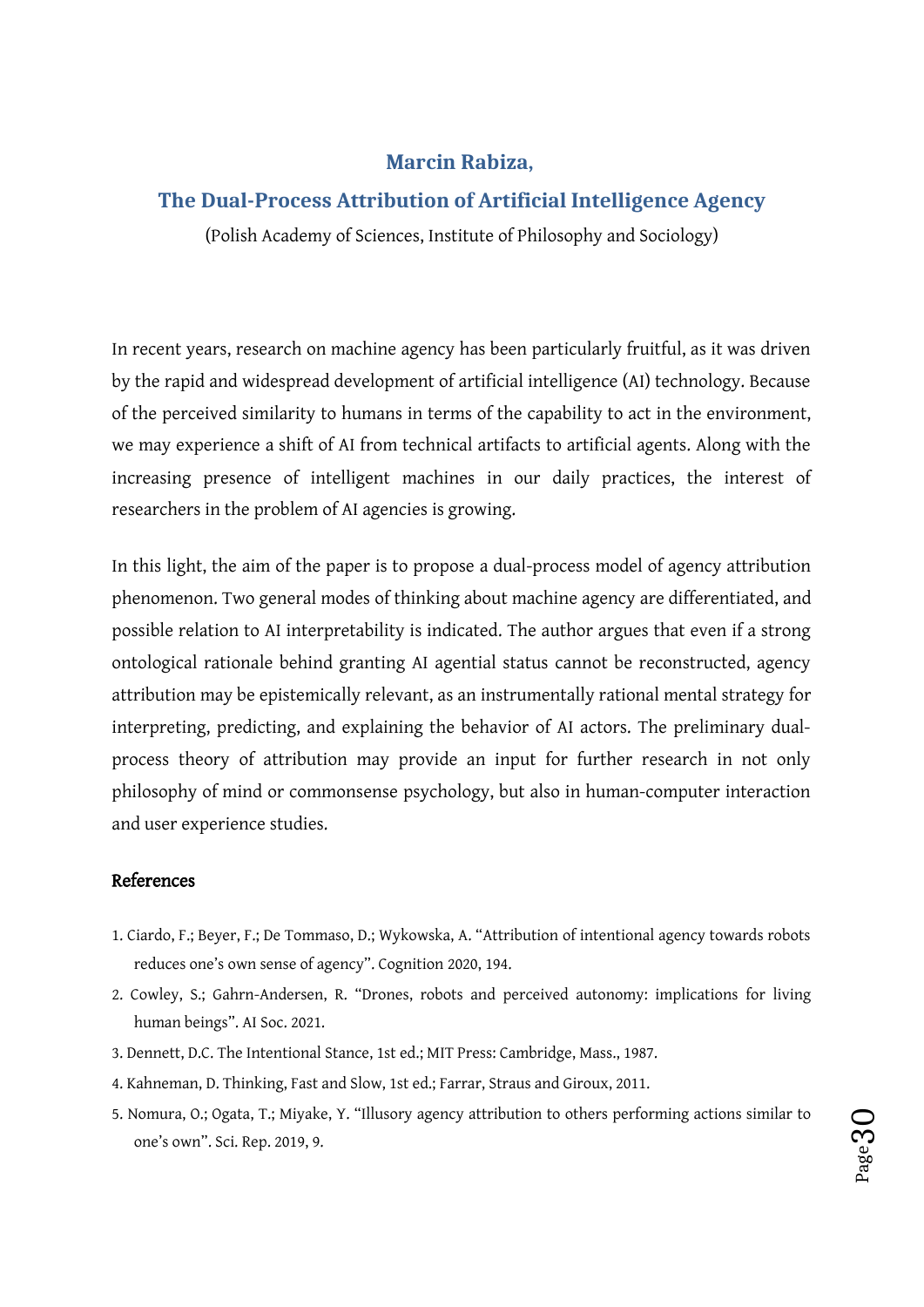#### <span id="page-29-0"></span>**Marcin Rabiza,**

#### **The Dual-Process Attribution of Artificial Intelligence Agency**

(Polish Academy of Sciences, Institute of Philosophy and Sociology)

In recent years, research on machine agency has been particularly fruitful, as it was driven by the rapid and widespread development of artificial intelligence (AI) technology. Because of the perceived similarity to humans in terms of the capability to act in the environment, we may experience a shift of AI from technical artifacts to artificial agents. Along with the increasing presence of intelligent machines in our daily practices, the interest of researchers in the problem of AI agencies is growing.

In this light, the aim of the paper is to propose a dual-process model of agency attribution phenomenon. Two general modes of thinking about machine agency are differentiated, and possible relation to AI interpretability is indicated. The author argues that even if a strong ontological rationale behind granting AI agential status cannot be reconstructed, agency attribution may be epistemically relevant, as an instrumentally rational mental strategy for interpreting, predicting, and explaining the behavior of AI actors. The preliminary dualprocess theory of attribution may provide an input for further research in not only philosophy of mind or commonsense psychology, but also in human-computer interaction and user experience studies.

#### References

- 1. Ciardo, F.; Beyer, F.; De Tommaso, D.; Wykowska, A. "Attribution of intentional agency towards robots reduces one's own sense of agency". Cognition 2020, 194.
- 2. Cowley, S.; Gahrn-Andersen, R. "Drones, robots and perceived autonomy: implications for living human beings". AI Soc. 2021.
- 3. Dennett, D.C. The Intentional Stance, 1st ed.; MIT Press: Cambridge, Mass., 1987.
- 4. Kahneman, D. Thinking, Fast and Slow, 1st ed.; Farrar, Straus and Giroux, 2011.
- 5. Nomura, O.; Ogata, T.; Miyake, Y. "Illusory agency attribution to others performing actions similar to one's own". Sci. Rep. 2019, 9.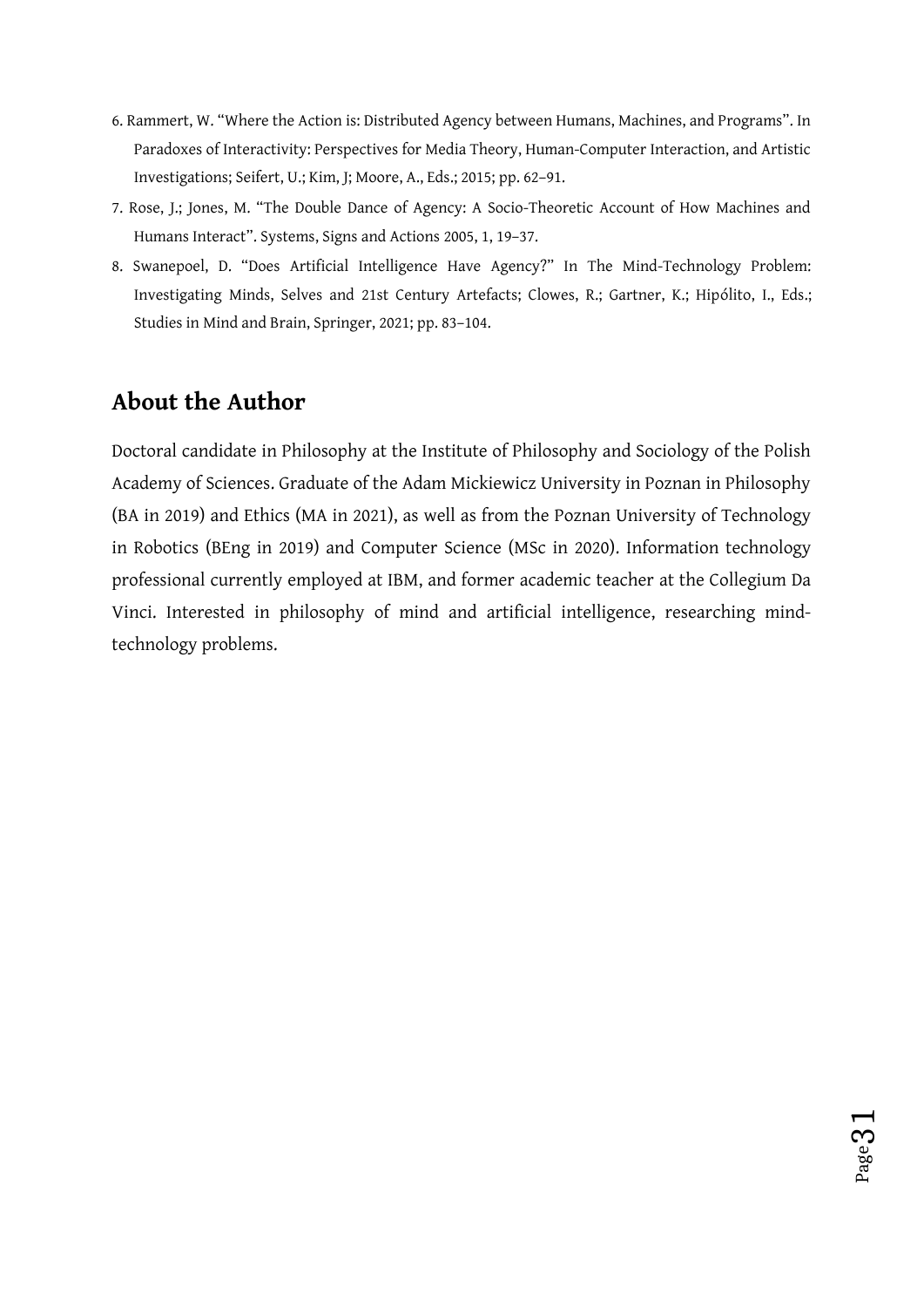- 6. Rammert, W. "Where the Action is: Distributed Agency between Humans, Machines, and Programs". In Paradoxes of Interactivity: Perspectives for Media Theory, Human-Computer Interaction, and Artistic Investigations; Seifert, U.; Kim, J; Moore, A., Eds.; 2015; pp. 62–91.
- 7. Rose, J.; Jones, M. "The Double Dance of Agency: A Socio-Theoretic Account of How Machines and Humans Interact". Systems, Signs and Actions 2005, 1, 19–37.
- 8. Swanepoel, D. "Does Artificial Intelligence Have Agency?" In The Mind-Technology Problem: Investigating Minds, Selves and 21st Century Artefacts; Clowes, R.; Gartner, K.; Hipólito, I., Eds.; Studies in Mind and Brain, Springer, 2021; pp. 83–104.

# **About the Author**

Doctoral candidate in Philosophy at the Institute of Philosophy and Sociology of the Polish Academy of Sciences. Graduate of the Adam Mickiewicz University in Poznan in Philosophy (BA in 2019) and Ethics (MA in 2021), as well as from the Poznan University of Technology in Robotics (BEng in 2019) and Computer Science (MSc in 2020). Information technology professional currently employed at IBM, and former academic teacher at the Collegium Da Vinci. Interested in philosophy of mind and artificial intelligence, researching mindtechnology problems.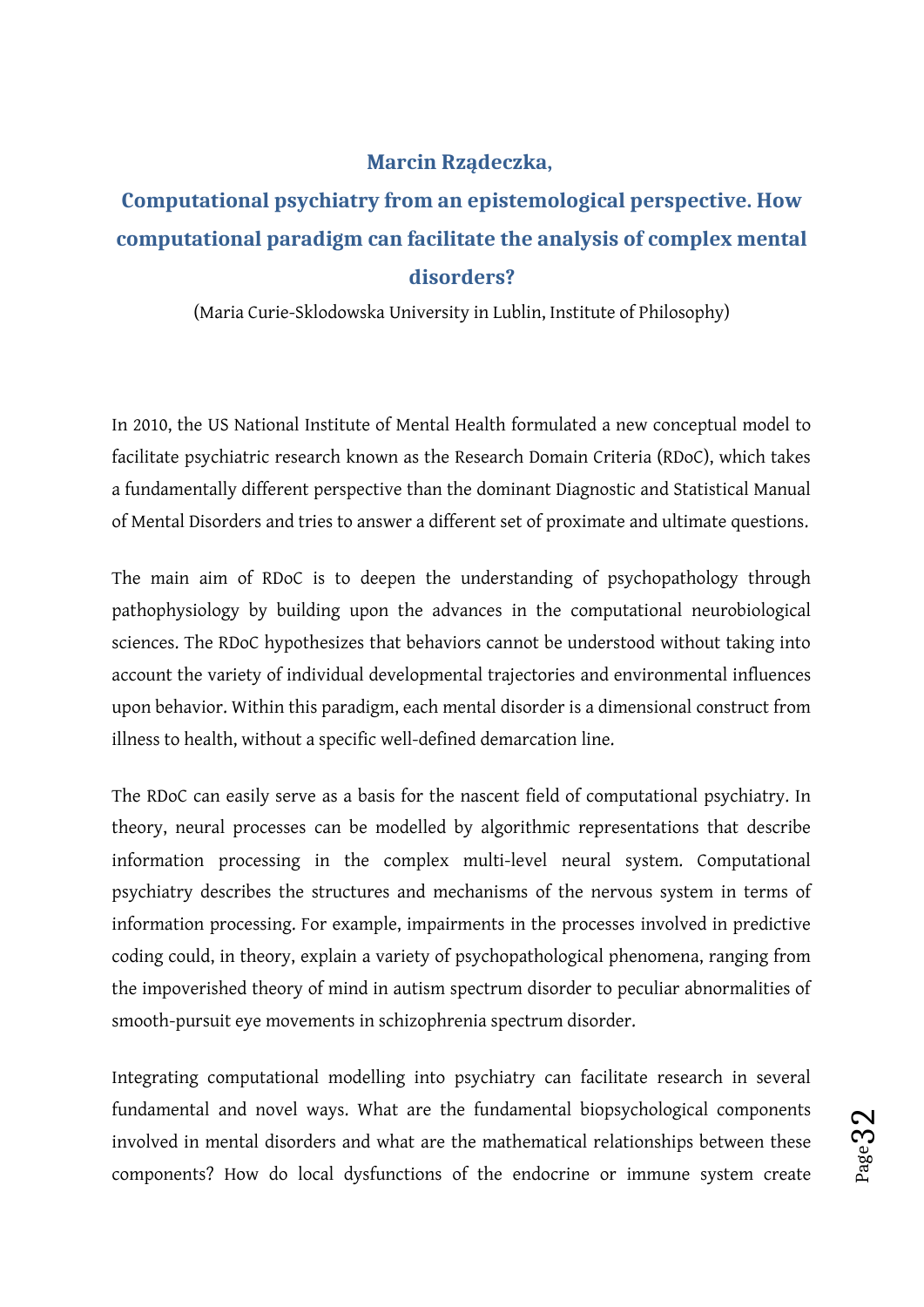### <span id="page-31-0"></span>**Marcin Rządeczka,**

# **Computational psychiatry from an epistemological perspective. How computational paradigm can facilitate the analysis of complex mental disorders?**

(Maria Curie-Sklodowska University in Lublin, Institute of Philosophy)

In 2010, the US National Institute of Mental Health formulated a new conceptual model to facilitate psychiatric research known as the Research Domain Criteria (RDoC), which takes a fundamentally different perspective than the dominant Diagnostic and Statistical Manual of Mental Disorders and tries to answer a different set of proximate and ultimate questions.

The main aim of RDoC is to deepen the understanding of psychopathology through pathophysiology by building upon the advances in the computational neurobiological sciences. The RDoC hypothesizes that behaviors cannot be understood without taking into account the variety of individual developmental trajectories and environmental influences upon behavior. Within this paradigm, each mental disorder is a dimensional construct from illness to health, without a specific well-defined demarcation line.

The RDoC can easily serve as a basis for the nascent field of computational psychiatry. In theory, neural processes can be modelled by algorithmic representations that describe information processing in the complex multi-level neural system. Computational psychiatry describes the structures and mechanisms of the nervous system in terms of information processing. For example, impairments in the processes involved in predictive coding could, in theory, explain a variety of psychopathological phenomena, ranging from the impoverished theory of mind in autism spectrum disorder to peculiar abnormalities of smooth-pursuit eye movements in schizophrenia spectrum disorder.

Integrating computational modelling into psychiatry can facilitate research in several fundamental and novel ways. What are the fundamental biopsychological components involved in mental disorders and what are the mathematical relationships between these components? How do local dysfunctions of the endocrine or immune system create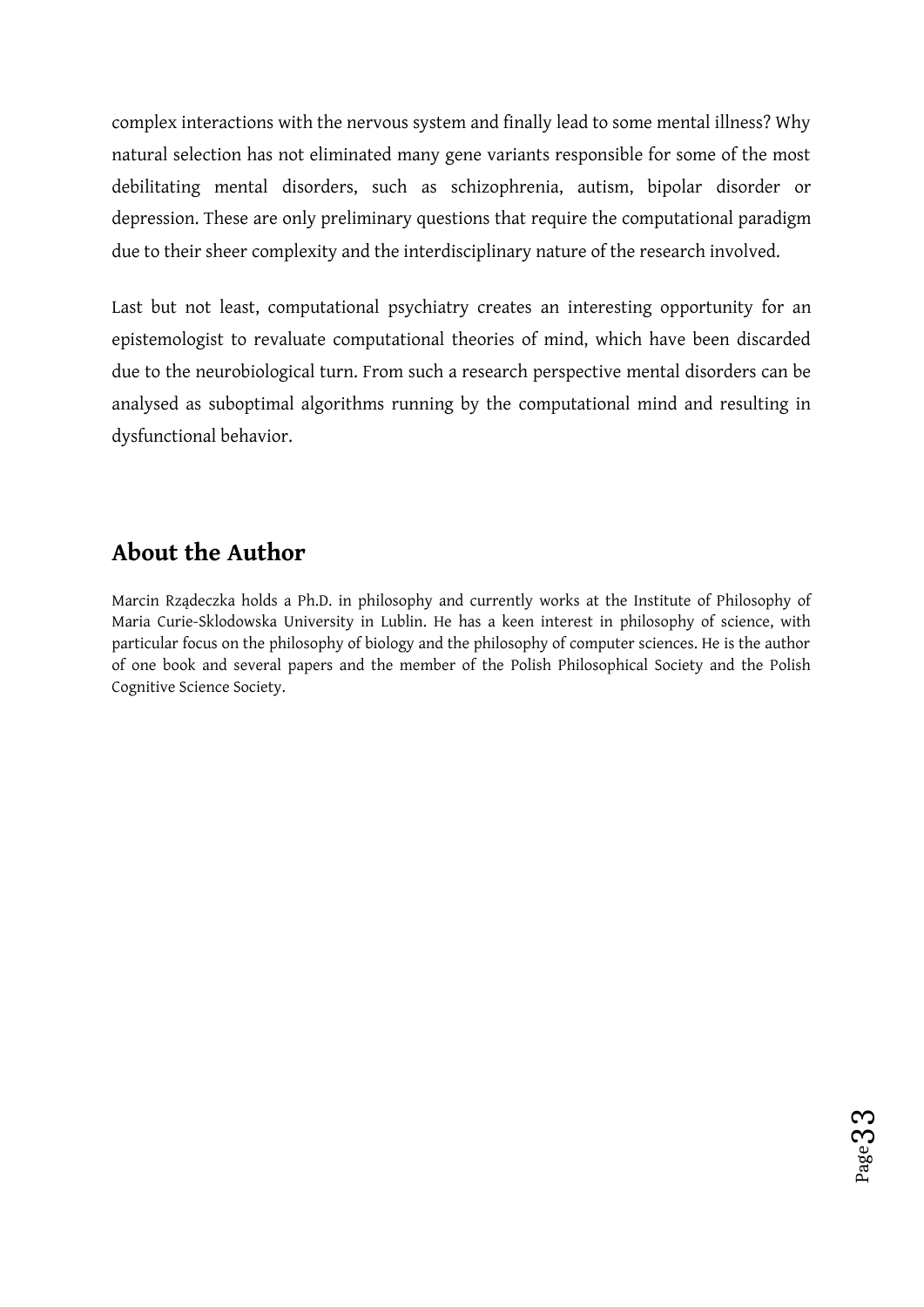complex interactions with the nervous system and finally lead to some mental illness? Why natural selection has not eliminated many gene variants responsible for some of the most debilitating mental disorders, such as schizophrenia, autism, bipolar disorder or depression. These are only preliminary questions that require the computational paradigm due to their sheer complexity and the interdisciplinary nature of the research involved.

Last but not least, computational psychiatry creates an interesting opportunity for an epistemologist to revaluate computational theories of mind, which have been discarded due to the neurobiological turn. From such a research perspective mental disorders can be analysed as suboptimal algorithms running by the computational mind and resulting in dysfunctional behavior.

### **About the Author**

Marcin Rządeczka holds a Ph.D. in philosophy and currently works at the Institute of Philosophy of Maria Curie-Sklodowska University in Lublin. He has a keen interest in philosophy of science, with particular focus on the philosophy of biology and the philosophy of computer sciences. He is the author of one book and several papers and the member of the Polish Philosophical Society and the Polish Cognitive Science Society.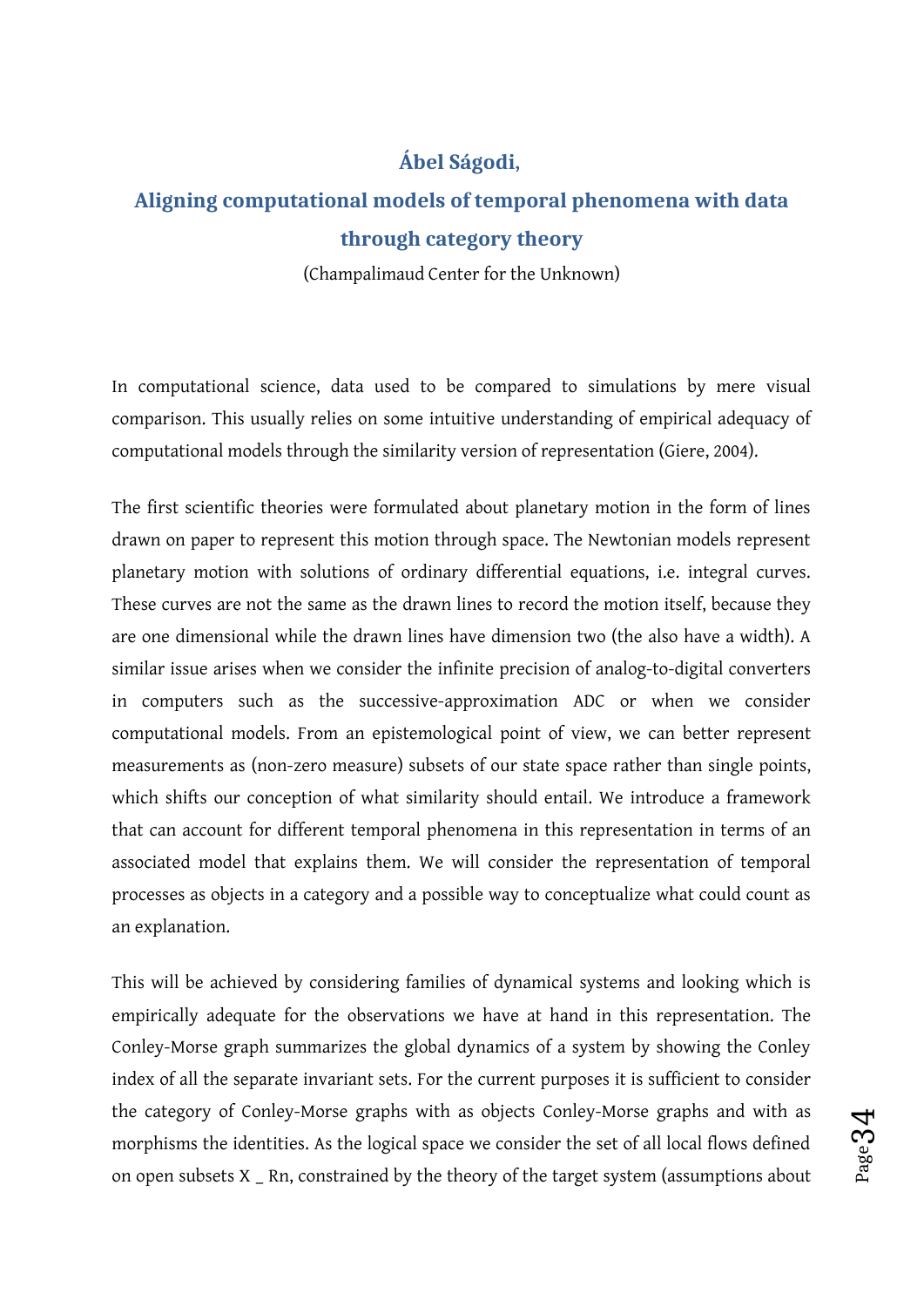### <span id="page-33-0"></span>**Ábel Ságodi,**

# **Aligning computational models of temporal phenomena with data through category theory**

(Champalimaud Center for the Unknown)

In computational science, data used to be compared to simulations by mere visual comparison. This usually relies on some intuitive understanding of empirical adequacy of computational models through the similarity version of representation (Giere, 2004).

The first scientific theories were formulated about planetary motion in the form of lines drawn on paper to represent this motion through space. The Newtonian models represent planetary motion with solutions of ordinary differential equations, i.e. integral curves. These curves are not the same as the drawn lines to record the motion itself, because they are one dimensional while the drawn lines have dimension two (the also have a width). A similar issue arises when we consider the infinite precision of analog-to-digital converters in computers such as the successive-approximation ADC or when we consider computational models. From an epistemological point of view, we can better represent measurements as (non-zero measure) subsets of our state space rather than single points, which shifts our conception of what similarity should entail. We introduce a framework that can account for different temporal phenomena in this representation in terms of an associated model that explains them. We will consider the representation of temporal processes as objects in a category and a possible way to conceptualize what could count as an explanation.

This will be achieved by considering families of dynamical systems and looking which is empirically adequate for the observations we have at hand in this representation. The Conley-Morse graph summarizes the global dynamics of a system by showing the Conley index of all the separate invariant sets. For the current purposes it is sufficient to consider the category of Conley-Morse graphs with as objects Conley-Morse graphs and with as morphisms the identities. As the logical space we consider the set of all local flows defined on open subsets X \_ Rn, constrained by the theory of the target system (assumptions about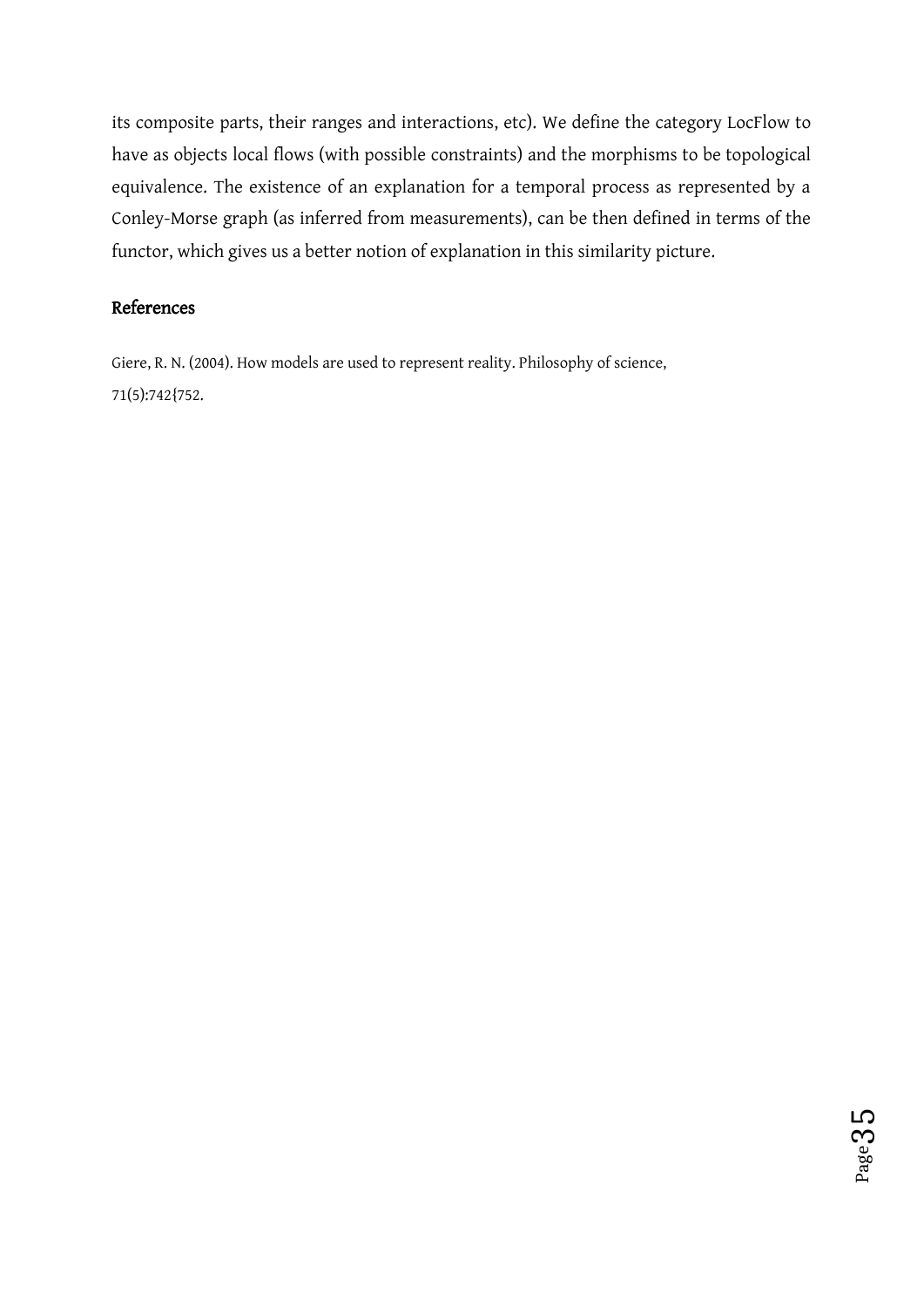its composite parts, their ranges and interactions, etc). We define the category LocFlow to have as objects local flows (with possible constraints) and the morphisms to be topological equivalence. The existence of an explanation for a temporal process as represented by a Conley-Morse graph (as inferred from measurements), can be then defined in terms of the functor, which gives us a better notion of explanation in this similarity picture.

### References

Giere, R. N. (2004). How models are used to represent reality. Philosophy of science, 71(5):742{752.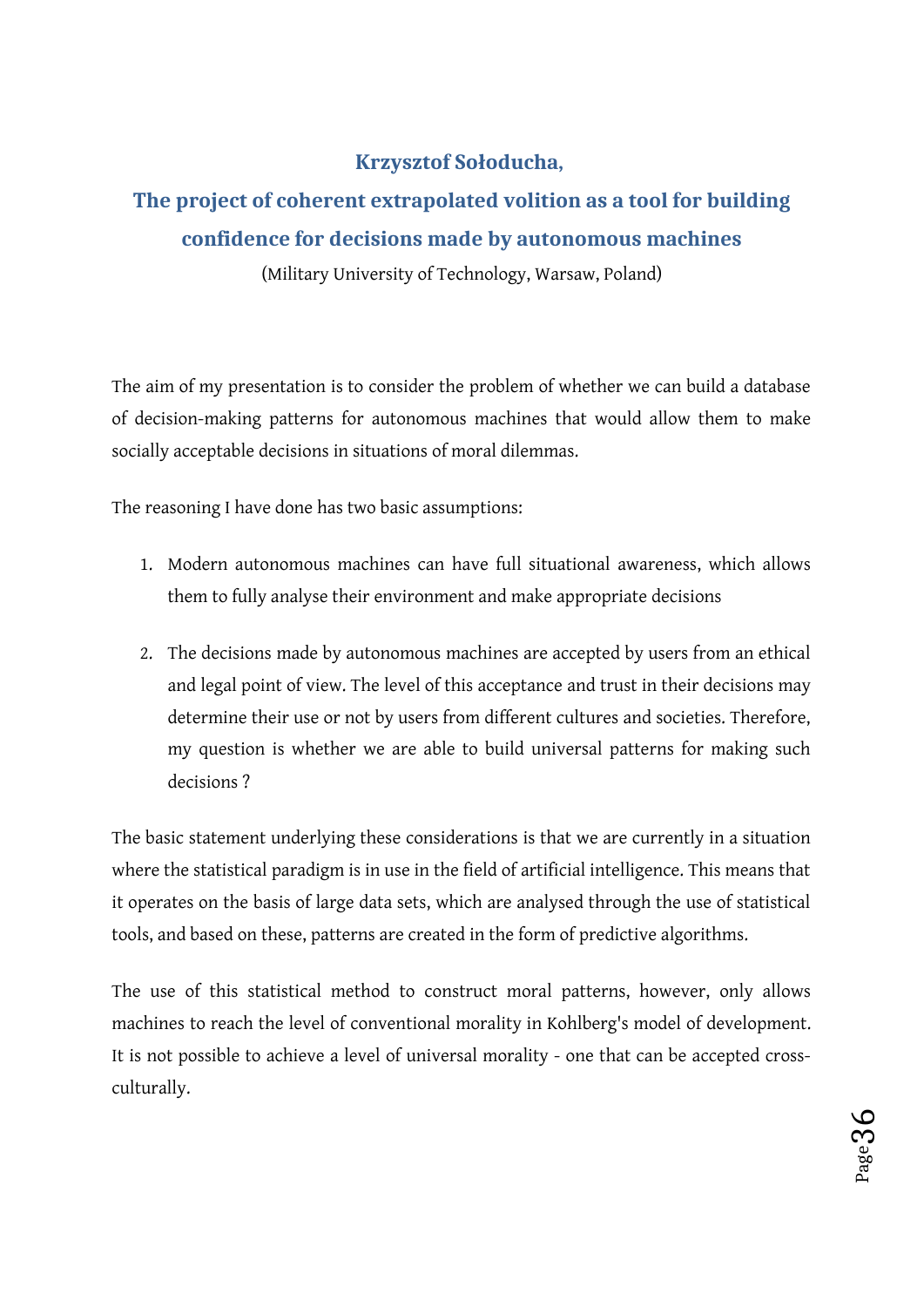### **Krzysztof Sołoducha,**

# **The project of coherent extrapolated volition as a tool for building confidence for decisions made by autonomous machines**

(Military University of Technology, Warsaw, Poland)

The aim of my presentation is to consider the problem of whether we can build a database of decision-making patterns for autonomous machines that would allow them to make socially acceptable decisions in situations of moral dilemmas.

The reasoning I have done has two basic assumptions:

- 1. Modern autonomous machines can have full situational awareness, which allows them to fully analyse their environment and make appropriate decisions
- 2. The decisions made by autonomous machines are accepted by users from an ethical and legal point of view. The level of this acceptance and trust in their decisions may determine their use or not by users from different cultures and societies. Therefore, my question is whether we are able to build universal patterns for making such decisions ?

The basic statement underlying these considerations is that we are currently in a situation where the statistical paradigm is in use in the field of artificial intelligence. This means that it operates on the basis of large data sets, which are analysed through the use of statistical tools, and based on these, patterns are created in the form of predictive algorithms.

The use of this statistical method to construct moral patterns, however, only allows machines to reach the level of conventional morality in Kohlberg's model of development. It is not possible to achieve a level of universal morality - one that can be accepted crossculturally.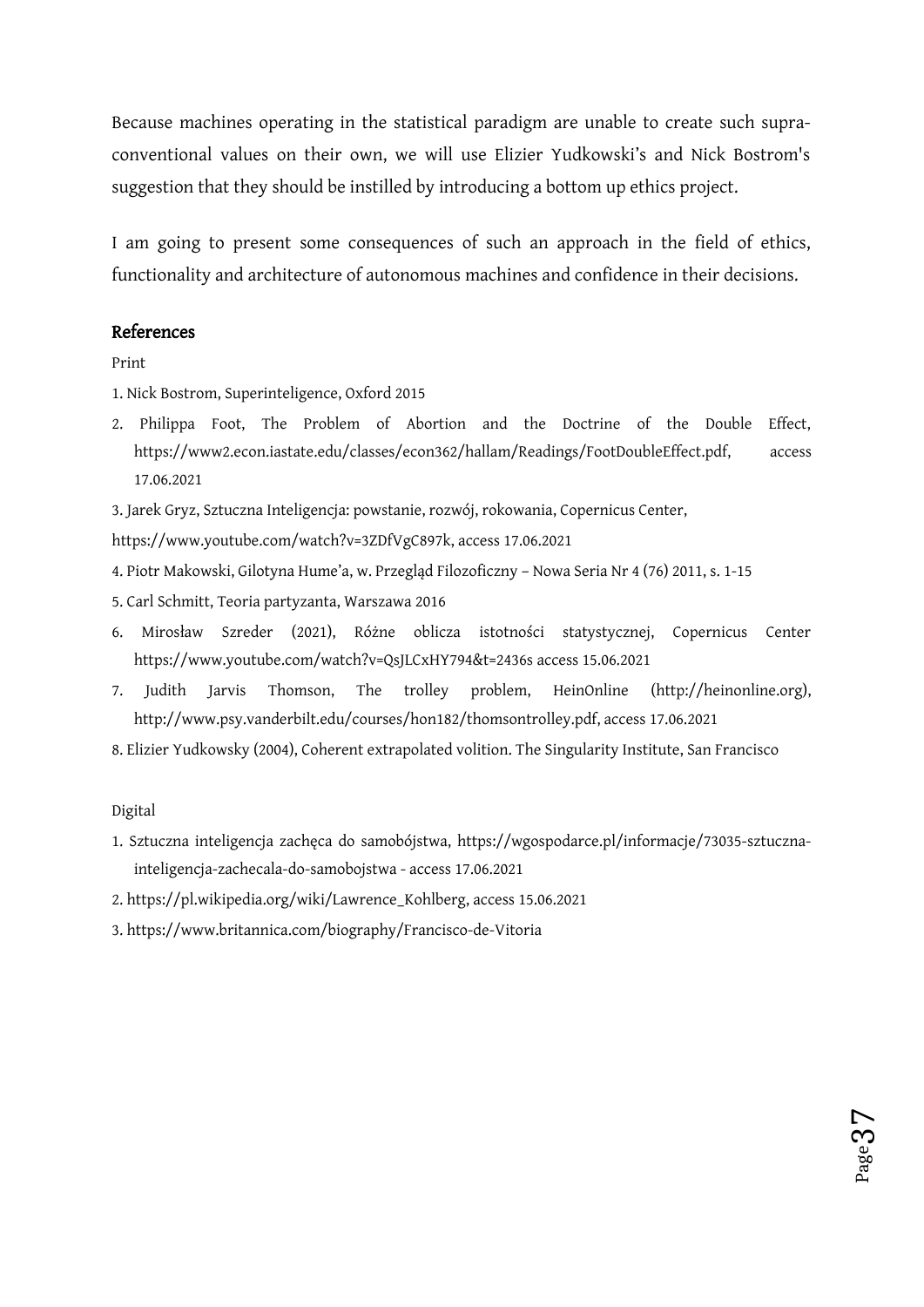Because machines operating in the statistical paradigm are unable to create such supraconventional values on their own, we will use Elizier Yudkowski's and Nick Bostrom's suggestion that they should be instilled by introducing a bottom up ethics project.

I am going to present some consequences of such an approach in the field of ethics, functionality and architecture of autonomous machines and confidence in their decisions.

#### References

Print

- 1. Nick Bostrom, Superinteligence, Oxford 2015
- 2. Philippa Foot, The Problem of Abortion and the Doctrine of the Double Effect, https://www2.econ.iastate.edu/classes/econ362/hallam/Readings/FootDoubleEffect.pdf, access 17.06.2021
- 3. Jarek Gryz, Sztuczna Inteligencja: powstanie, rozwój, rokowania, Copernicus Center,

https://www.youtube.com/watch?v=3ZDfVgC897k, access 17.06.2021

- 4. Piotr Makowski, Gilotyna Hume'a, w. Przegląd Filozoficzny Nowa Seria Nr 4 (76) 2011, s. 1-15
- 5. Carl Schmitt, Teoria partyzanta, Warszawa 2016
- 6. Mirosław Szreder (2021), Różne oblicza istotności statystycznej, Copernicus Center https://www.youtube.com/watch?v=QsJLCxHY794&t=2436s access 15.06.2021
- 7. Judith Jarvis Thomson, The trolley problem, HeinOnline (http://heinonline.org), http://www.psy.vanderbilt.edu/courses/hon182/thomsontrolley.pdf, access 17.06.2021
- 8. Elizier Yudkowsky (2004), Coherent extrapolated volition. The Singularity Institute, San Francisco

Digital

1. Sztuczna inteligencja zachęca do samobójstwa, https://wgospodarce.pl/informacje/73035-sztucznainteligencja-zachecala-do-samobojstwa - access 17.06.2021

Page $3\,$ 

 $\overline{\phantom{a}}$ 

- 2. https://pl.wikipedia.org/wiki/Lawrence\_Kohlberg, access 15.06.2021
- 3. https://www.britannica.com/biography/Francisco-de-Vitoria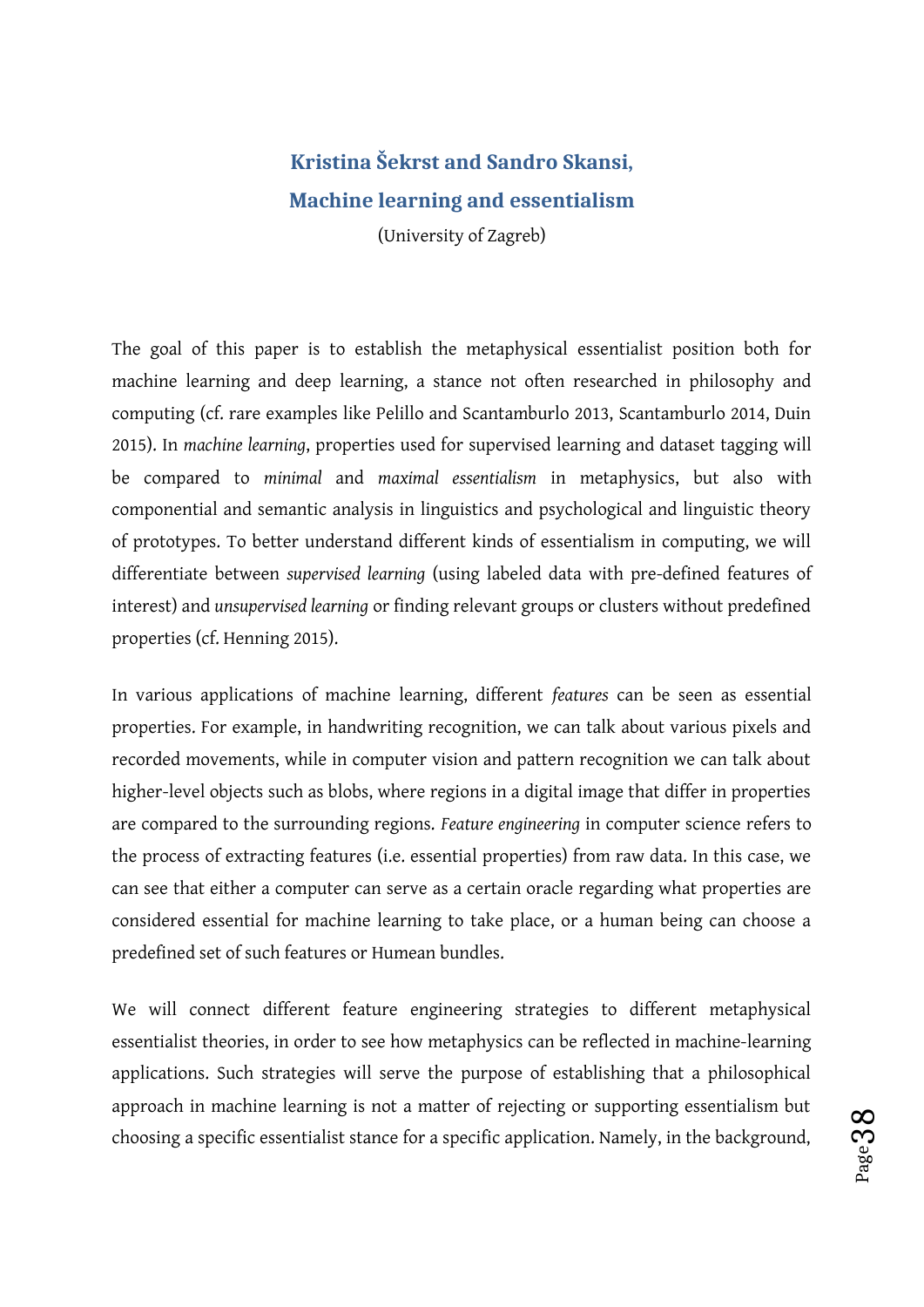# **Kristina Šekrst and Sandro Skansi, Machine learning and essentialism** (University of Zagreb)

The goal of this paper is to establish the metaphysical essentialist position both for machine learning and deep learning, a stance not often researched in philosophy and computing (cf. rare examples like Pelillo and Scantamburlo 2013, Scantamburlo 2014, Duin 2015). In *machine learning*, properties used for supervised learning and dataset tagging will be compared to *minimal* and *maximal essentialism* in metaphysics, but also with componential and semantic analysis in linguistics and psychological and linguistic theory of prototypes. To better understand different kinds of essentialism in computing, we will differentiate between *supervised learning* (using labeled data with pre-defined features of interest) and *unsupervised learning* or finding relevant groups or clusters without predefined properties (cf. Henning 2015).

In various applications of machine learning, different *features* can be seen as essential properties. For example, in handwriting recognition, we can talk about various pixels and recorded movements, while in computer vision and pattern recognition we can talk about higher-level objects such as blobs, where regions in a digital image that differ in properties are compared to the surrounding regions. *Feature engineering* in computer science refers to the process of extracting features (i.e. essential properties) from raw data. In this case, we can see that either a computer can serve as a certain oracle regarding what properties are considered essential for machine learning to take place, or a human being can choose a predefined set of such features or Humean bundles.

We will connect different feature engineering strategies to different metaphysical essentialist theories, in order to see how metaphysics can be reflected in machine-learning applications. Such strategies will serve the purpose of establishing that a philosophical approach in machine learning is not a matter of rejecting or supporting essentialism but choosing a specific essentialist stance for a specific application. Namely, in the background,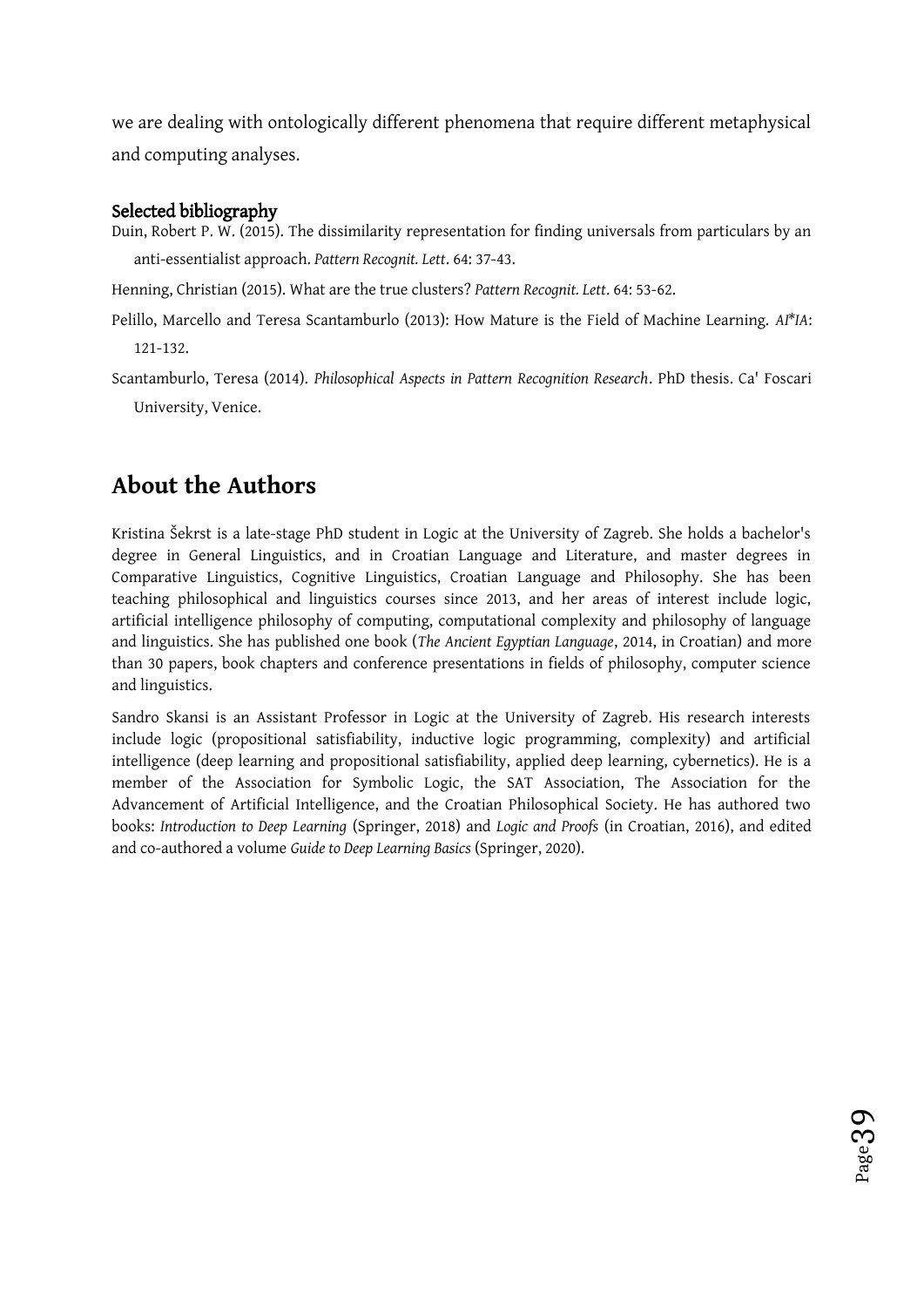we are dealing with ontologically different phenomena that require different metaphysical and computing analyses.

#### Selected bibliography

Duin, Robert P. W. (2015). The dissimilarity representation for finding universals from particulars by an anti-essentialist approach. *Pattern Recognit. Lett*. 64: 37-43.

Henning, Christian (2015). What are the true clusters? *Pattern Recognit. Lett*. 64: 53-62.

Pelillo, Marcello and Teresa Scantamburlo (2013): How Mature is the Field of Machine Learning. *AI\*IA*: 121-132.

Scantamburlo, Teresa (2014). *Philosophical Aspects in Pattern Recognition Research*. PhD thesis. Ca' Foscari University, Venice.

# **About the Authors**

Kristina Šekrst is a late-stage PhD student in Logic at the University of Zagreb. She holds a bachelor's degree in General Linguistics, and in Croatian Language and Literature, and master degrees in Comparative Linguistics, Cognitive Linguistics, Croatian Language and Philosophy. She has been teaching philosophical and linguistics courses since 2013, and her areas of interest include logic, artificial intelligence philosophy of computing, computational complexity and philosophy of language and linguistics. She has published one book (*The Ancient Egyptian Language*, 2014, in Croatian) and more than 30 papers, book chapters and conference presentations in fields of philosophy, computer science and linguistics.

Sandro Skansi is an Assistant Professor in Logic at the University of Zagreb. His research interests include logic (propositional satisfiability, inductive logic programming, complexity) and artificial intelligence (deep learning and propositional satisfiability, applied deep learning, cybernetics). He is a member of the Association for Symbolic Logic, the SAT Association, The Association for the Advancement of Artificial Intelligence, and the Croatian Philosophical Society. He has authored two books: *Introduction to Deep Learning* (Springer, 2018) and *Logic and Proofs* (in Croatian, 2016), and edited and co-authored a volume *Guide to Deep Learning Basics* (Springer, 2020).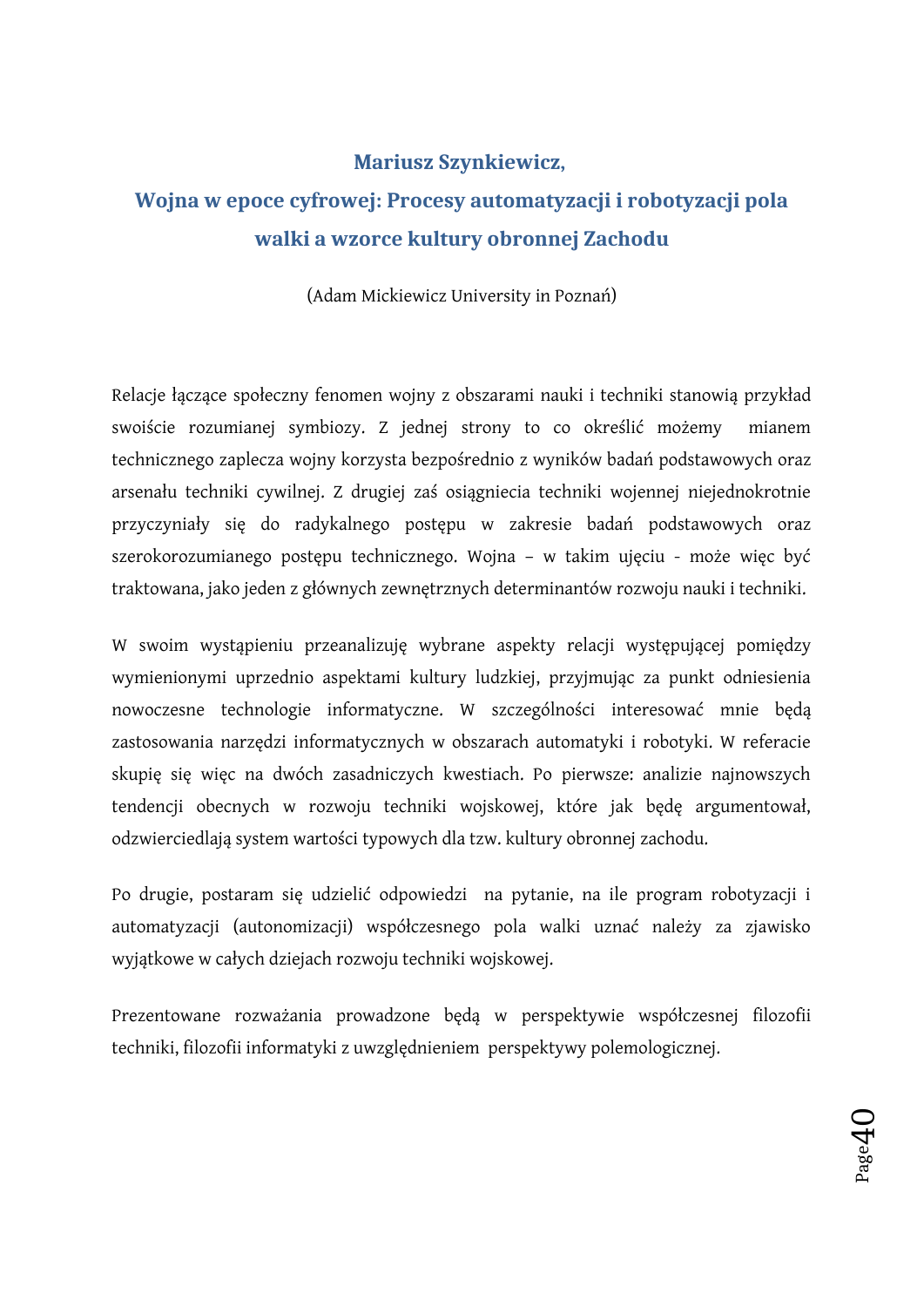### **Mariusz Szynkiewicz,**

# **Wojna w epoce cyfrowej: Procesy automatyzacji i robotyzacji pola walki a wzorce kultury obronnej Zachodu**

(Adam Mickiewicz University in Poznań)

Relacje łączące społeczny fenomen wojny z obszarami nauki i techniki stanowią przykład swoiście rozumianej symbiozy. Z jednej strony to co określić możemy mianem technicznego zaplecza wojny korzysta bezpośrednio z wyników badań podstawowych oraz arsenału techniki cywilnej. Z drugiej zaś osiągniecia techniki wojennej niejednokrotnie przyczyniały się do radykalnego postępu w zakresie badań podstawowych oraz szerokorozumianego postępu technicznego. Wojna – w takim ujęciu - może więc być traktowana, jako jeden z głównych zewnętrznych determinantów rozwoju nauki i techniki.

W swoim wystąpieniu przeanalizuję wybrane aspekty relacji występującej pomiędzy wymienionymi uprzednio aspektami kultury ludzkiej, przyjmując za punkt odniesienia nowoczesne technologie informatyczne. W szczególności interesować mnie będą zastosowania narzędzi informatycznych w obszarach automatyki i robotyki. W referacie skupię się więc na dwóch zasadniczych kwestiach. Po pierwsze: analizie najnowszych tendencji obecnych w rozwoju techniki wojskowej, które jak będę argumentował, odzwierciedlają system wartości typowych dla tzw. kultury obronnej zachodu.

Po drugie, postaram się udzielić odpowiedzi na pytanie, na ile program robotyzacji i automatyzacji (autonomizacji) współczesnego pola walki uznać należy za zjawisko wyjątkowe w całych dziejach rozwoju techniki wojskowej.

Prezentowane rozważania prowadzone będą w perspektywie współczesnej filozofii techniki, filozofii informatyki z uwzględnieniem perspektywy polemologicznej.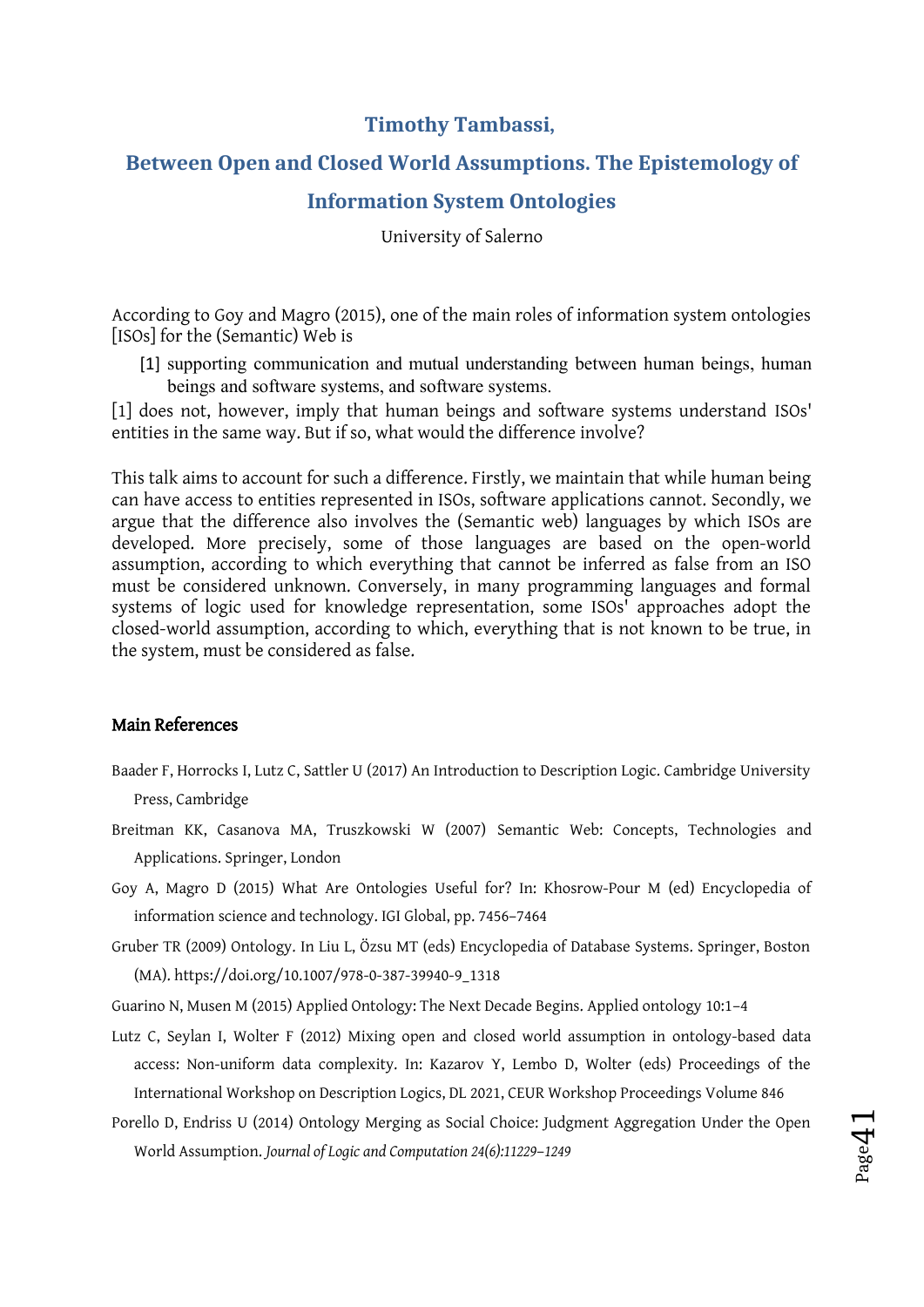### **Timothy Tambassi,**

# **Between Open and Closed World Assumptions. The Epistemology of**

### **Information System Ontologies**

University of Salerno

According to Goy and Magro (2015), one of the main roles of information system ontologies [ISOs] for the (Semantic) Web is

[1] supporting communication and mutual understanding between human beings, human beings and software systems, and software systems.

[1] does not, however, imply that human beings and software systems understand ISOs' entities in the same way. But if so, what would the difference involve?

This talk aims to account for such a difference. Firstly, we maintain that while human being can have access to entities represented in ISOs, software applications cannot. Secondly, we argue that the difference also involves the (Semantic web) languages by which ISOs are developed. More precisely, some of those languages are based on the open-world assumption, according to which everything that cannot be inferred as false from an ISO must be considered unknown. Conversely, in many programming languages and formal systems of logic used for knowledge representation, some ISOs' approaches adopt the closed-world assumption, according to which, everything that is not known to be true, in the system, must be considered as false.

#### Main References

- Baader F, Horrocks I, Lutz C, Sattler U (2017) An Introduction to Description Logic. Cambridge University Press, Cambridge
- Breitman KK, Casanova MA, Truszkowski W (2007) Semantic Web: Concepts, Technologies and Applications. Springer, London
- Goy A, Magro D (2015) What Are Ontologies Useful for? In: Khosrow-Pour M (ed) Encyclopedia of information science and technology. IGI Global, pp. 7456–7464
- Gruber TR (2009) Ontology. In Liu L, Özsu MT (eds) Encyclopedia of Database Systems. Springer, Boston (MA). https://doi.org/10.1007/978-0-387-39940-9\_1318

Guarino N, Musen M (2015) Applied Ontology: The Next Decade Begins. Applied ontology 10:1–4

Lutz C, Seylan I, Wolter F (2012) Mixing open and closed world assumption in ontology-based data access: Non-uniform data complexity. In: Kazarov Y, Lembo D, Wolter (eds) Proceedings of the International Workshop on Description Logics, DL 2021, CEUR Workshop Proceedings Volume 846

Porello D, Endriss U (2014) Ontology Merging as Social Choice: Judgment Aggregation Under the Open World Assumption. *Journal of Logic and Computation 24(6):11229*–*1249* 

Page $4$ 

 $\overline{\phantom{0}}$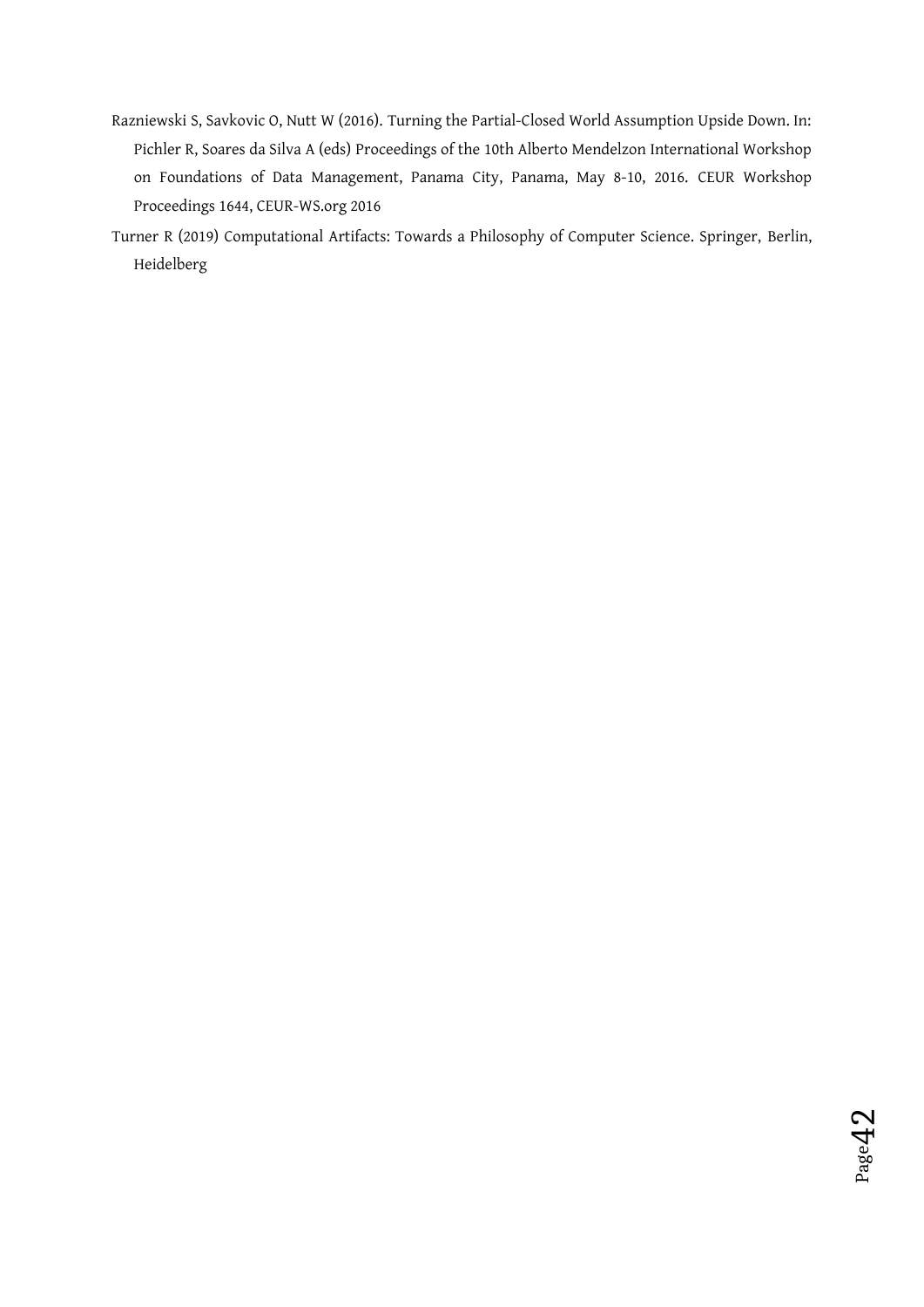- Razniewski S, Savkovic O, Nutt W (2016). Turning the Partial-Closed World Assumption Upside Down. In: Pichler R, Soares da Silva A (eds) Proceedings of the 10th Alberto Mendelzon International Workshop on Foundations of Data Management, Panama City, Panama, May 8-10, 2016. CEUR Workshop Proceedings 1644, CEUR-WS.org 2016
- Turner R (2019) Computational Artifacts: Towards a Philosophy of Computer Science. Springer, Berlin, Heidelberg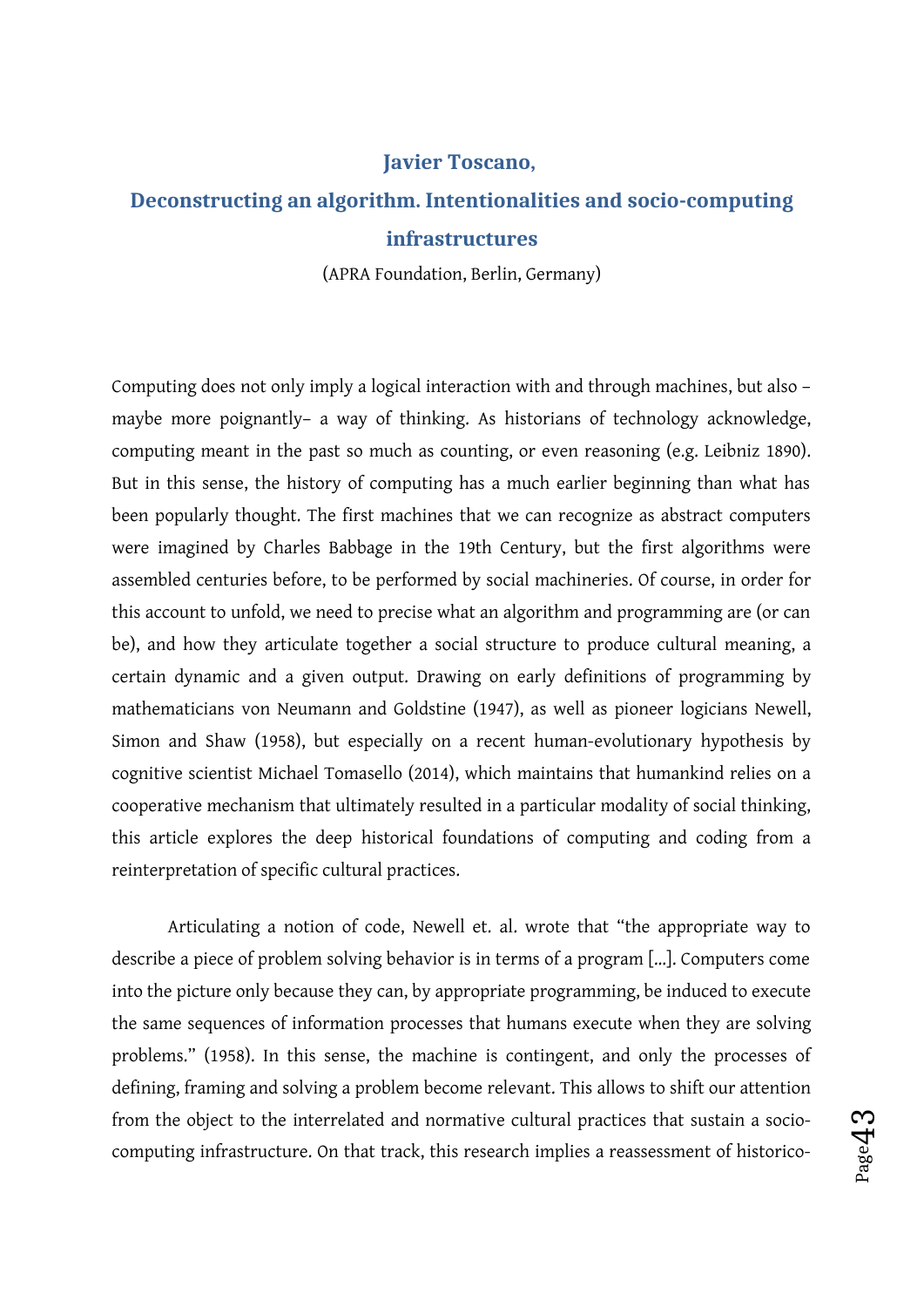#### **Javier Toscano,**

### **Deconstructing an algorithm. Intentionalities and socio-computing infrastructures**

(APRA Foundation, Berlin, Germany)

Computing does not only imply a logical interaction with and through machines, but also – maybe more poignantly– a way of thinking. As historians of technology acknowledge, computing meant in the past so much as counting, or even reasoning (e.g. Leibniz 1890). But in this sense, the history of computing has a much earlier beginning than what has been popularly thought. The first machines that we can recognize as abstract computers were imagined by Charles Babbage in the 19th Century, but the first algorithms were assembled centuries before, to be performed by social machineries. Of course, in order for this account to unfold, we need to precise what an algorithm and programming are (or can be), and how they articulate together a social structure to produce cultural meaning, a certain dynamic and a given output. Drawing on early definitions of programming by mathematicians von Neumann and Goldstine (1947), as well as pioneer logicians Newell, Simon and Shaw (1958), but especially on a recent human-evolutionary hypothesis by cognitive scientist Michael Tomasello (2014), which maintains that humankind relies on a cooperative mechanism that ultimately resulted in a particular modality of social thinking, this article explores the deep historical foundations of computing and coding from a reinterpretation of specific cultural practices.

Articulating a notion of code, Newell et. al. wrote that "the appropriate way to describe a piece of problem solving behavior is in terms of a program […]. Computers come into the picture only because they can, by appropriate programming, be induced to execute the same sequences of information processes that humans execute when they are solving problems." (1958). In this sense, the machine is contingent, and only the processes of defining, framing and solving a problem become relevant. This allows to shift our attention from the object to the interrelated and normative cultural practices that sustain a sociocomputing infrastructure. On that track, this research implies a reassessment of historico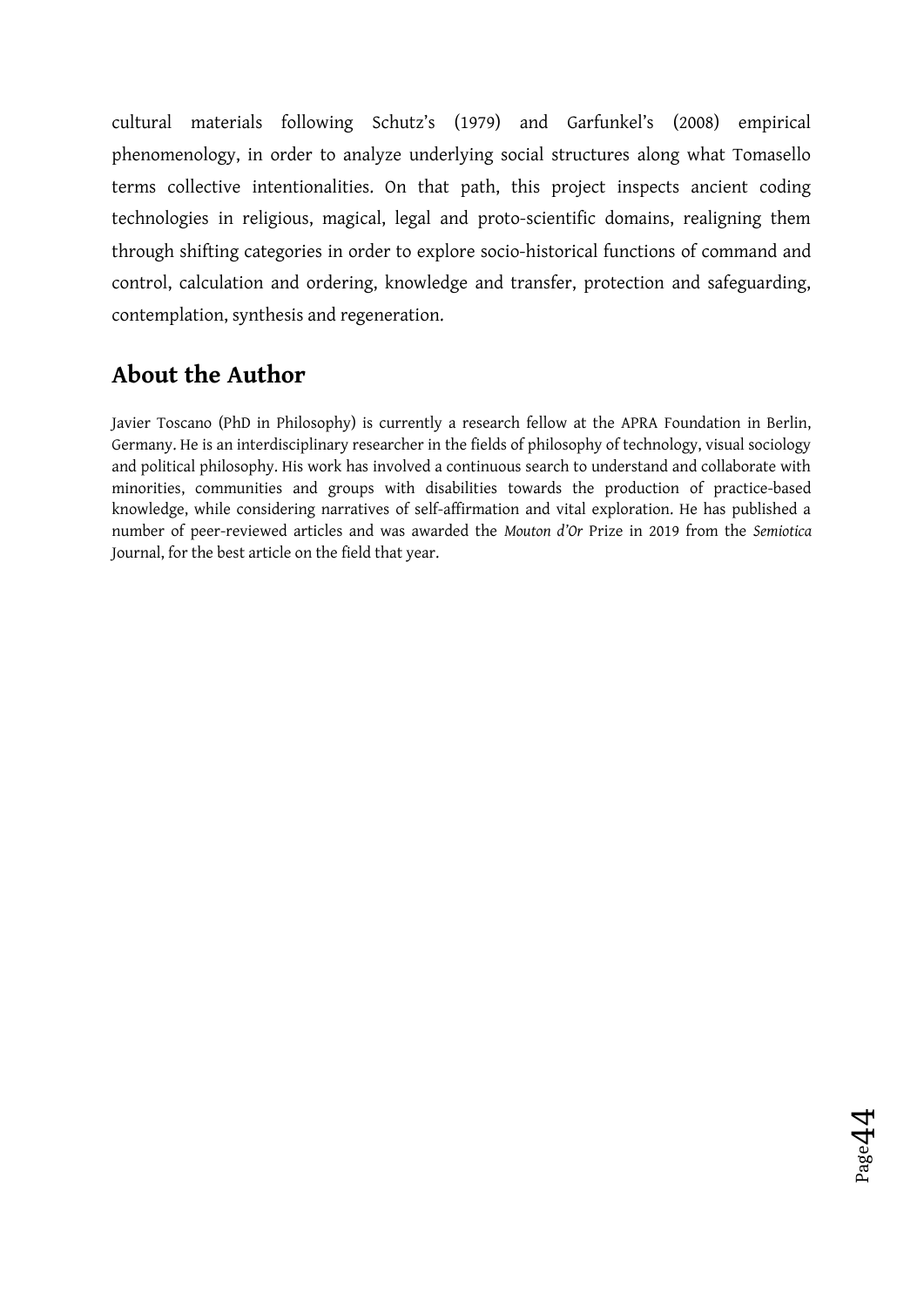cultural materials following Schutz's (1979) and Garfunkel's (2008) empirical phenomenology, in order to analyze underlying social structures along what Tomasello terms collective intentionalities. On that path, this project inspects ancient coding technologies in religious, magical, legal and proto-scientific domains, realigning them through shifting categories in order to explore socio-historical functions of command and control, calculation and ordering, knowledge and transfer, protection and safeguarding, contemplation, synthesis and regeneration.

# **About the Author**

Javier Toscano (PhD in Philosophy) is currently a research fellow at the APRA Foundation in Berlin, Germany. He is an interdisciplinary researcher in the fields of philosophy of technology, visual sociology and political philosophy. His work has involved a continuous search to understand and collaborate with minorities, communities and groups with disabilities towards the production of practice-based knowledge, while considering narratives of self-affirmation and vital exploration. He has published a number of peer-reviewed articles and was awarded the *Mouton d'Or* Prize in 2019 from the *Semiotica* Journal, for the best article on the field that year.

Page $4$ 4